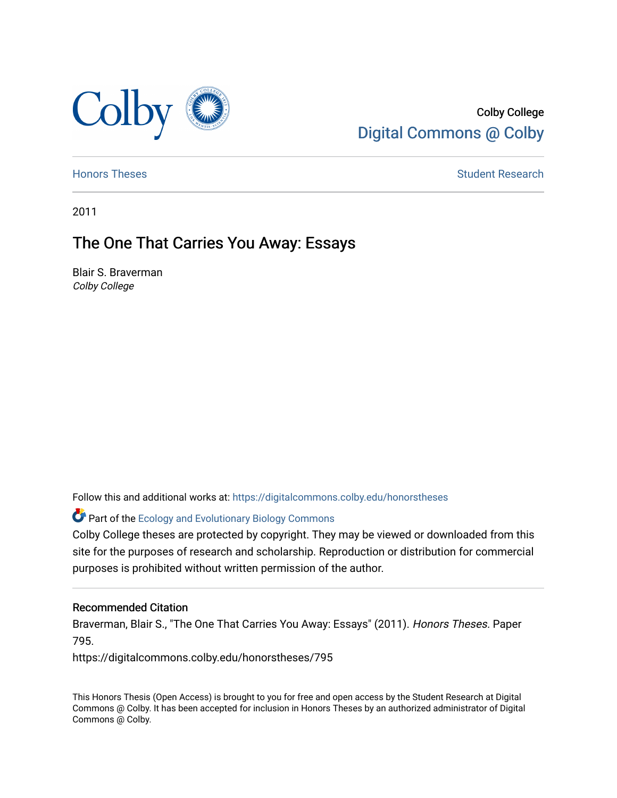

# Colby College [Digital Commons @ Colby](https://digitalcommons.colby.edu/)

[Honors Theses](https://digitalcommons.colby.edu/honorstheses) **Student Research** Student Research

2011

## The One That Carries You Away: Essays

Blair S. Braverman Colby College

Follow this and additional works at: [https://digitalcommons.colby.edu/honorstheses](https://digitalcommons.colby.edu/honorstheses?utm_source=digitalcommons.colby.edu%2Fhonorstheses%2F795&utm_medium=PDF&utm_campaign=PDFCoverPages) 

**Part of the [Ecology and Evolutionary Biology Commons](http://network.bepress.com/hgg/discipline/14?utm_source=digitalcommons.colby.edu%2Fhonorstheses%2F795&utm_medium=PDF&utm_campaign=PDFCoverPages)** 

Colby College theses are protected by copyright. They may be viewed or downloaded from this site for the purposes of research and scholarship. Reproduction or distribution for commercial purposes is prohibited without written permission of the author.

#### Recommended Citation

Braverman, Blair S., "The One That Carries You Away: Essays" (2011). Honors Theses. Paper 795.

https://digitalcommons.colby.edu/honorstheses/795

This Honors Thesis (Open Access) is brought to you for free and open access by the Student Research at Digital Commons @ Colby. It has been accepted for inclusion in Honors Theses by an authorized administrator of Digital Commons @ Colby.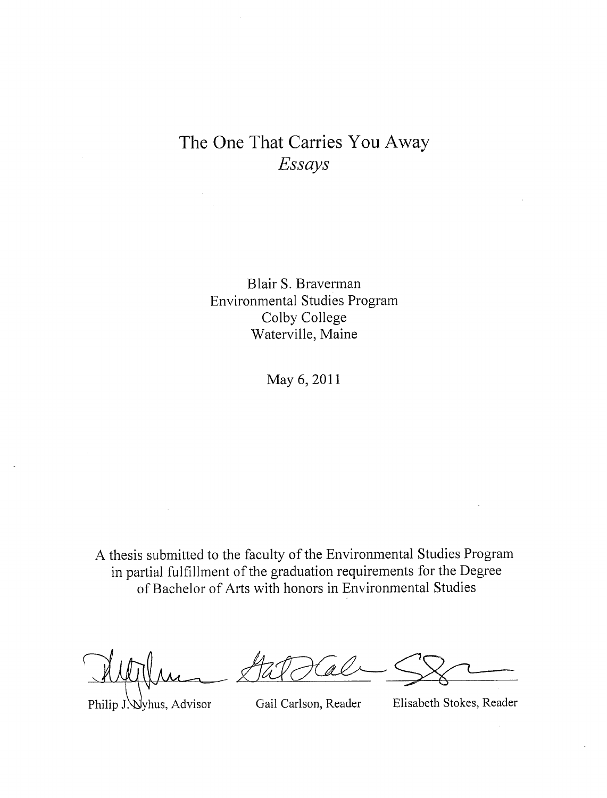# The One That Carries You Away Essays

Blair S. Braverman **Environmental Studies Program** Colby College Waterville, Maine

May 6, 2011

A thesis submitted to the faculty of the Environmental Studies Program in partial fulfillment of the graduation requirements for the Degree of Bachelor of Arts with honors in Environmental Studies

Philip J. Wyhus, Advisor

 $\mathscr{A}$ 

Gail Carlson, Reader

Elisabeth Stokes, Reader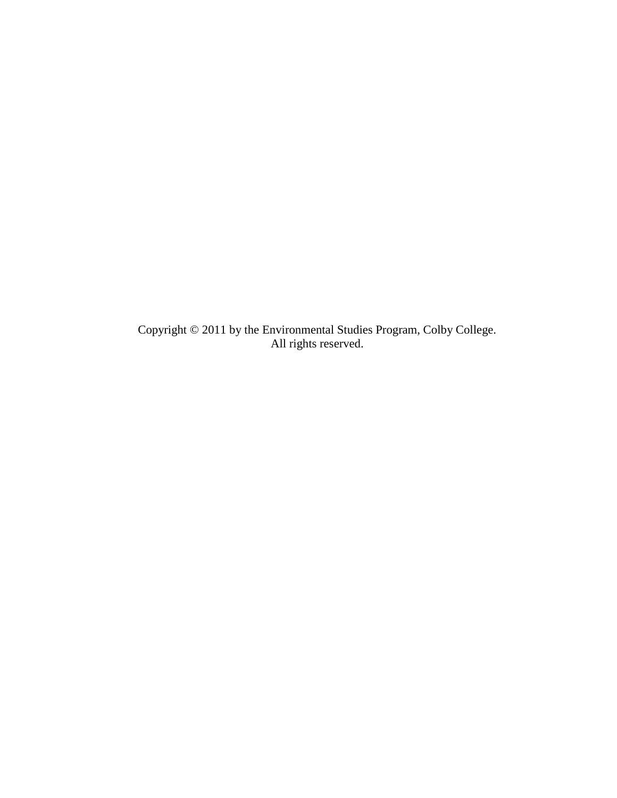Copyright © 2011 by the Environmental Studies Program, Colby College. All rights reserved.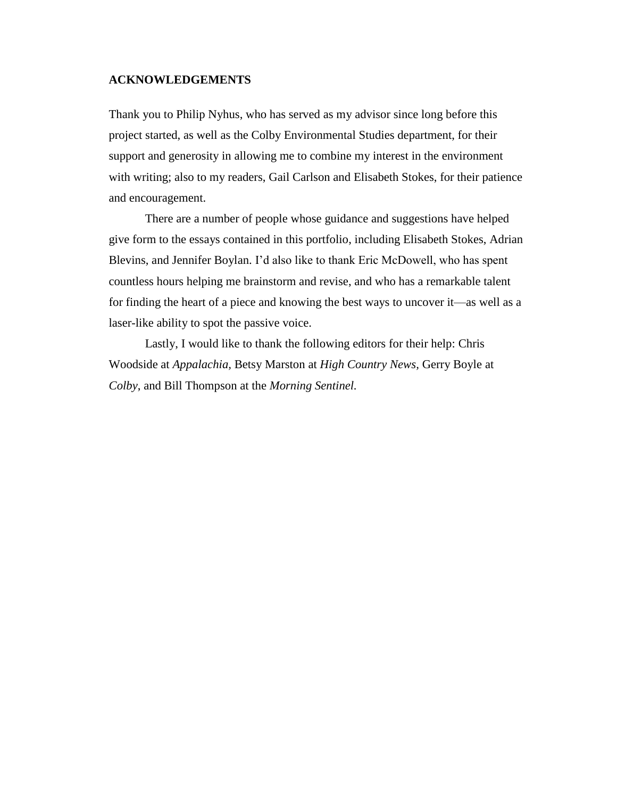#### **ACKNOWLEDGEMENTS**

Thank you to Philip Nyhus, who has served as my advisor since long before this project started, as well as the Colby Environmental Studies department, for their support and generosity in allowing me to combine my interest in the environment with writing; also to my readers, Gail Carlson and Elisabeth Stokes, for their patience and encouragement.

There are a number of people whose guidance and suggestions have helped give form to the essays contained in this portfolio, including Elisabeth Stokes, Adrian Blevins, and Jennifer Boylan. I'd also like to thank Eric McDowell, who has spent countless hours helping me brainstorm and revise, and who has a remarkable talent for finding the heart of a piece and knowing the best ways to uncover it—as well as a laser-like ability to spot the passive voice.

Lastly, I would like to thank the following editors for their help: Chris Woodside at *Appalachia,* Betsy Marston at *High Country News,* Gerry Boyle at *Colby*, and Bill Thompson at the *Morning Sentinel.*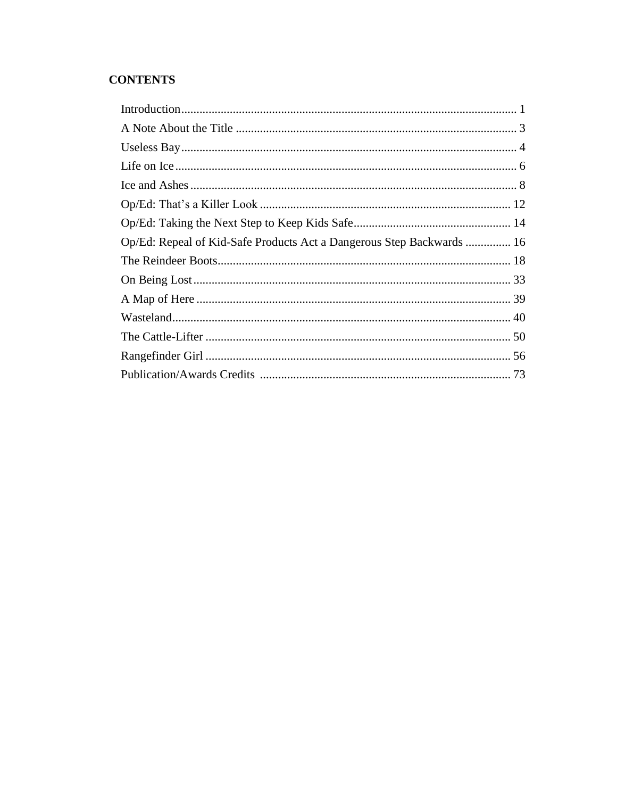### **CONTENTS**

| Op/Ed: Repeal of Kid-Safe Products Act a Dangerous Step Backwards  16 |  |
|-----------------------------------------------------------------------|--|
|                                                                       |  |
|                                                                       |  |
|                                                                       |  |
|                                                                       |  |
|                                                                       |  |
|                                                                       |  |
|                                                                       |  |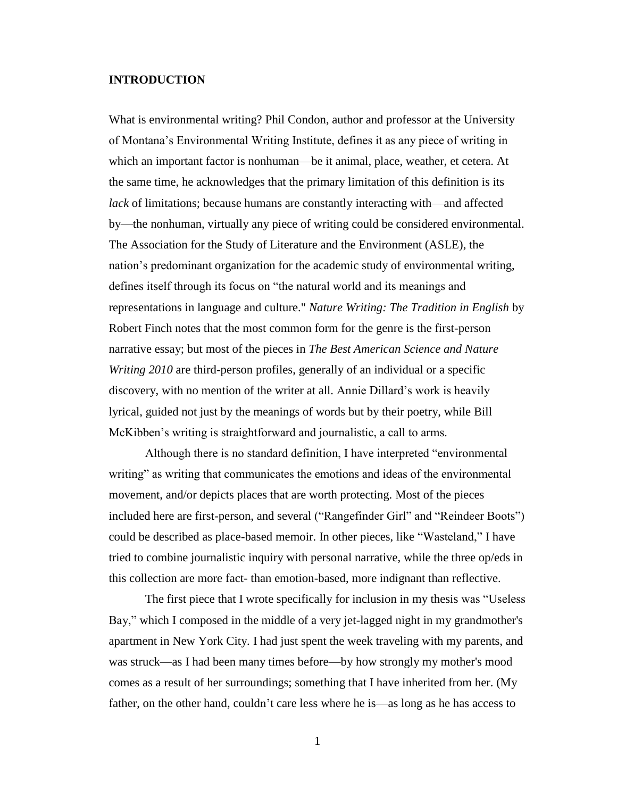#### **INTRODUCTION**

What is environmental writing? Phil Condon, author and professor at the University of Montana"s Environmental Writing Institute, defines it as any piece of writing in which an important factor is nonhuman—be it animal, place, weather, et cetera. At the same time, he acknowledges that the primary limitation of this definition is its *lack* of limitations; because humans are constantly interacting with—and affected by—the nonhuman, virtually any piece of writing could be considered environmental. The Association for the Study of Literature and the Environment (ASLE), the nation"s predominant organization for the academic study of environmental writing, defines itself through its focus on "the natural world and its meanings and representations in language and culture." *Nature Writing: The Tradition in English* by Robert Finch notes that the most common form for the genre is the first-person narrative essay; but most of the pieces in *The Best American Science and Nature Writing 2010* are third-person profiles, generally of an individual or a specific discovery, with no mention of the writer at all. Annie Dillard"s work is heavily lyrical, guided not just by the meanings of words but by their poetry, while Bill McKibben"s writing is straightforward and journalistic, a call to arms.

Although there is no standard definition, I have interpreted "environmental writing" as writing that communicates the emotions and ideas of the environmental movement, and/or depicts places that are worth protecting. Most of the pieces included here are first-person, and several ("Rangefinder Girl" and "Reindeer Boots") could be described as place-based memoir. In other pieces, like "Wasteland," I have tried to combine journalistic inquiry with personal narrative, while the three op/eds in this collection are more fact- than emotion-based, more indignant than reflective.

The first piece that I wrote specifically for inclusion in my thesis was "Useless Bay," which I composed in the middle of a very jet-lagged night in my grandmother's apartment in New York City. I had just spent the week traveling with my parents, and was struck—as I had been many times before—by how strongly my mother's mood comes as a result of her surroundings; something that I have inherited from her. (My father, on the other hand, couldn"t care less where he is—as long as he has access to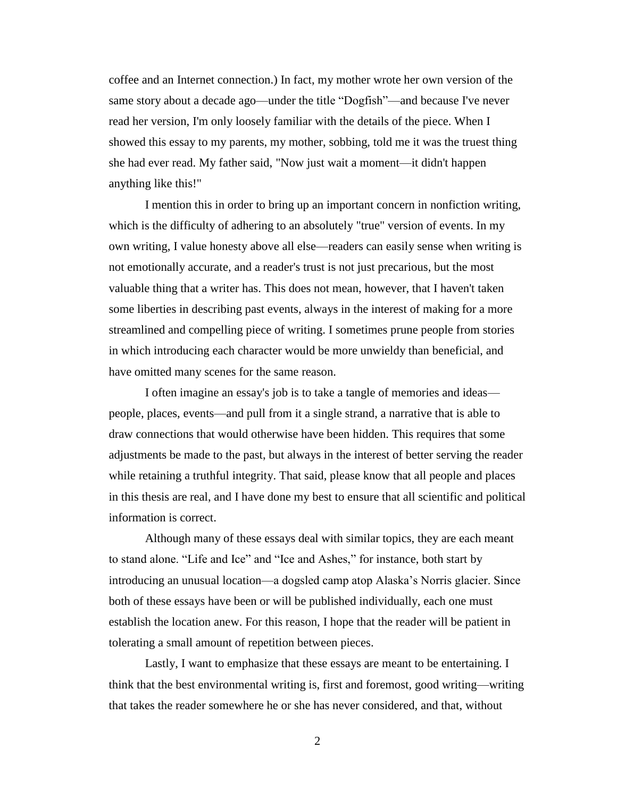coffee and an Internet connection.) In fact, my mother wrote her own version of the same story about a decade ago—under the title "Dogfish"—and because I've never read her version, I'm only loosely familiar with the details of the piece. When I showed this essay to my parents, my mother, sobbing, told me it was the truest thing she had ever read. My father said, "Now just wait a moment—it didn't happen anything like this!"

I mention this in order to bring up an important concern in nonfiction writing, which is the difficulty of adhering to an absolutely "true" version of events. In my own writing, I value honesty above all else—readers can easily sense when writing is not emotionally accurate, and a reader's trust is not just precarious, but the most valuable thing that a writer has. This does not mean, however, that I haven't taken some liberties in describing past events, always in the interest of making for a more streamlined and compelling piece of writing. I sometimes prune people from stories in which introducing each character would be more unwieldy than beneficial, and have omitted many scenes for the same reason.

I often imagine an essay's job is to take a tangle of memories and ideas people, places, events—and pull from it a single strand, a narrative that is able to draw connections that would otherwise have been hidden. This requires that some adjustments be made to the past, but always in the interest of better serving the reader while retaining a truthful integrity. That said, please know that all people and places in this thesis are real, and I have done my best to ensure that all scientific and political information is correct.

Although many of these essays deal with similar topics, they are each meant to stand alone. "Life and Ice" and "Ice and Ashes," for instance, both start by introducing an unusual location—a dogsled camp atop Alaska"s Norris glacier. Since both of these essays have been or will be published individually, each one must establish the location anew. For this reason, I hope that the reader will be patient in tolerating a small amount of repetition between pieces.

Lastly, I want to emphasize that these essays are meant to be entertaining. I think that the best environmental writing is, first and foremost, good writing—writing that takes the reader somewhere he or she has never considered, and that, without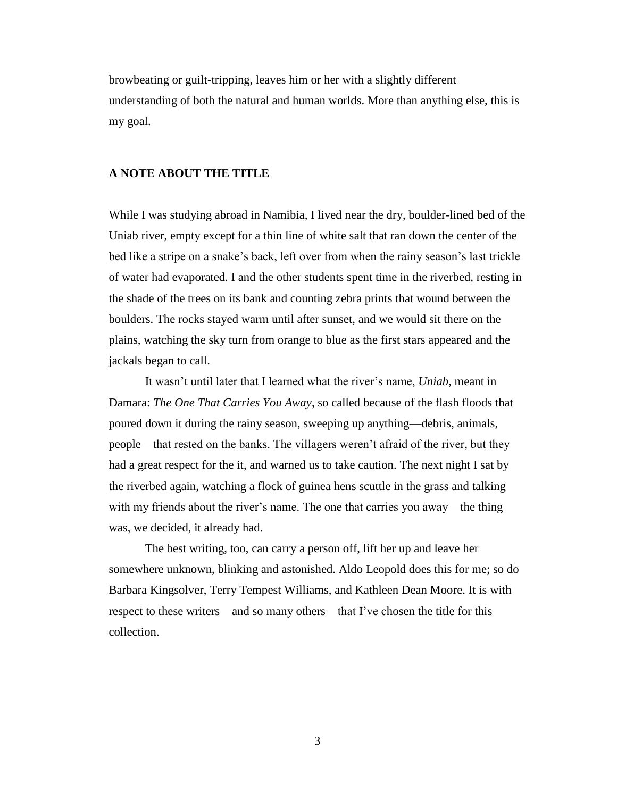browbeating or guilt-tripping, leaves him or her with a slightly different understanding of both the natural and human worlds. More than anything else, this is my goal.

#### <span id="page-7-0"></span>**A NOTE ABOUT THE TITLE**

While I was studying abroad in Namibia, I lived near the dry, boulder-lined bed of the Uniab river, empty except for a thin line of white salt that ran down the center of the bed like a stripe on a snake"s back, left over from when the rainy season"s last trickle of water had evaporated. I and the other students spent time in the riverbed, resting in the shade of the trees on its bank and counting zebra prints that wound between the boulders. The rocks stayed warm until after sunset, and we would sit there on the plains, watching the sky turn from orange to blue as the first stars appeared and the jackals began to call.

It wasn"t until later that I learned what the river"s name, *Uniab,* meant in Damara: *The One That Carries You Away*, so called because of the flash floods that poured down it during the rainy season, sweeping up anything—debris, animals, people—that rested on the banks. The villagers weren"t afraid of the river, but they had a great respect for the it, and warned us to take caution. The next night I sat by the riverbed again, watching a flock of guinea hens scuttle in the grass and talking with my friends about the river's name. The one that carries you away—the thing was, we decided, it already had.

The best writing, too, can carry a person off, lift her up and leave her somewhere unknown, blinking and astonished. Aldo Leopold does this for me; so do Barbara Kingsolver, Terry Tempest Williams, and Kathleen Dean Moore. It is with respect to these writers—and so many others—that I"ve chosen the title for this collection.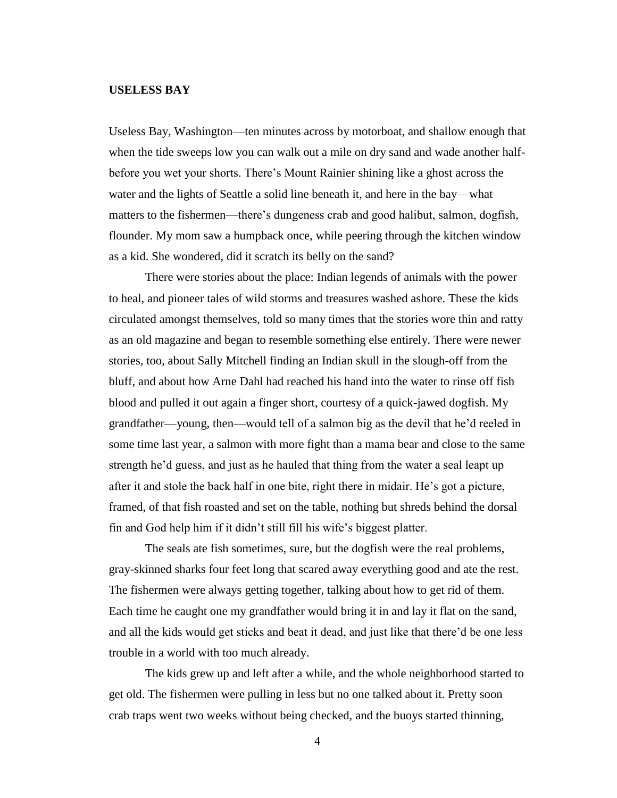#### <span id="page-8-0"></span>**USELESS BAY**

Useless Bay, Washington—ten minutes across by motorboat, and shallow enough that when the tide sweeps low you can walk out a mile on dry sand and wade another halfbefore you wet your shorts. There"s Mount Rainier shining like a ghost across the water and the lights of Seattle a solid line beneath it, and here in the bay—what matters to the fishermen—there"s dungeness crab and good halibut, salmon, dogfish, flounder. My mom saw a humpback once, while peering through the kitchen window as a kid. She wondered, did it scratch its belly on the sand?

There were stories about the place: Indian legends of animals with the power to heal, and pioneer tales of wild storms and treasures washed ashore. These the kids circulated amongst themselves, told so many times that the stories wore thin and ratty as an old magazine and began to resemble something else entirely. There were newer stories, too, about Sally Mitchell finding an Indian skull in the slough-off from the bluff, and about how Arne Dahl had reached his hand into the water to rinse off fish blood and pulled it out again a finger short, courtesy of a quick-jawed dogfish. My grandfather—young, then—would tell of a salmon big as the devil that he"d reeled in some time last year, a salmon with more fight than a mama bear and close to the same strength he'd guess, and just as he hauled that thing from the water a seal leapt up after it and stole the back half in one bite, right there in midair. He"s got a picture, framed, of that fish roasted and set on the table, nothing but shreds behind the dorsal fin and God help him if it didn"t still fill his wife"s biggest platter.

The seals ate fish sometimes, sure, but the dogfish were the real problems, gray-skinned sharks four feet long that scared away everything good and ate the rest. The fishermen were always getting together, talking about how to get rid of them. Each time he caught one my grandfather would bring it in and lay it flat on the sand, and all the kids would get sticks and beat it dead, and just like that there"d be one less trouble in a world with too much already.

The kids grew up and left after a while, and the whole neighborhood started to get old. The fishermen were pulling in less but no one talked about it. Pretty soon crab traps went two weeks without being checked, and the buoys started thinning,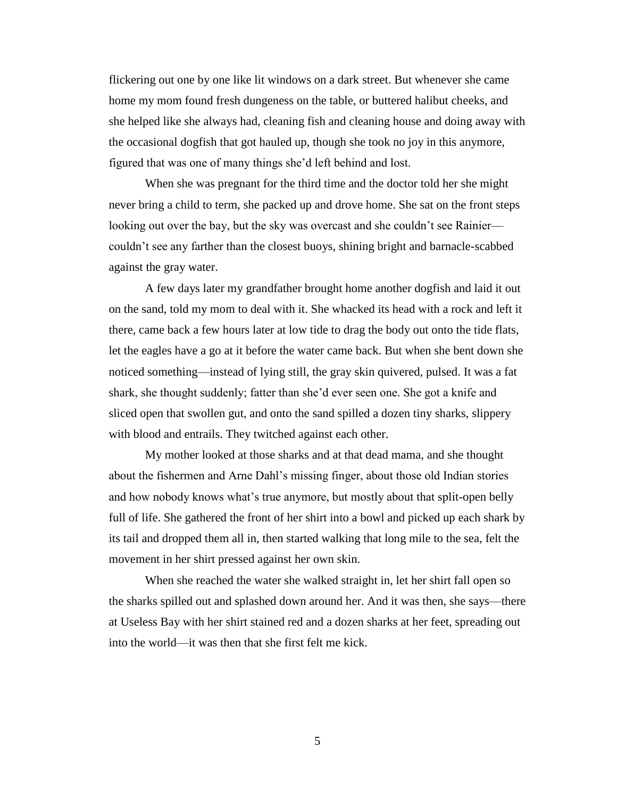flickering out one by one like lit windows on a dark street. But whenever she came home my mom found fresh dungeness on the table, or buttered halibut cheeks, and she helped like she always had, cleaning fish and cleaning house and doing away with the occasional dogfish that got hauled up, though she took no joy in this anymore, figured that was one of many things she"d left behind and lost.

When she was pregnant for the third time and the doctor told her she might never bring a child to term, she packed up and drove home. She sat on the front steps looking out over the bay, but the sky was overcast and she couldn't see Rainiercouldn"t see any farther than the closest buoys, shining bright and barnacle-scabbed against the gray water.

A few days later my grandfather brought home another dogfish and laid it out on the sand, told my mom to deal with it. She whacked its head with a rock and left it there, came back a few hours later at low tide to drag the body out onto the tide flats, let the eagles have a go at it before the water came back. But when she bent down she noticed something—instead of lying still, the gray skin quivered, pulsed. It was a fat shark, she thought suddenly; fatter than she"d ever seen one. She got a knife and sliced open that swollen gut, and onto the sand spilled a dozen tiny sharks, slippery with blood and entrails. They twitched against each other.

My mother looked at those sharks and at that dead mama, and she thought about the fishermen and Arne Dahl"s missing finger, about those old Indian stories and how nobody knows what"s true anymore, but mostly about that split-open belly full of life. She gathered the front of her shirt into a bowl and picked up each shark by its tail and dropped them all in, then started walking that long mile to the sea, felt the movement in her shirt pressed against her own skin.

When she reached the water she walked straight in, let her shirt fall open so the sharks spilled out and splashed down around her. And it was then, she says—there at Useless Bay with her shirt stained red and a dozen sharks at her feet, spreading out into the world—it was then that she first felt me kick.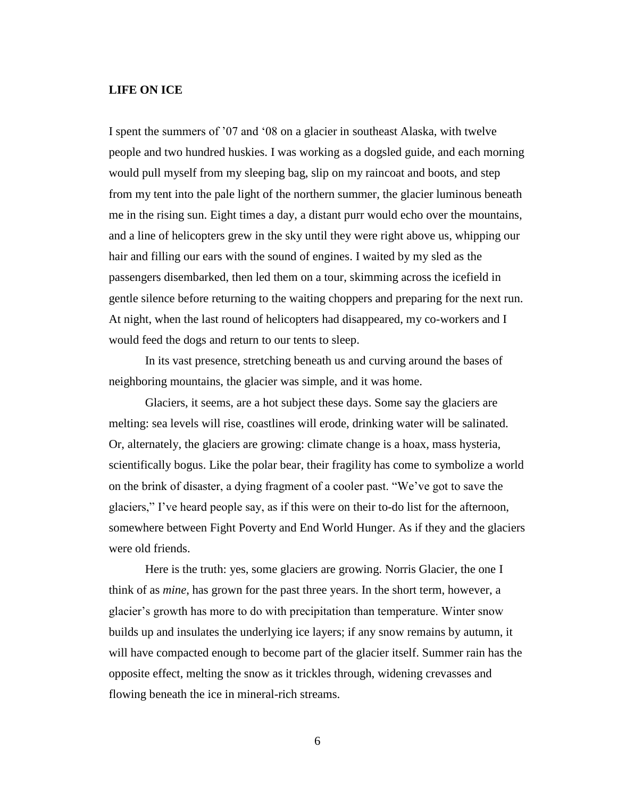#### <span id="page-10-0"></span>**LIFE ON ICE**

I spent the summers of "07 and "08 on a glacier in southeast Alaska, with twelve people and two hundred huskies. I was working as a dogsled guide, and each morning would pull myself from my sleeping bag, slip on my raincoat and boots, and step from my tent into the pale light of the northern summer, the glacier luminous beneath me in the rising sun. Eight times a day, a distant purr would echo over the mountains, and a line of helicopters grew in the sky until they were right above us, whipping our hair and filling our ears with the sound of engines. I waited by my sled as the passengers disembarked, then led them on a tour, skimming across the icefield in gentle silence before returning to the waiting choppers and preparing for the next run. At night, when the last round of helicopters had disappeared, my co-workers and I would feed the dogs and return to our tents to sleep.

In its vast presence, stretching beneath us and curving around the bases of neighboring mountains, the glacier was simple, and it was home.

Glaciers, it seems, are a hot subject these days. Some say the glaciers are melting: sea levels will rise, coastlines will erode, drinking water will be salinated. Or, alternately, the glaciers are growing: climate change is a hoax, mass hysteria, scientifically bogus. Like the polar bear, their fragility has come to symbolize a world on the brink of disaster, a dying fragment of a cooler past. "We"ve got to save the glaciers," I've heard people say, as if this were on their to-do list for the afternoon, somewhere between Fight Poverty and End World Hunger. As if they and the glaciers were old friends.

Here is the truth: yes, some glaciers are growing. Norris Glacier, the one I think of as *mine*, has grown for the past three years. In the short term, however, a glacier"s growth has more to do with precipitation than temperature. Winter snow builds up and insulates the underlying ice layers; if any snow remains by autumn, it will have compacted enough to become part of the glacier itself. Summer rain has the opposite effect, melting the snow as it trickles through, widening crevasses and flowing beneath the ice in mineral-rich streams.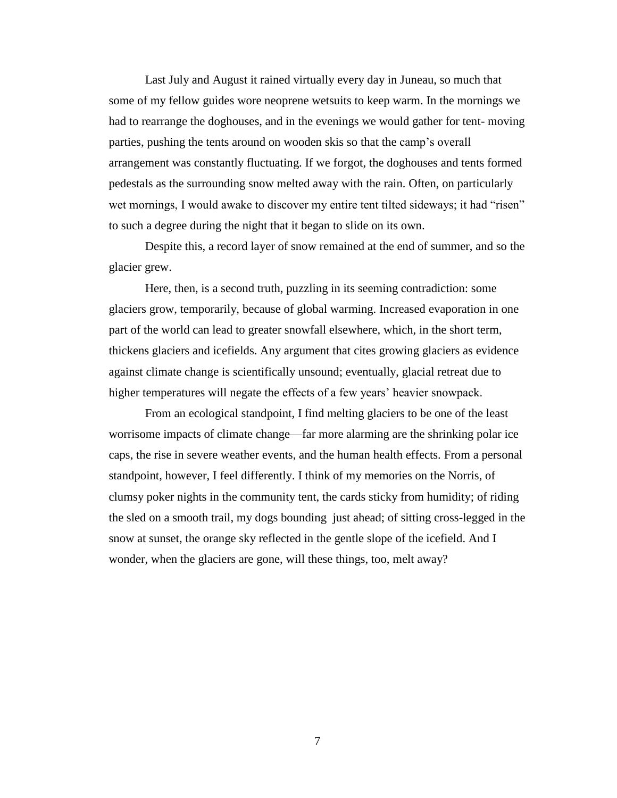Last July and August it rained virtually every day in Juneau, so much that some of my fellow guides wore neoprene wetsuits to keep warm. In the mornings we had to rearrange the doghouses, and in the evenings we would gather for tent- moving parties, pushing the tents around on wooden skis so that the camp"s overall arrangement was constantly fluctuating. If we forgot, the doghouses and tents formed pedestals as the surrounding snow melted away with the rain. Often, on particularly wet mornings, I would awake to discover my entire tent tilted sideways; it had "risen" to such a degree during the night that it began to slide on its own.

Despite this, a record layer of snow remained at the end of summer, and so the glacier grew.

Here, then, is a second truth, puzzling in its seeming contradiction: some glaciers grow, temporarily, because of global warming. Increased evaporation in one part of the world can lead to greater snowfall elsewhere, which, in the short term, thickens glaciers and icefields. Any argument that cites growing glaciers as evidence against climate change is scientifically unsound; eventually, glacial retreat due to higher temperatures will negate the effects of a few years' heavier snowpack.

From an ecological standpoint, I find melting glaciers to be one of the least worrisome impacts of climate change—far more alarming are the shrinking polar ice caps, the rise in severe weather events, and the human health effects. From a personal standpoint, however, I feel differently. I think of my memories on the Norris, of clumsy poker nights in the community tent, the cards sticky from humidity; of riding the sled on a smooth trail, my dogs bounding just ahead; of sitting cross-legged in the snow at sunset, the orange sky reflected in the gentle slope of the icefield. And I wonder, when the glaciers are gone, will these things, too, melt away?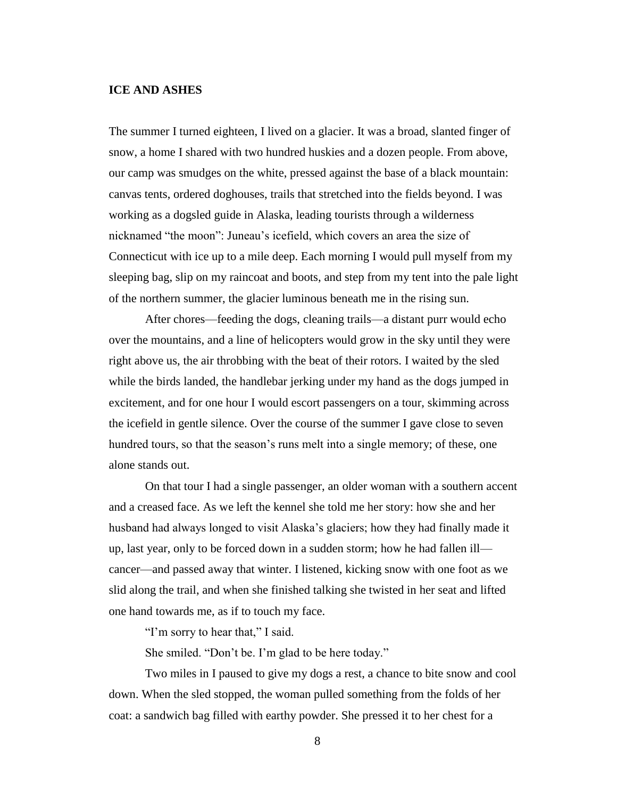#### <span id="page-12-0"></span>**ICE AND ASHES**

The summer I turned eighteen, I lived on a glacier. It was a broad, slanted finger of snow, a home I shared with two hundred huskies and a dozen people. From above, our camp was smudges on the white, pressed against the base of a black mountain: canvas tents, ordered doghouses, trails that stretched into the fields beyond. I was working as a dogsled guide in Alaska, leading tourists through a wilderness nicknamed "the moon": Juneau"s icefield, which covers an area the size of Connecticut with ice up to a mile deep. Each morning I would pull myself from my sleeping bag, slip on my raincoat and boots, and step from my tent into the pale light of the northern summer, the glacier luminous beneath me in the rising sun.

After chores—feeding the dogs, cleaning trails—a distant purr would echo over the mountains, and a line of helicopters would grow in the sky until they were right above us, the air throbbing with the beat of their rotors. I waited by the sled while the birds landed, the handlebar jerking under my hand as the dogs jumped in excitement, and for one hour I would escort passengers on a tour, skimming across the icefield in gentle silence. Over the course of the summer I gave close to seven hundred tours, so that the season's runs melt into a single memory; of these, one alone stands out.

On that tour I had a single passenger, an older woman with a southern accent and a creased face. As we left the kennel she told me her story: how she and her husband had always longed to visit Alaska"s glaciers; how they had finally made it up, last year, only to be forced down in a sudden storm; how he had fallen ill cancer—and passed away that winter. I listened, kicking snow with one foot as we slid along the trail, and when she finished talking she twisted in her seat and lifted one hand towards me, as if to touch my face.

"I'm sorry to hear that," I said.

She smiled. "Don"t be. I"m glad to be here today."

Two miles in I paused to give my dogs a rest, a chance to bite snow and cool down. When the sled stopped, the woman pulled something from the folds of her coat: a sandwich bag filled with earthy powder. She pressed it to her chest for a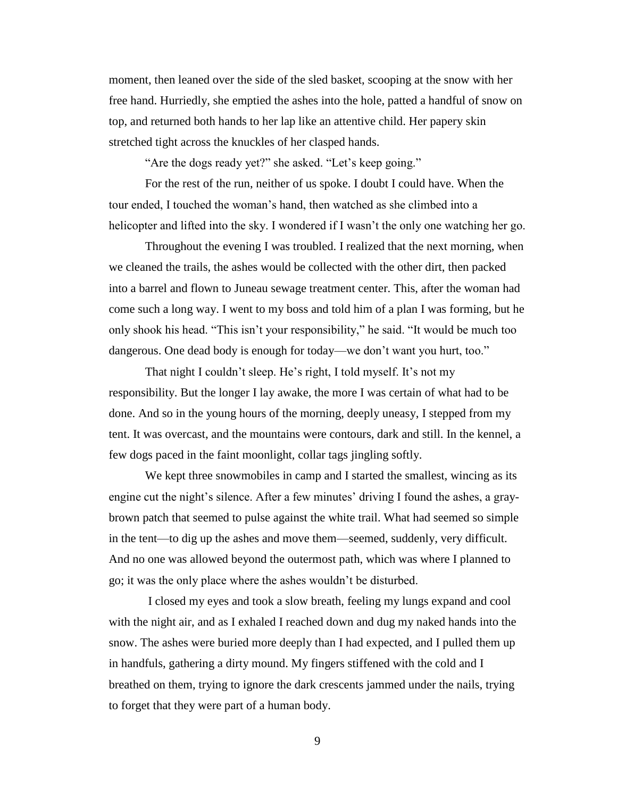moment, then leaned over the side of the sled basket, scooping at the snow with her free hand. Hurriedly, she emptied the ashes into the hole, patted a handful of snow on top, and returned both hands to her lap like an attentive child. Her papery skin stretched tight across the knuckles of her clasped hands.

"Are the dogs ready yet?" she asked. "Let's keep going."

For the rest of the run, neither of us spoke. I doubt I could have. When the tour ended, I touched the woman"s hand, then watched as she climbed into a helicopter and lifted into the sky. I wondered if I wasn"t the only one watching her go.

Throughout the evening I was troubled. I realized that the next morning, when we cleaned the trails, the ashes would be collected with the other dirt, then packed into a barrel and flown to Juneau sewage treatment center. This, after the woman had come such a long way. I went to my boss and told him of a plan I was forming, but he only shook his head. "This isn"t your responsibility," he said. "It would be much too dangerous. One dead body is enough for today—we don't want you hurt, too."

That night I couldn't sleep. He's right, I told myself. It's not my responsibility. But the longer I lay awake, the more I was certain of what had to be done. And so in the young hours of the morning, deeply uneasy, I stepped from my tent. It was overcast, and the mountains were contours, dark and still. In the kennel, a few dogs paced in the faint moonlight, collar tags jingling softly.

We kept three snowmobiles in camp and I started the smallest, wincing as its engine cut the night's silence. After a few minutes' driving I found the ashes, a graybrown patch that seemed to pulse against the white trail. What had seemed so simple in the tent—to dig up the ashes and move them—seemed, suddenly, very difficult. And no one was allowed beyond the outermost path, which was where I planned to go; it was the only place where the ashes wouldn"t be disturbed.

I closed my eyes and took a slow breath, feeling my lungs expand and cool with the night air, and as I exhaled I reached down and dug my naked hands into the snow. The ashes were buried more deeply than I had expected, and I pulled them up in handfuls, gathering a dirty mound. My fingers stiffened with the cold and I breathed on them, trying to ignore the dark crescents jammed under the nails, trying to forget that they were part of a human body.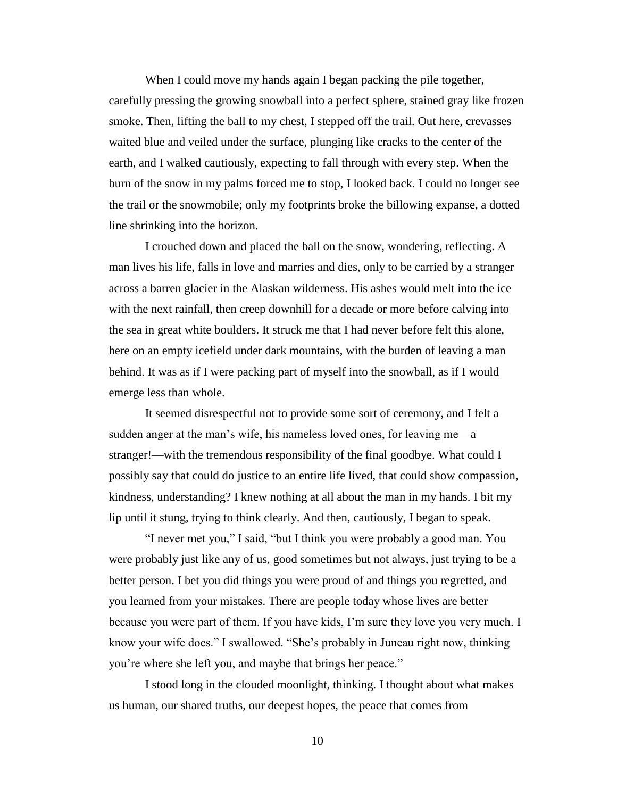When I could move my hands again I began packing the pile together, carefully pressing the growing snowball into a perfect sphere, stained gray like frozen smoke. Then, lifting the ball to my chest, I stepped off the trail. Out here, crevasses waited blue and veiled under the surface, plunging like cracks to the center of the earth, and I walked cautiously, expecting to fall through with every step. When the burn of the snow in my palms forced me to stop, I looked back. I could no longer see the trail or the snowmobile; only my footprints broke the billowing expanse, a dotted line shrinking into the horizon.

I crouched down and placed the ball on the snow, wondering, reflecting. A man lives his life, falls in love and marries and dies, only to be carried by a stranger across a barren glacier in the Alaskan wilderness. His ashes would melt into the ice with the next rainfall, then creep downhill for a decade or more before calving into the sea in great white boulders. It struck me that I had never before felt this alone, here on an empty icefield under dark mountains, with the burden of leaving a man behind. It was as if I were packing part of myself into the snowball, as if I would emerge less than whole.

It seemed disrespectful not to provide some sort of ceremony, and I felt a sudden anger at the man's wife, his nameless loved ones, for leaving me—a stranger!—with the tremendous responsibility of the final goodbye. What could I possibly say that could do justice to an entire life lived, that could show compassion, kindness, understanding? I knew nothing at all about the man in my hands. I bit my lip until it stung, trying to think clearly. And then, cautiously, I began to speak.

"I never met you," I said, "but I think you were probably a good man. You were probably just like any of us, good sometimes but not always, just trying to be a better person. I bet you did things you were proud of and things you regretted, and you learned from your mistakes. There are people today whose lives are better because you were part of them. If you have kids, I"m sure they love you very much. I know your wife does." I swallowed. "She"s probably in Juneau right now, thinking you"re where she left you, and maybe that brings her peace."

I stood long in the clouded moonlight, thinking. I thought about what makes us human, our shared truths, our deepest hopes, the peace that comes from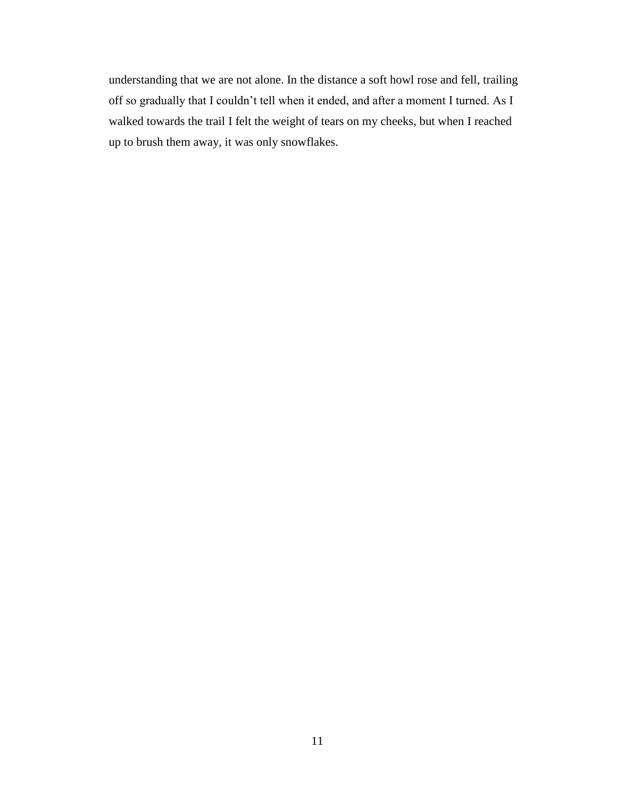understanding that we are not alone. In the distance a soft howl rose and fell, trailing off so gradually that I couldn"t tell when it ended, and after a moment I turned. As I walked towards the trail I felt the weight of tears on my cheeks, but when I reached up to brush them away, it was only snowflakes.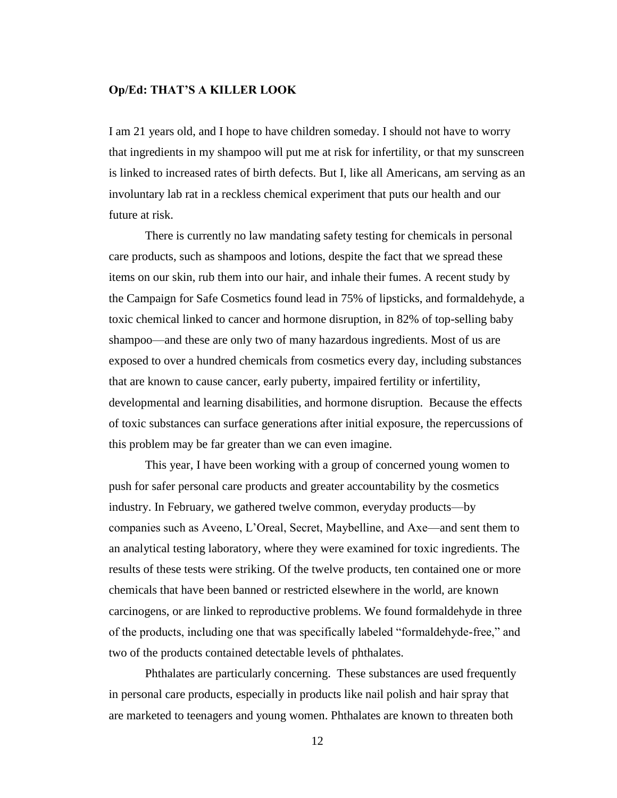#### <span id="page-16-0"></span>**Op/Ed: THAT'S A KILLER LOOK**

I am 21 years old, and I hope to have children someday. I should not have to worry that ingredients in my shampoo will put me at risk for infertility, or that my sunscreen is linked to increased rates of birth defects. But I, like all Americans, am serving as an involuntary lab rat in a reckless chemical experiment that puts our health and our future at risk.

There is currently no law mandating safety testing for chemicals in personal care products, such as shampoos and lotions, despite the fact that we spread these items on our skin, rub them into our hair, and inhale their fumes. A recent study by the Campaign for Safe Cosmetics found lead in 75% of lipsticks, and formaldehyde, a toxic chemical linked to cancer and hormone disruption, in 82% of top-selling baby shampoo—and these are only two of many hazardous ingredients. Most of us are exposed to over a hundred chemicals from cosmetics every day, including substances that are known to cause cancer, early puberty, impaired fertility or infertility, developmental and learning disabilities, and hormone disruption. Because the effects of toxic substances can surface generations after initial exposure, the repercussions of this problem may be far greater than we can even imagine.

This year, I have been working with a group of concerned young women to push for safer personal care products and greater accountability by the cosmetics industry. In February, we gathered twelve common, everyday products—by companies such as Aveeno, L"Oreal, Secret, Maybelline, and Axe—and sent them to an analytical testing laboratory, where they were examined for toxic ingredients. The results of these tests were striking. Of the twelve products, ten contained one or more chemicals that have been banned or restricted elsewhere in the world, are known carcinogens, or are linked to reproductive problems. We found formaldehyde in three of the products, including one that was specifically labeled "formaldehyde-free," and two of the products contained detectable levels of phthalates.

Phthalates are particularly concerning. These substances are used frequently in personal care products, especially in products like nail polish and hair spray that are marketed to teenagers and young women. Phthalates are known to threaten both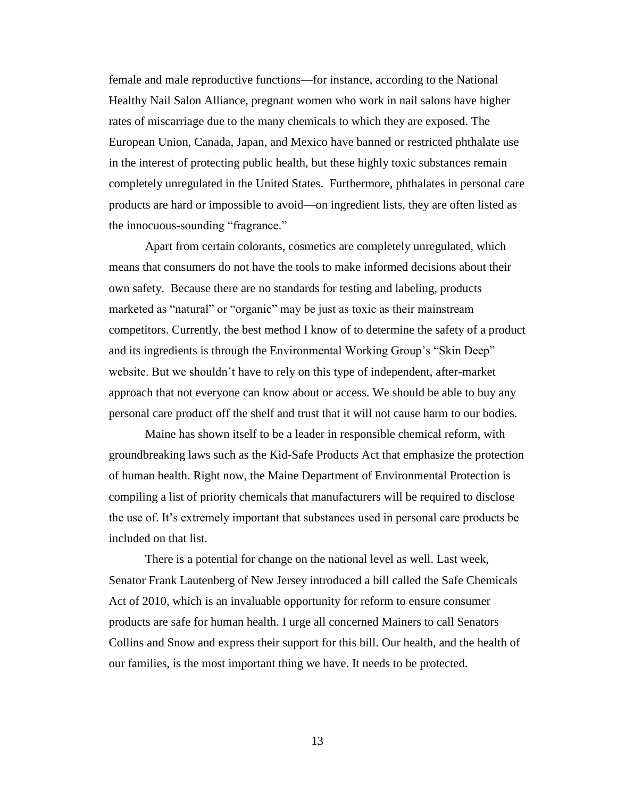female and male reproductive functions—for instance, according to the National Healthy Nail Salon Alliance, pregnant women who work in nail salons have higher rates of miscarriage due to the many chemicals to which they are exposed. The European Union, Canada, Japan, and Mexico have banned or restricted phthalate use in the interest of protecting public health, but these highly toxic substances remain completely unregulated in the United States. Furthermore, phthalates in personal care products are hard or impossible to avoid—on ingredient lists, they are often listed as the innocuous-sounding "fragrance."

Apart from certain colorants, cosmetics are completely unregulated, which means that consumers do not have the tools to make informed decisions about their own safety. Because there are no standards for testing and labeling, products marketed as "natural" or "organic" may be just as toxic as their mainstream competitors. Currently, the best method I know of to determine the safety of a product and its ingredients is through the Environmental Working Group's "Skin Deep" website. But we shouldn't have to rely on this type of independent, after-market approach that not everyone can know about or access. We should be able to buy any personal care product off the shelf and trust that it will not cause harm to our bodies.

Maine has shown itself to be a leader in responsible chemical reform, with groundbreaking laws such as the Kid-Safe Products Act that emphasize the protection of human health. Right now, the Maine Department of Environmental Protection is compiling a list of priority chemicals that manufacturers will be required to disclose the use of. It"s extremely important that substances used in personal care products be included on that list.

There is a potential for change on the national level as well. Last week, Senator Frank Lautenberg of New Jersey introduced a bill called the Safe Chemicals Act of 2010, which is an invaluable opportunity for reform to ensure consumer products are safe for human health. I urge all concerned Mainers to call Senators Collins and Snow and express their support for this bill. Our health, and the health of our families, is the most important thing we have. It needs to be protected.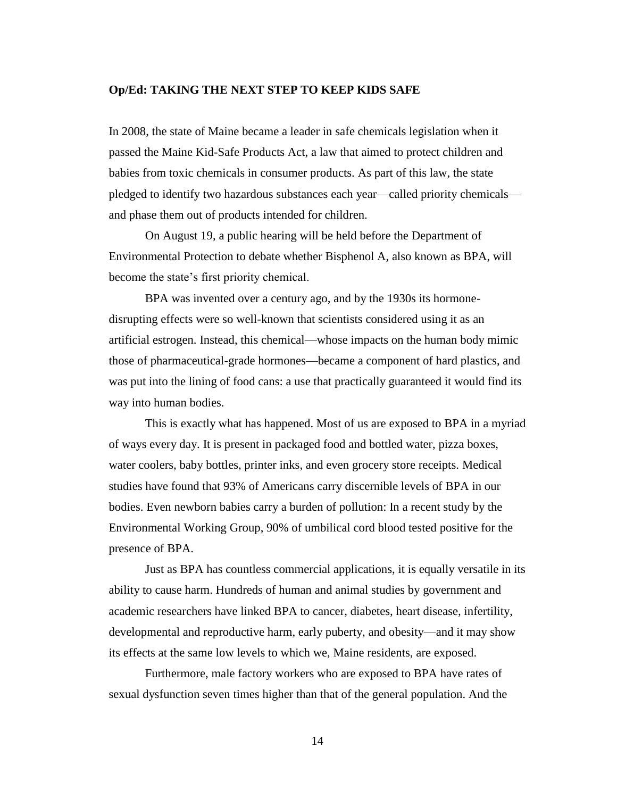#### <span id="page-18-0"></span>**Op/Ed: TAKING THE NEXT STEP TO KEEP KIDS SAFE**

In 2008, the state of Maine became a leader in safe chemicals legislation when it passed the Maine Kid-Safe Products Act, a law that aimed to protect children and babies from toxic chemicals in consumer products. As part of this law, the state pledged to identify two hazardous substances each year—called priority chemicals and phase them out of products intended for children.

On August 19, a public hearing will be held before the Department of Environmental Protection to debate whether Bisphenol A, also known as BPA, will become the state"s first priority chemical.

BPA was invented over a century ago, and by the 1930s its hormonedisrupting effects were so well-known that scientists considered using it as an artificial estrogen. Instead, this chemical—whose impacts on the human body mimic those of pharmaceutical-grade hormones—became a component of hard plastics, and was put into the lining of food cans: a use that practically guaranteed it would find its way into human bodies.

This is exactly what has happened. Most of us are exposed to BPA in a myriad of ways every day. It is present in packaged food and bottled water, pizza boxes, water coolers, baby bottles, printer inks, and even grocery store receipts. Medical studies have found that 93% of Americans carry discernible levels of BPA in our bodies. Even newborn babies carry a burden of pollution: In a recent study by the Environmental Working Group, 90% of umbilical cord blood tested positive for the presence of BPA.

Just as BPA has countless commercial applications, it is equally versatile in its ability to cause harm. Hundreds of human and animal studies by government and academic researchers have linked BPA to cancer, diabetes, heart disease, infertility, developmental and reproductive harm, early puberty, and obesity—and it may show its effects at the same low levels to which we, Maine residents, are exposed.

Furthermore, male factory workers who are exposed to BPA have rates of sexual dysfunction seven times higher than that of the general population. And the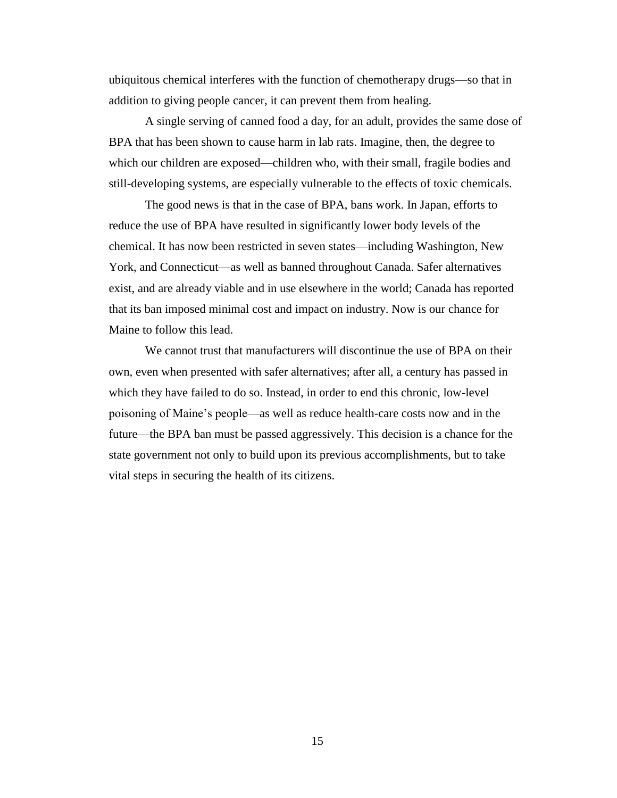ubiquitous chemical interferes with the function of chemotherapy drugs—so that in addition to giving people cancer, it can prevent them from healing.

A single serving of canned food a day, for an adult, provides the same dose of BPA that has been shown to cause harm in lab rats. Imagine, then, the degree to which our children are exposed—children who, with their small, fragile bodies and still-developing systems, are especially vulnerable to the effects of toxic chemicals.

The good news is that in the case of BPA, bans work. In Japan, efforts to reduce the use of BPA have resulted in significantly lower body levels of the chemical. It has now been restricted in seven states—including Washington, New York, and Connecticut—as well as banned throughout Canada. Safer alternatives exist, and are already viable and in use elsewhere in the world; Canada has reported that its ban imposed minimal cost and impact on industry. Now is our chance for Maine to follow this lead.

We cannot trust that manufacturers will discontinue the use of BPA on their own, even when presented with safer alternatives; after all, a century has passed in which they have failed to do so. Instead, in order to end this chronic, low-level poisoning of Maine"s people—as well as reduce health-care costs now and in the future—the BPA ban must be passed aggressively. This decision is a chance for the state government not only to build upon its previous accomplishments, but to take vital steps in securing the health of its citizens.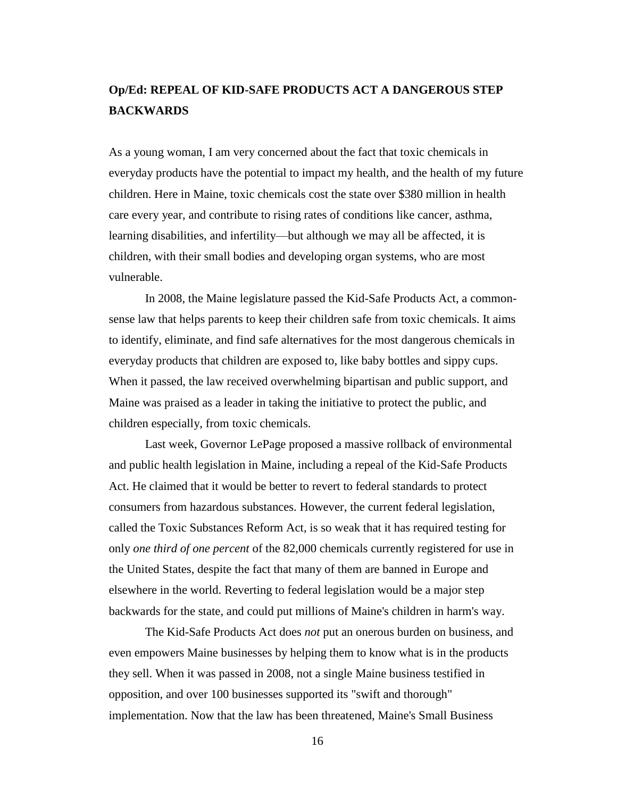### <span id="page-20-0"></span>**Op/Ed: REPEAL OF KID-SAFE PRODUCTS ACT A DANGEROUS STEP BACKWARDS**

As a young woman, I am very concerned about the fact that toxic chemicals in everyday products have the potential to impact my health, and the health of my future children. Here in Maine, toxic chemicals cost the state over \$380 million in health care every year, and contribute to rising rates of conditions like cancer, asthma, learning disabilities, and infertility—but although we may all be affected, it is children, with their small bodies and developing organ systems, who are most vulnerable.

In 2008, the Maine legislature passed the Kid-Safe Products Act, a commonsense law that helps parents to keep their children safe from toxic chemicals. It aims to identify, eliminate, and find safe alternatives for the most dangerous chemicals in everyday products that children are exposed to, like baby bottles and sippy cups. When it passed, the law received overwhelming bipartisan and public support, and Maine was praised as a leader in taking the initiative to protect the public, and children especially, from toxic chemicals.

Last week, Governor LePage proposed a massive rollback of environmental and public health legislation in Maine, including a repeal of the Kid-Safe Products Act. He claimed that it would be better to revert to federal standards to protect consumers from hazardous substances. However, the current federal legislation, called the Toxic Substances Reform Act, is so weak that it has required testing for only *one third of one percent* of the 82,000 chemicals currently registered for use in the United States, despite the fact that many of them are banned in Europe and elsewhere in the world. Reverting to federal legislation would be a major step backwards for the state, and could put millions of Maine's children in harm's way.

The Kid-Safe Products Act does *not* put an onerous burden on business, and even empowers Maine businesses by helping them to know what is in the products they sell. When it was passed in 2008, not a single Maine business testified in opposition, and over 100 businesses supported its "swift and thorough" implementation. Now that the law has been threatened, Maine's Small Business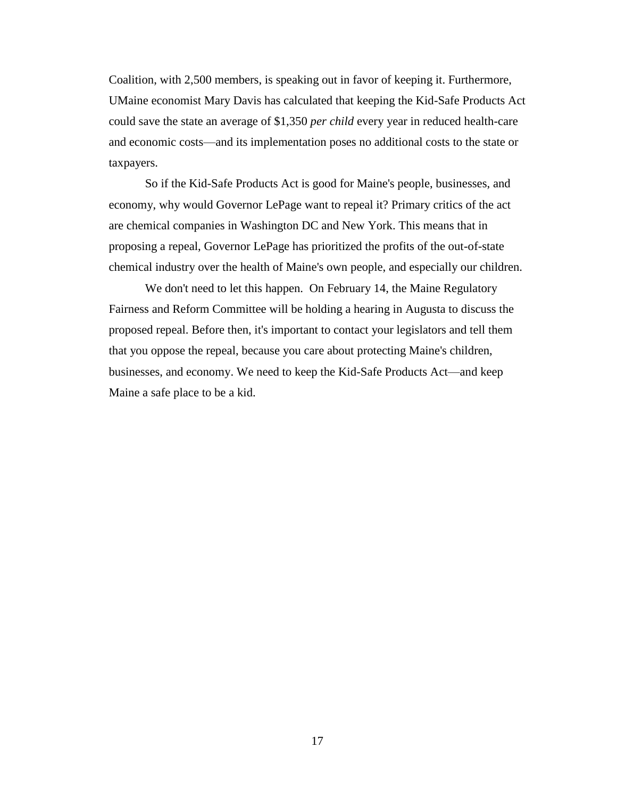Coalition, with 2,500 members, is speaking out in favor of keeping it. Furthermore, UMaine economist Mary Davis has calculated that keeping the Kid-Safe Products Act could save the state an average of \$1,350 *per child* every year in reduced health-care and economic costs—and its implementation poses no additional costs to the state or taxpayers.

So if the Kid-Safe Products Act is good for Maine's people, businesses, and economy, why would Governor LePage want to repeal it? Primary critics of the act are chemical companies in Washington DC and New York. This means that in proposing a repeal, Governor LePage has prioritized the profits of the out-of-state chemical industry over the health of Maine's own people, and especially our children.

We don't need to let this happen. On February 14, the Maine Regulatory Fairness and Reform Committee will be holding a hearing in Augusta to discuss the proposed repeal. Before then, it's important to contact your legislators and tell them that you oppose the repeal, because you care about protecting Maine's children, businesses, and economy. We need to keep the Kid-Safe Products Act—and keep Maine a safe place to be a kid.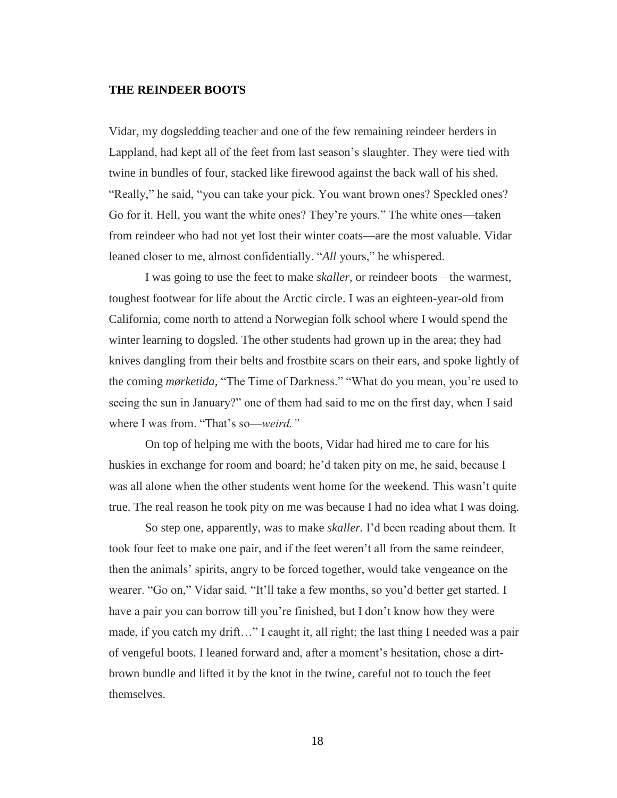#### <span id="page-22-0"></span>**THE REINDEER BOOTS**

Vidar, my dogsledding teacher and one of the few remaining reindeer herders in Lappland, had kept all of the feet from last season's slaughter. They were tied with twine in bundles of four, stacked like firewood against the back wall of his shed. "Really," he said, "you can take your pick. You want brown ones? Speckled ones? Go for it. Hell, you want the white ones? They"re yours." The white ones—taken from reindeer who had not yet lost their winter coats—are the most valuable. Vidar leaned closer to me, almost confidentially. "*All* yours," he whispered.

I was going to use the feet to make *skaller,* or reindeer boots—the warmest, toughest footwear for life about the Arctic circle. I was an eighteen-year-old from California, come north to attend a Norwegian folk school where I would spend the winter learning to dogsled. The other students had grown up in the area; they had knives dangling from their belts and frostbite scars on their ears, and spoke lightly of the coming *mørketida,* "The Time of Darkness." "What do you mean, you"re used to seeing the sun in January?" one of them had said to me on the first day, when I said where I was from. "That's so—*weird.*"

On top of helping me with the boots, Vidar had hired me to care for his huskies in exchange for room and board; he'd taken pity on me, he said, because I was all alone when the other students went home for the weekend. This wasn"t quite true. The real reason he took pity on me was because I had no idea what I was doing.

So step one, apparently, was to make *skaller.* I"d been reading about them. It took four feet to make one pair, and if the feet weren't all from the same reindeer, then the animals" spirits, angry to be forced together, would take vengeance on the wearer. "Go on," Vidar said. "It"ll take a few months, so you"d better get started. I have a pair you can borrow till you're finished, but I don't know how they were made, if you catch my drift…" I caught it, all right; the last thing I needed was a pair of vengeful boots. I leaned forward and, after a moment"s hesitation, chose a dirtbrown bundle and lifted it by the knot in the twine, careful not to touch the feet themselves.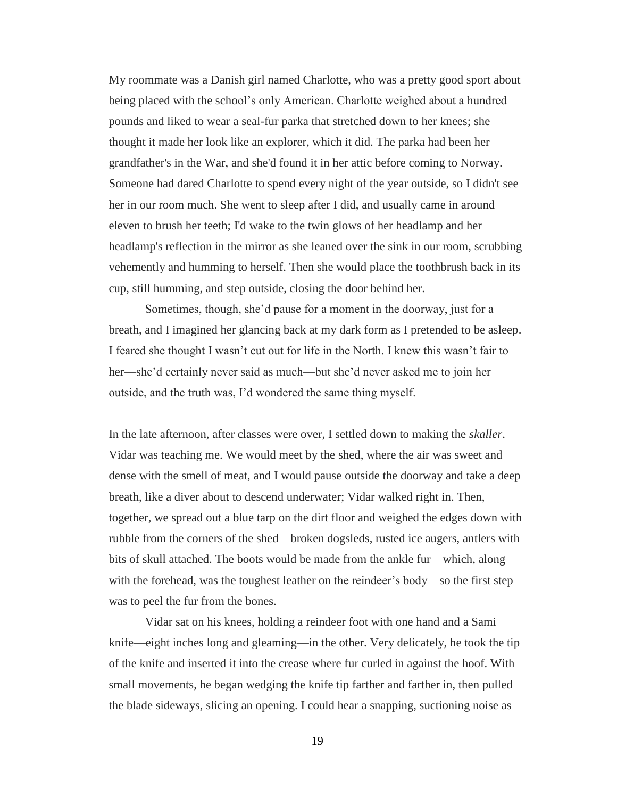My roommate was a Danish girl named Charlotte, who was a pretty good sport about being placed with the school"s only American. Charlotte weighed about a hundred pounds and liked to wear a seal-fur parka that stretched down to her knees; she thought it made her look like an explorer, which it did. The parka had been her grandfather's in the War, and she'd found it in her attic before coming to Norway. Someone had dared Charlotte to spend every night of the year outside, so I didn't see her in our room much. She went to sleep after I did, and usually came in around eleven to brush her teeth; I'd wake to the twin glows of her headlamp and her headlamp's reflection in the mirror as she leaned over the sink in our room, scrubbing vehemently and humming to herself. Then she would place the toothbrush back in its cup, still humming, and step outside, closing the door behind her.

Sometimes, though, she"d pause for a moment in the doorway, just for a breath, and I imagined her glancing back at my dark form as I pretended to be asleep. I feared she thought I wasn"t cut out for life in the North. I knew this wasn"t fair to her—she'd certainly never said as much—but she'd never asked me to join her outside, and the truth was, I"d wondered the same thing myself.

In the late afternoon, after classes were over, I settled down to making the *skaller*. Vidar was teaching me. We would meet by the shed, where the air was sweet and dense with the smell of meat, and I would pause outside the doorway and take a deep breath, like a diver about to descend underwater; Vidar walked right in. Then, together, we spread out a blue tarp on the dirt floor and weighed the edges down with rubble from the corners of the shed—broken dogsleds, rusted ice augers, antlers with bits of skull attached. The boots would be made from the ankle fur—which, along with the forehead, was the toughest leather on the reindeer's body—so the first step was to peel the fur from the bones.

Vidar sat on his knees, holding a reindeer foot with one hand and a Sami knife—eight inches long and gleaming—in the other. Very delicately, he took the tip of the knife and inserted it into the crease where fur curled in against the hoof. With small movements, he began wedging the knife tip farther and farther in, then pulled the blade sideways, slicing an opening. I could hear a snapping, suctioning noise as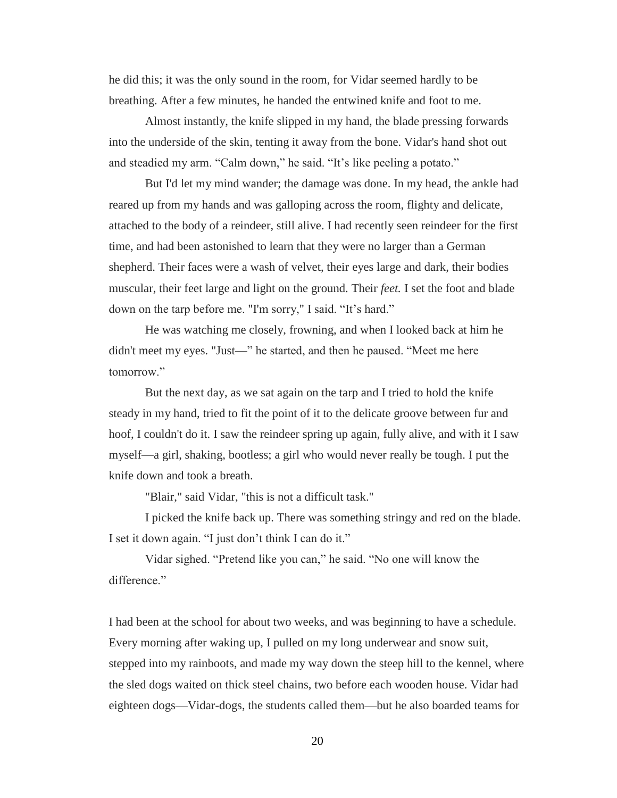he did this; it was the only sound in the room, for Vidar seemed hardly to be breathing. After a few minutes, he handed the entwined knife and foot to me.

 Almost instantly, the knife slipped in my hand, the blade pressing forwards into the underside of the skin, tenting it away from the bone. Vidar's hand shot out and steadied my arm. "Calm down," he said. "It's like peeling a potato."

 But I'd let my mind wander; the damage was done. In my head, the ankle had reared up from my hands and was galloping across the room, flighty and delicate, attached to the body of a reindeer, still alive. I had recently seen reindeer for the first time, and had been astonished to learn that they were no larger than a German shepherd. Their faces were a wash of velvet, their eyes large and dark, their bodies muscular, their feet large and light on the ground. Their *feet.* I set the foot and blade down on the tarp before me. "I'm sorry," I said. "It's hard."

 He was watching me closely, frowning, and when I looked back at him he didn't meet my eyes. "Just—" he started, and then he paused. "Meet me here tomorrow."

 But the next day, as we sat again on the tarp and I tried to hold the knife steady in my hand, tried to fit the point of it to the delicate groove between fur and hoof, I couldn't do it. I saw the reindeer spring up again, fully alive, and with it I saw myself—a girl, shaking, bootless; a girl who would never really be tough. I put the knife down and took a breath.

"Blair," said Vidar, "this is not a difficult task."

 I picked the knife back up. There was something stringy and red on the blade. I set it down again. "I just don"t think I can do it."

 Vidar sighed. "Pretend like you can," he said. "No one will know the difference"

I had been at the school for about two weeks, and was beginning to have a schedule. Every morning after waking up, I pulled on my long underwear and snow suit, stepped into my rainboots, and made my way down the steep hill to the kennel, where the sled dogs waited on thick steel chains, two before each wooden house. Vidar had eighteen dogs—Vidar-dogs, the students called them—but he also boarded teams for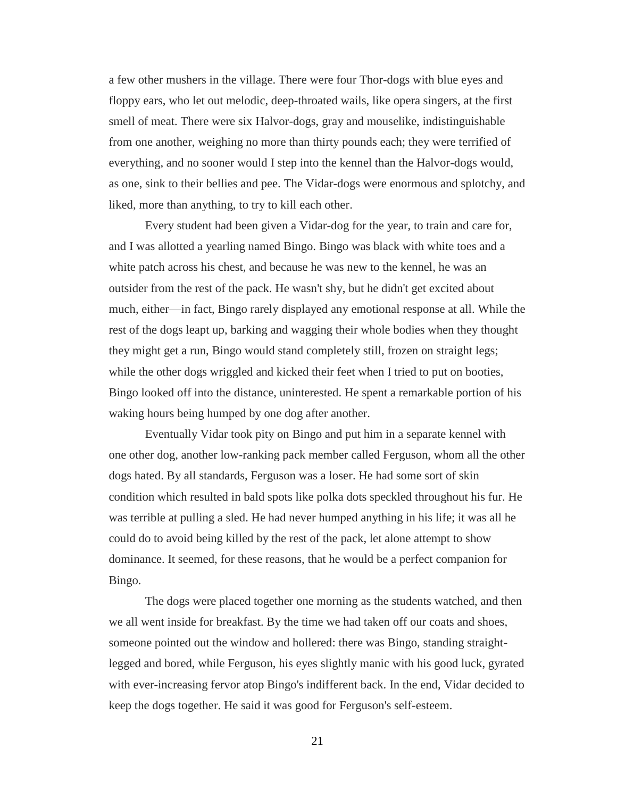a few other mushers in the village. There were four Thor-dogs with blue eyes and floppy ears, who let out melodic, deep-throated wails, like opera singers, at the first smell of meat. There were six Halvor-dogs, gray and mouselike, indistinguishable from one another, weighing no more than thirty pounds each; they were terrified of everything, and no sooner would I step into the kennel than the Halvor-dogs would, as one, sink to their bellies and pee. The Vidar-dogs were enormous and splotchy, and liked, more than anything, to try to kill each other.

 Every student had been given a Vidar-dog for the year, to train and care for, and I was allotted a yearling named Bingo. Bingo was black with white toes and a white patch across his chest, and because he was new to the kennel, he was an outsider from the rest of the pack. He wasn't shy, but he didn't get excited about much, either—in fact, Bingo rarely displayed any emotional response at all. While the rest of the dogs leapt up, barking and wagging their whole bodies when they thought they might get a run, Bingo would stand completely still, frozen on straight legs; while the other dogs wriggled and kicked their feet when I tried to put on booties, Bingo looked off into the distance, uninterested. He spent a remarkable portion of his waking hours being humped by one dog after another.

Eventually Vidar took pity on Bingo and put him in a separate kennel with one other dog, another low-ranking pack member called Ferguson, whom all the other dogs hated. By all standards, Ferguson was a loser. He had some sort of skin condition which resulted in bald spots like polka dots speckled throughout his fur. He was terrible at pulling a sled. He had never humped anything in his life; it was all he could do to avoid being killed by the rest of the pack, let alone attempt to show dominance. It seemed, for these reasons, that he would be a perfect companion for Bingo.

The dogs were placed together one morning as the students watched, and then we all went inside for breakfast. By the time we had taken off our coats and shoes, someone pointed out the window and hollered: there was Bingo, standing straightlegged and bored, while Ferguson, his eyes slightly manic with his good luck, gyrated with ever-increasing fervor atop Bingo's indifferent back. In the end, Vidar decided to keep the dogs together. He said it was good for Ferguson's self-esteem.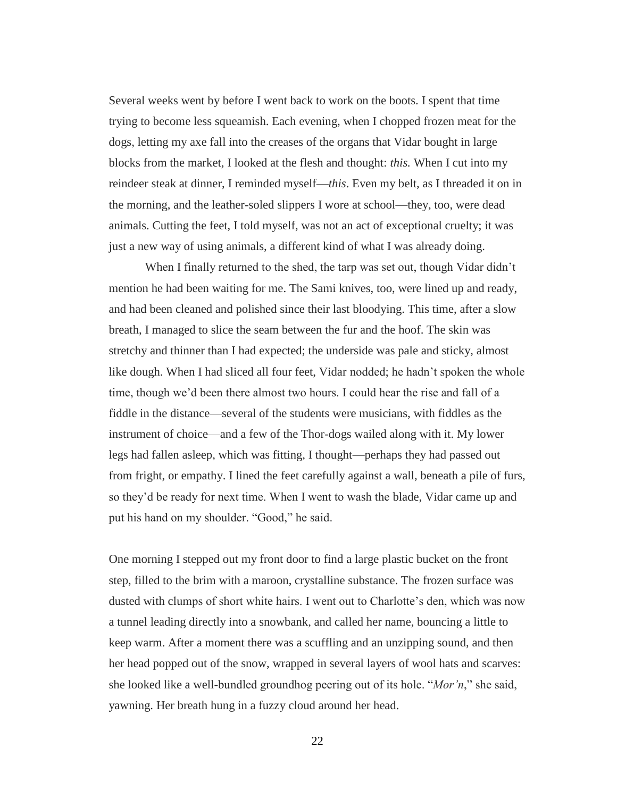Several weeks went by before I went back to work on the boots. I spent that time trying to become less squeamish. Each evening, when I chopped frozen meat for the dogs, letting my axe fall into the creases of the organs that Vidar bought in large blocks from the market, I looked at the flesh and thought: *this.* When I cut into my reindeer steak at dinner, I reminded myself—*this*. Even my belt, as I threaded it on in the morning, and the leather-soled slippers I wore at school—they, too, were dead animals. Cutting the feet, I told myself, was not an act of exceptional cruelty; it was just a new way of using animals, a different kind of what I was already doing.

When I finally returned to the shed, the tarp was set out, though Vidar didn't mention he had been waiting for me. The Sami knives, too, were lined up and ready, and had been cleaned and polished since their last bloodying. This time, after a slow breath, I managed to slice the seam between the fur and the hoof. The skin was stretchy and thinner than I had expected; the underside was pale and sticky, almost like dough. When I had sliced all four feet, Vidar nodded; he hadn"t spoken the whole time, though we"d been there almost two hours. I could hear the rise and fall of a fiddle in the distance—several of the students were musicians, with fiddles as the instrument of choice—and a few of the Thor-dogs wailed along with it. My lower legs had fallen asleep, which was fitting, I thought—perhaps they had passed out from fright, or empathy. I lined the feet carefully against a wall, beneath a pile of furs, so they"d be ready for next time. When I went to wash the blade, Vidar came up and put his hand on my shoulder. "Good," he said.

One morning I stepped out my front door to find a large plastic bucket on the front step, filled to the brim with a maroon, crystalline substance. The frozen surface was dusted with clumps of short white hairs. I went out to Charlotte"s den, which was now a tunnel leading directly into a snowbank, and called her name, bouncing a little to keep warm. After a moment there was a scuffling and an unzipping sound, and then her head popped out of the snow, wrapped in several layers of wool hats and scarves: she looked like a well-bundled groundhog peering out of its hole. "*Mor'n*," she said, yawning. Her breath hung in a fuzzy cloud around her head.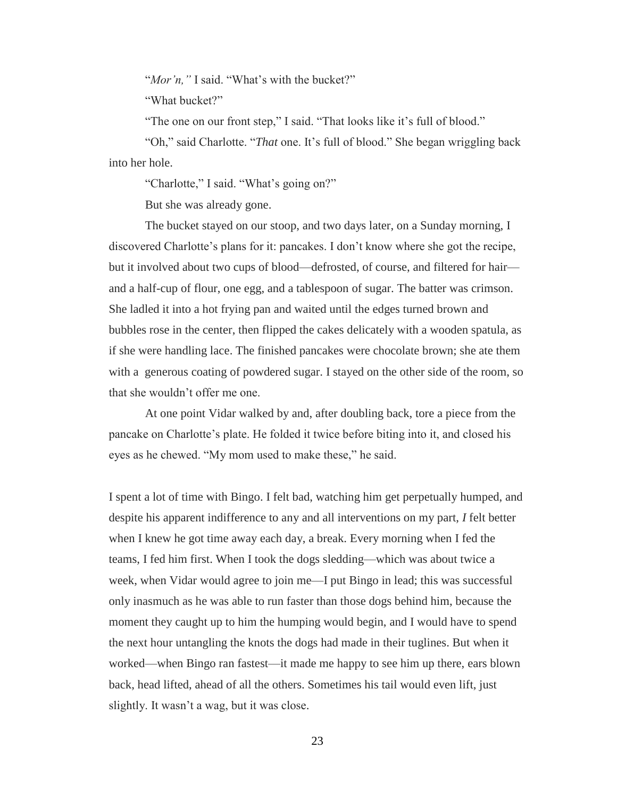"*Mor'n*, "I said. "What's with the bucket?"

"What bucket?"

"The one on our front step," I said. "That looks like it's full of blood."

"Oh," said Charlotte. "*That* one. It"s full of blood." She began wriggling back into her hole.

"Charlotte," I said. "What's going on?"

But she was already gone.

The bucket stayed on our stoop, and two days later, on a Sunday morning, I discovered Charlotte"s plans for it: pancakes. I don"t know where she got the recipe, but it involved about two cups of blood—defrosted, of course, and filtered for hair and a half-cup of flour, one egg, and a tablespoon of sugar. The batter was crimson. She ladled it into a hot frying pan and waited until the edges turned brown and bubbles rose in the center, then flipped the cakes delicately with a wooden spatula, as if she were handling lace. The finished pancakes were chocolate brown; she ate them with a generous coating of powdered sugar. I stayed on the other side of the room, so that she wouldn"t offer me one.

At one point Vidar walked by and, after doubling back, tore a piece from the pancake on Charlotte"s plate. He folded it twice before biting into it, and closed his eyes as he chewed. "My mom used to make these," he said.

I spent a lot of time with Bingo. I felt bad, watching him get perpetually humped, and despite his apparent indifference to any and all interventions on my part, *I* felt better when I knew he got time away each day, a break. Every morning when I fed the teams, I fed him first. When I took the dogs sledding—which was about twice a week, when Vidar would agree to join me—I put Bingo in lead; this was successful only inasmuch as he was able to run faster than those dogs behind him, because the moment they caught up to him the humping would begin, and I would have to spend the next hour untangling the knots the dogs had made in their tuglines. But when it worked—when Bingo ran fastest—it made me happy to see him up there, ears blown back, head lifted, ahead of all the others. Sometimes his tail would even lift, just slightly. It wasn't a wag, but it was close.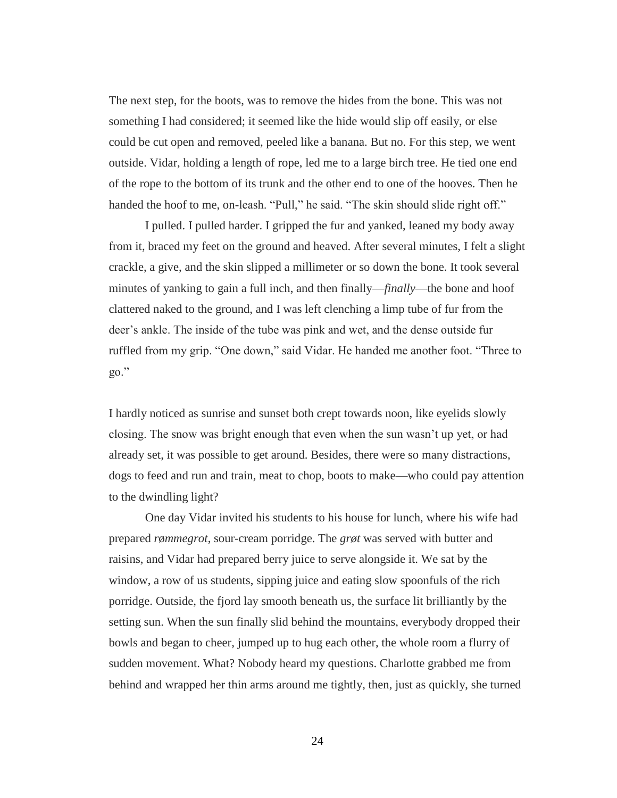The next step, for the boots, was to remove the hides from the bone. This was not something I had considered; it seemed like the hide would slip off easily, or else could be cut open and removed, peeled like a banana. But no. For this step, we went outside. Vidar, holding a length of rope, led me to a large birch tree. He tied one end of the rope to the bottom of its trunk and the other end to one of the hooves. Then he handed the hoof to me, on-leash. "Pull," he said. "The skin should slide right off."

I pulled. I pulled harder. I gripped the fur and yanked, leaned my body away from it, braced my feet on the ground and heaved. After several minutes, I felt a slight crackle, a give, and the skin slipped a millimeter or so down the bone. It took several minutes of yanking to gain a full inch, and then finally—*finally*—the bone and hoof clattered naked to the ground, and I was left clenching a limp tube of fur from the deer"s ankle. The inside of the tube was pink and wet, and the dense outside fur ruffled from my grip. "One down," said Vidar. He handed me another foot. "Three to go."

I hardly noticed as sunrise and sunset both crept towards noon, like eyelids slowly closing. The snow was bright enough that even when the sun wasn"t up yet, or had already set, it was possible to get around. Besides, there were so many distractions, dogs to feed and run and train, meat to chop, boots to make—who could pay attention to the dwindling light?

One day Vidar invited his students to his house for lunch, where his wife had prepared *r*ø*mmegrot*, sour-cream porridge. The *grøt* was served with butter and raisins, and Vidar had prepared berry juice to serve alongside it. We sat by the window, a row of us students, sipping juice and eating slow spoonfuls of the rich porridge. Outside, the fjord lay smooth beneath us, the surface lit brilliantly by the setting sun. When the sun finally slid behind the mountains, everybody dropped their bowls and began to cheer, jumped up to hug each other, the whole room a flurry of sudden movement. What? Nobody heard my questions. Charlotte grabbed me from behind and wrapped her thin arms around me tightly, then, just as quickly, she turned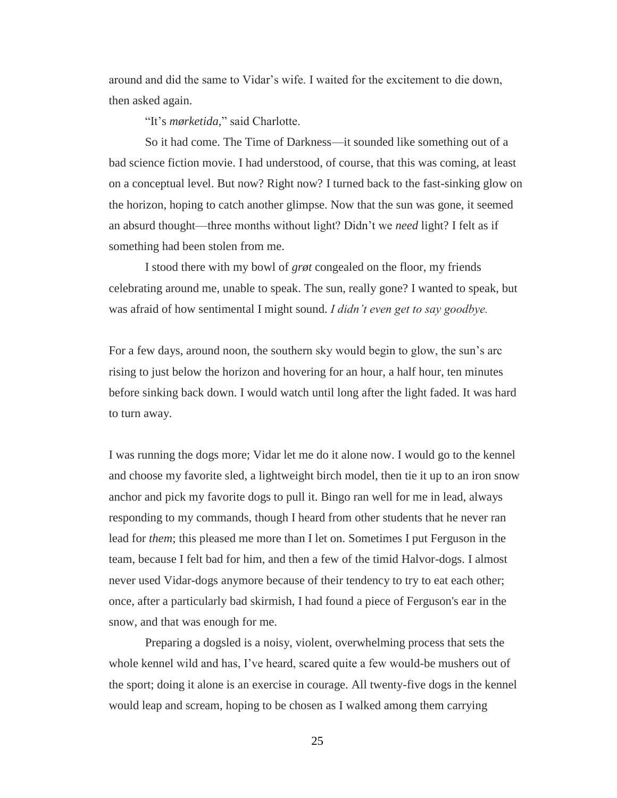around and did the same to Vidar"s wife. I waited for the excitement to die down, then asked again.

"It"s *mørketida,*" said Charlotte.

So it had come. The Time of Darkness—it sounded like something out of a bad science fiction movie. I had understood, of course, that this was coming, at least on a conceptual level. But now? Right now? I turned back to the fast-sinking glow on the horizon, hoping to catch another glimpse. Now that the sun was gone, it seemed an absurd thought—three months without light? Didn"t we *need* light? I felt as if something had been stolen from me.

I stood there with my bowl of *grøt* congealed on the floor, my friends celebrating around me, unable to speak. The sun, really gone? I wanted to speak, but was afraid of how sentimental I might sound. *I didn't even get to say goodbye.*

For a few days, around noon, the southern sky would begin to glow, the sun"s arc rising to just below the horizon and hovering for an hour, a half hour, ten minutes before sinking back down. I would watch until long after the light faded. It was hard to turn away.

I was running the dogs more; Vidar let me do it alone now. I would go to the kennel and choose my favorite sled, a lightweight birch model, then tie it up to an iron snow anchor and pick my favorite dogs to pull it. Bingo ran well for me in lead, always responding to my commands, though I heard from other students that he never ran lead for *them*; this pleased me more than I let on. Sometimes I put Ferguson in the team, because I felt bad for him, and then a few of the timid Halvor-dogs. I almost never used Vidar-dogs anymore because of their tendency to try to eat each other; once, after a particularly bad skirmish, I had found a piece of Ferguson's ear in the snow, and that was enough for me.

Preparing a dogsled is a noisy, violent, overwhelming process that sets the whole kennel wild and has, I've heard, scared quite a few would-be mushers out of the sport; doing it alone is an exercise in courage. All twenty-five dogs in the kennel would leap and scream, hoping to be chosen as I walked among them carrying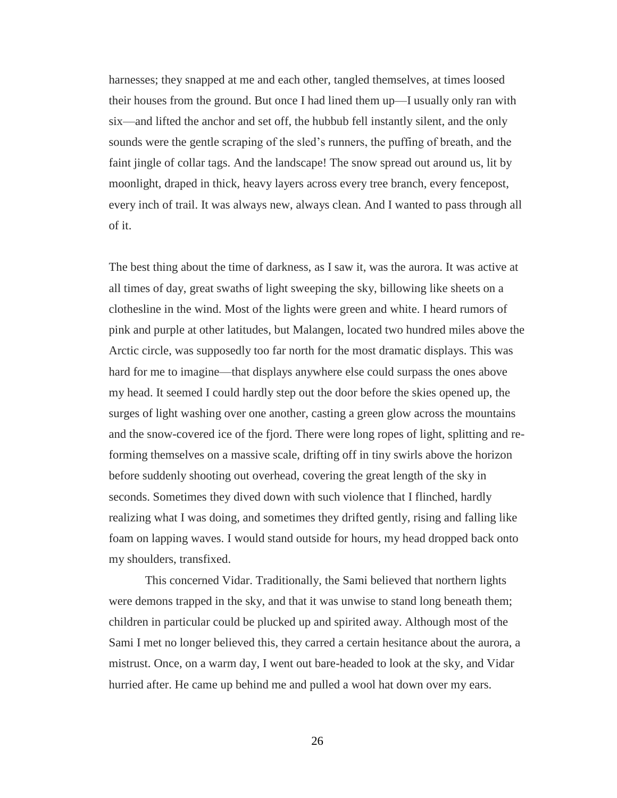harnesses; they snapped at me and each other, tangled themselves, at times loosed their houses from the ground. But once I had lined them up—I usually only ran with six—and lifted the anchor and set off, the hubbub fell instantly silent, and the only sounds were the gentle scraping of the sled"s runners, the puffing of breath, and the faint jingle of collar tags. And the landscape! The snow spread out around us, lit by moonlight, draped in thick, heavy layers across every tree branch, every fencepost, every inch of trail. It was always new, always clean. And I wanted to pass through all of it.

The best thing about the time of darkness, as I saw it, was the aurora. It was active at all times of day, great swaths of light sweeping the sky, billowing like sheets on a clothesline in the wind. Most of the lights were green and white. I heard rumors of pink and purple at other latitudes, but Malangen, located two hundred miles above the Arctic circle, was supposedly too far north for the most dramatic displays. This was hard for me to imagine—that displays anywhere else could surpass the ones above my head. It seemed I could hardly step out the door before the skies opened up, the surges of light washing over one another, casting a green glow across the mountains and the snow-covered ice of the fjord. There were long ropes of light, splitting and reforming themselves on a massive scale, drifting off in tiny swirls above the horizon before suddenly shooting out overhead, covering the great length of the sky in seconds. Sometimes they dived down with such violence that I flinched, hardly realizing what I was doing, and sometimes they drifted gently, rising and falling like foam on lapping waves. I would stand outside for hours, my head dropped back onto my shoulders, transfixed.

This concerned Vidar. Traditionally, the Sami believed that northern lights were demons trapped in the sky, and that it was unwise to stand long beneath them; children in particular could be plucked up and spirited away. Although most of the Sami I met no longer believed this, they carred a certain hesitance about the aurora, a mistrust. Once, on a warm day, I went out bare-headed to look at the sky, and Vidar hurried after. He came up behind me and pulled a wool hat down over my ears.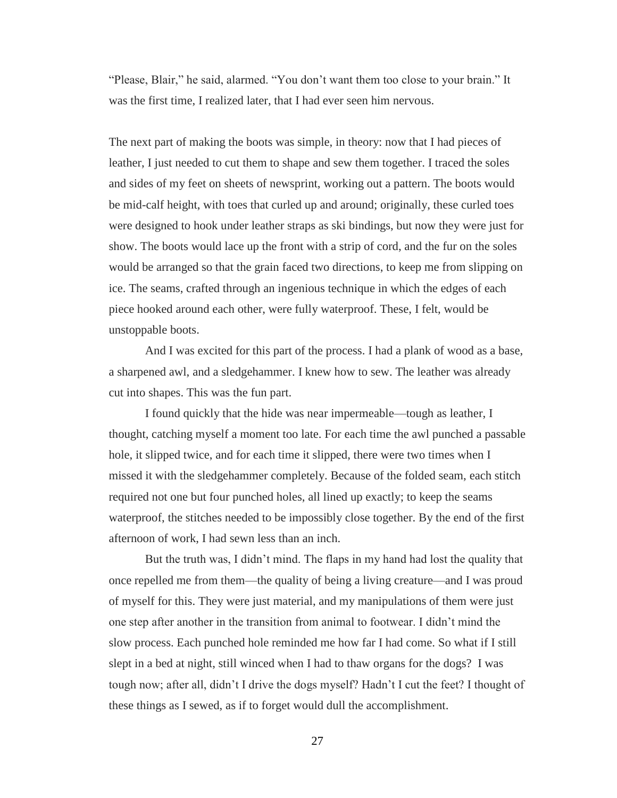"Please, Blair," he said, alarmed. "You don"t want them too close to your brain." It was the first time, I realized later, that I had ever seen him nervous.

The next part of making the boots was simple, in theory: now that I had pieces of leather, I just needed to cut them to shape and sew them together. I traced the soles and sides of my feet on sheets of newsprint, working out a pattern. The boots would be mid-calf height, with toes that curled up and around; originally, these curled toes were designed to hook under leather straps as ski bindings, but now they were just for show. The boots would lace up the front with a strip of cord, and the fur on the soles would be arranged so that the grain faced two directions, to keep me from slipping on ice. The seams, crafted through an ingenious technique in which the edges of each piece hooked around each other, were fully waterproof. These, I felt, would be unstoppable boots.

And I was excited for this part of the process. I had a plank of wood as a base, a sharpened awl, and a sledgehammer. I knew how to sew. The leather was already cut into shapes. This was the fun part.

I found quickly that the hide was near impermeable—tough as leather, I thought, catching myself a moment too late. For each time the awl punched a passable hole, it slipped twice, and for each time it slipped, there were two times when I missed it with the sledgehammer completely. Because of the folded seam, each stitch required not one but four punched holes, all lined up exactly; to keep the seams waterproof, the stitches needed to be impossibly close together. By the end of the first afternoon of work, I had sewn less than an inch.

But the truth was, I didn"t mind. The flaps in my hand had lost the quality that once repelled me from them—the quality of being a living creature—and I was proud of myself for this. They were just material, and my manipulations of them were just one step after another in the transition from animal to footwear. I didn"t mind the slow process. Each punched hole reminded me how far I had come. So what if I still slept in a bed at night, still winced when I had to thaw organs for the dogs? I was tough now; after all, didn"t I drive the dogs myself? Hadn"t I cut the feet? I thought of these things as I sewed, as if to forget would dull the accomplishment.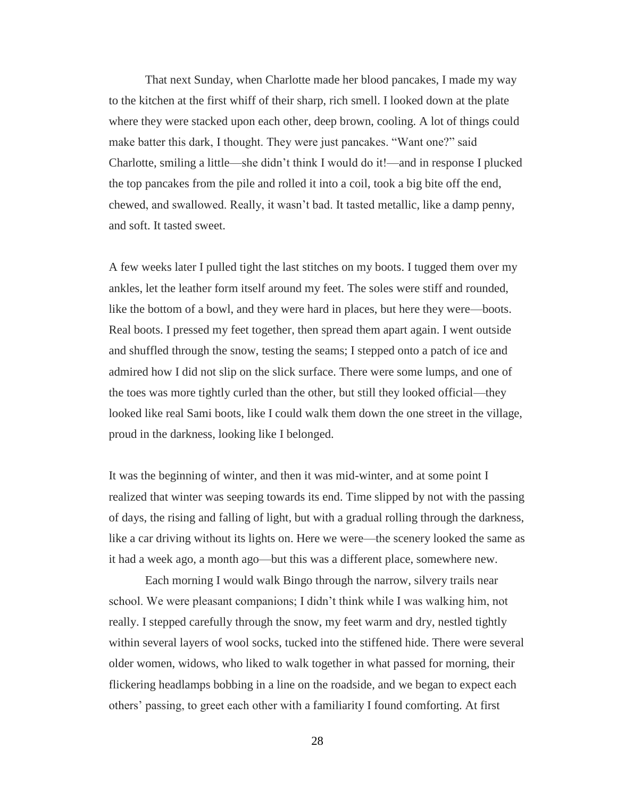That next Sunday, when Charlotte made her blood pancakes, I made my way to the kitchen at the first whiff of their sharp, rich smell. I looked down at the plate where they were stacked upon each other, deep brown, cooling. A lot of things could make batter this dark, I thought. They were just pancakes. "Want one?" said Charlotte, smiling a little—she didn"t think I would do it!—and in response I plucked the top pancakes from the pile and rolled it into a coil, took a big bite off the end, chewed, and swallowed. Really, it wasn"t bad. It tasted metallic, like a damp penny, and soft. It tasted sweet.

A few weeks later I pulled tight the last stitches on my boots. I tugged them over my ankles, let the leather form itself around my feet. The soles were stiff and rounded, like the bottom of a bowl, and they were hard in places, but here they were—boots. Real boots. I pressed my feet together, then spread them apart again. I went outside and shuffled through the snow, testing the seams; I stepped onto a patch of ice and admired how I did not slip on the slick surface. There were some lumps, and one of the toes was more tightly curled than the other, but still they looked official—they looked like real Sami boots, like I could walk them down the one street in the village, proud in the darkness, looking like I belonged.

It was the beginning of winter, and then it was mid-winter, and at some point I realized that winter was seeping towards its end. Time slipped by not with the passing of days, the rising and falling of light, but with a gradual rolling through the darkness, like a car driving without its lights on. Here we were—the scenery looked the same as it had a week ago, a month ago—but this was a different place, somewhere new.

Each morning I would walk Bingo through the narrow, silvery trails near school. We were pleasant companions; I didn"t think while I was walking him, not really. I stepped carefully through the snow, my feet warm and dry, nestled tightly within several layers of wool socks, tucked into the stiffened hide. There were several older women, widows, who liked to walk together in what passed for morning, their flickering headlamps bobbing in a line on the roadside, and we began to expect each others" passing, to greet each other with a familiarity I found comforting. At first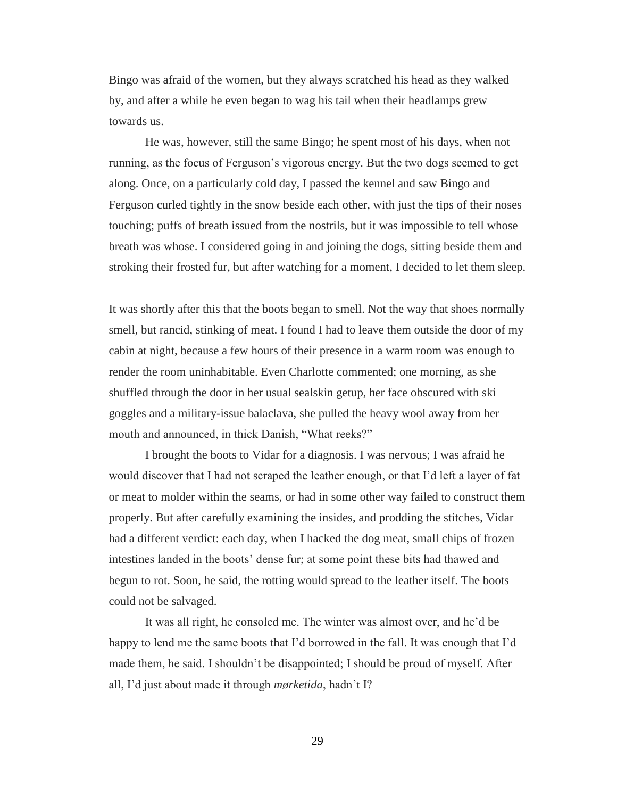Bingo was afraid of the women, but they always scratched his head as they walked by, and after a while he even began to wag his tail when their headlamps grew towards us.

He was, however, still the same Bingo; he spent most of his days, when not running, as the focus of Ferguson's vigorous energy. But the two dogs seemed to get along. Once, on a particularly cold day, I passed the kennel and saw Bingo and Ferguson curled tightly in the snow beside each other, with just the tips of their noses touching; puffs of breath issued from the nostrils, but it was impossible to tell whose breath was whose. I considered going in and joining the dogs, sitting beside them and stroking their frosted fur, but after watching for a moment, I decided to let them sleep.

It was shortly after this that the boots began to smell. Not the way that shoes normally smell, but rancid, stinking of meat. I found I had to leave them outside the door of my cabin at night, because a few hours of their presence in a warm room was enough to render the room uninhabitable. Even Charlotte commented; one morning, as she shuffled through the door in her usual sealskin getup, her face obscured with ski goggles and a military-issue balaclava, she pulled the heavy wool away from her mouth and announced, in thick Danish, "What reeks?"

I brought the boots to Vidar for a diagnosis. I was nervous; I was afraid he would discover that I had not scraped the leather enough, or that I"d left a layer of fat or meat to molder within the seams, or had in some other way failed to construct them properly. But after carefully examining the insides, and prodding the stitches, Vidar had a different verdict: each day, when I hacked the dog meat, small chips of frozen intestines landed in the boots' dense fur; at some point these bits had thawed and begun to rot. Soon, he said, the rotting would spread to the leather itself. The boots could not be salvaged.

It was all right, he consoled me. The winter was almost over, and he"d be happy to lend me the same boots that I"d borrowed in the fall. It was enough that I"d made them, he said. I shouldn"t be disappointed; I should be proud of myself. After all, I"d just about made it through *mørketida*, hadn"t I?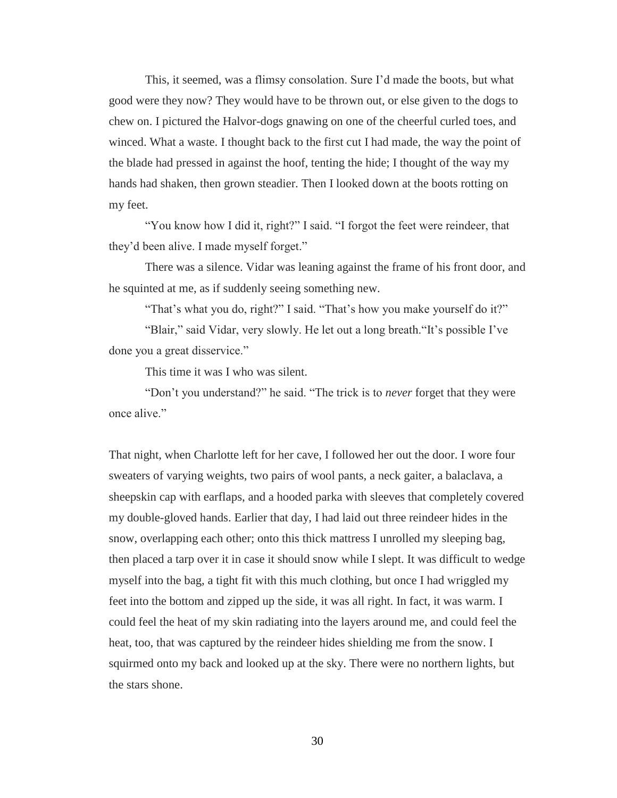This, it seemed, was a flimsy consolation. Sure I"d made the boots, but what good were they now? They would have to be thrown out, or else given to the dogs to chew on. I pictured the Halvor-dogs gnawing on one of the cheerful curled toes, and winced. What a waste. I thought back to the first cut I had made, the way the point of the blade had pressed in against the hoof, tenting the hide; I thought of the way my hands had shaken, then grown steadier. Then I looked down at the boots rotting on my feet.

"You know how I did it, right?" I said. "I forgot the feet were reindeer, that they"d been alive. I made myself forget."

There was a silence. Vidar was leaning against the frame of his front door, and he squinted at me, as if suddenly seeing something new.

"That's what you do, right?" I said. "That's how you make yourself do it?"

"Blair," said Vidar, very slowly. He let out a long breath."It"s possible I"ve done you a great disservice."

This time it was I who was silent.

"Don"t you understand?" he said. "The trick is to *never* forget that they were once alive."

That night, when Charlotte left for her cave, I followed her out the door. I wore four sweaters of varying weights, two pairs of wool pants, a neck gaiter, a balaclava, a sheepskin cap with earflaps, and a hooded parka with sleeves that completely covered my double-gloved hands. Earlier that day, I had laid out three reindeer hides in the snow, overlapping each other; onto this thick mattress I unrolled my sleeping bag, then placed a tarp over it in case it should snow while I slept. It was difficult to wedge myself into the bag, a tight fit with this much clothing, but once I had wriggled my feet into the bottom and zipped up the side, it was all right. In fact, it was warm. I could feel the heat of my skin radiating into the layers around me, and could feel the heat, too, that was captured by the reindeer hides shielding me from the snow. I squirmed onto my back and looked up at the sky. There were no northern lights, but the stars shone.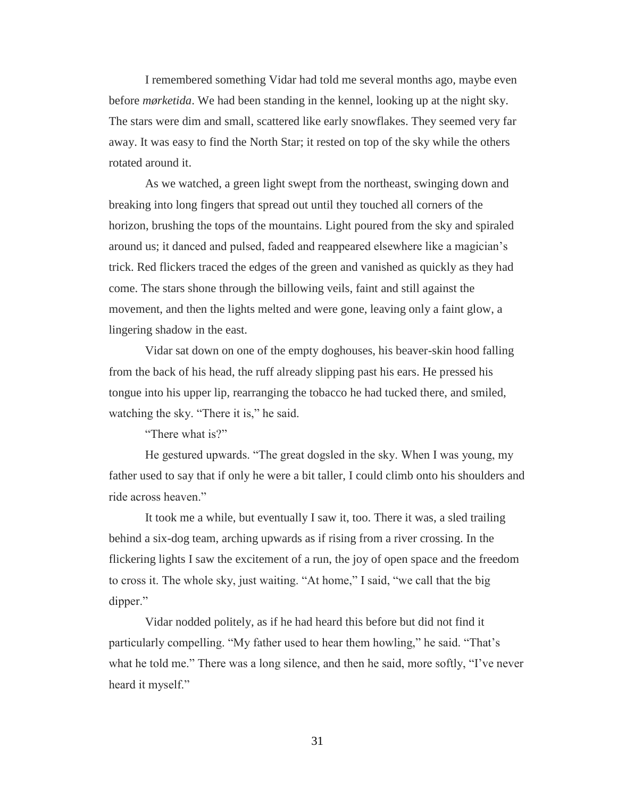I remembered something Vidar had told me several months ago, maybe even before *mørketida*. We had been standing in the kennel, looking up at the night sky. The stars were dim and small, scattered like early snowflakes. They seemed very far away. It was easy to find the North Star; it rested on top of the sky while the others rotated around it.

As we watched, a green light swept from the northeast, swinging down and breaking into long fingers that spread out until they touched all corners of the horizon, brushing the tops of the mountains. Light poured from the sky and spiraled around us; it danced and pulsed, faded and reappeared elsewhere like a magician"s trick. Red flickers traced the edges of the green and vanished as quickly as they had come. The stars shone through the billowing veils, faint and still against the movement, and then the lights melted and were gone, leaving only a faint glow, a lingering shadow in the east.

Vidar sat down on one of the empty doghouses, his beaver-skin hood falling from the back of his head, the ruff already slipping past his ears. He pressed his tongue into his upper lip, rearranging the tobacco he had tucked there, and smiled, watching the sky. "There it is," he said.

"There what is?"

He gestured upwards. "The great dogsled in the sky. When I was young, my father used to say that if only he were a bit taller, I could climb onto his shoulders and ride across heaven."

It took me a while, but eventually I saw it, too. There it was, a sled trailing behind a six-dog team, arching upwards as if rising from a river crossing. In the flickering lights I saw the excitement of a run, the joy of open space and the freedom to cross it. The whole sky, just waiting. "At home," I said, "we call that the big dipper."

Vidar nodded politely, as if he had heard this before but did not find it particularly compelling. "My father used to hear them howling," he said. "That"s what he told me." There was a long silence, and then he said, more softly, "I've never heard it myself."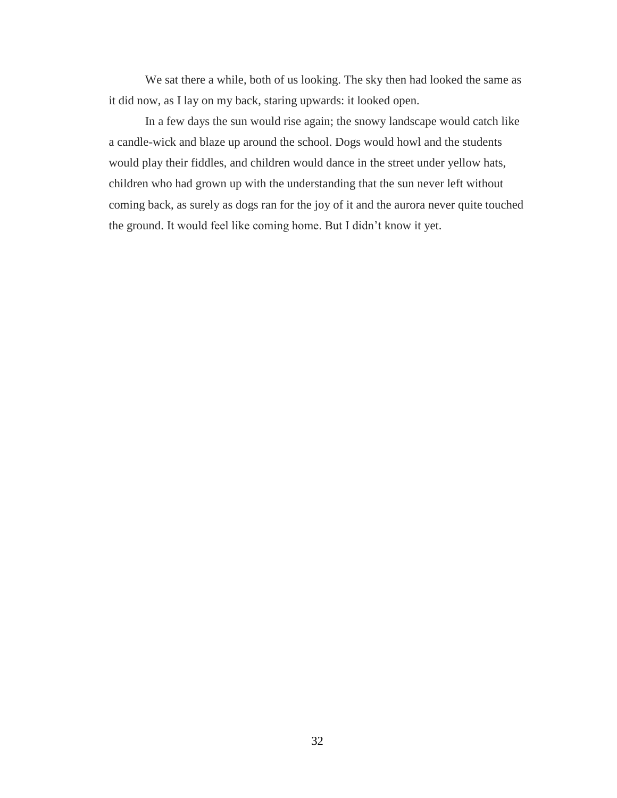We sat there a while, both of us looking. The sky then had looked the same as it did now, as I lay on my back, staring upwards: it looked open.

In a few days the sun would rise again; the snowy landscape would catch like a candle-wick and blaze up around the school. Dogs would howl and the students would play their fiddles, and children would dance in the street under yellow hats, children who had grown up with the understanding that the sun never left without coming back, as surely as dogs ran for the joy of it and the aurora never quite touched the ground. It would feel like coming home. But I didn't know it yet.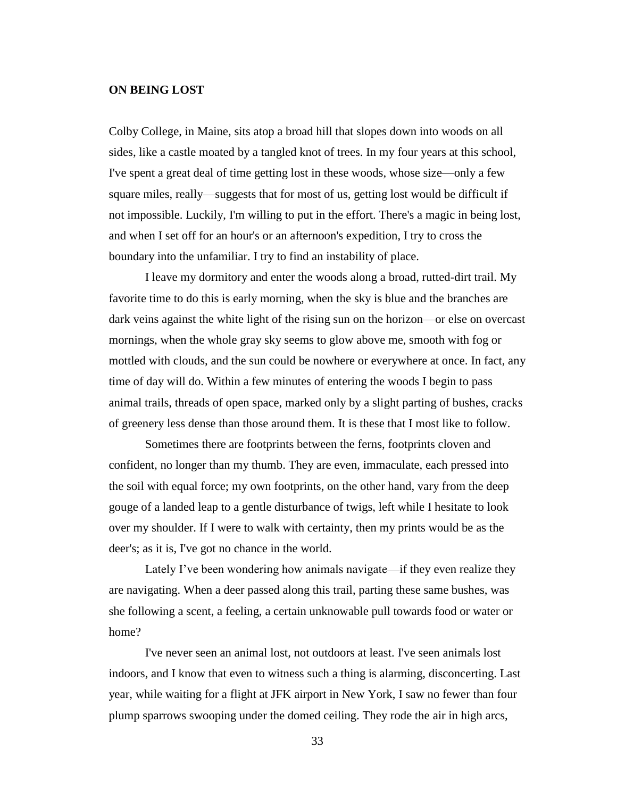# **ON BEING LOST**

Colby College, in Maine, sits atop a broad hill that slopes down into woods on all sides, like a castle moated by a tangled knot of trees. In my four years at this school, I've spent a great deal of time getting lost in these woods, whose size—only a few square miles, really—suggests that for most of us, getting lost would be difficult if not impossible. Luckily, I'm willing to put in the effort. There's a magic in being lost, and when I set off for an hour's or an afternoon's expedition, I try to cross the boundary into the unfamiliar. I try to find an instability of place.

I leave my dormitory and enter the woods along a broad, rutted-dirt trail. My favorite time to do this is early morning, when the sky is blue and the branches are dark veins against the white light of the rising sun on the horizon—or else on overcast mornings, when the whole gray sky seems to glow above me, smooth with fog or mottled with clouds, and the sun could be nowhere or everywhere at once. In fact, any time of day will do. Within a few minutes of entering the woods I begin to pass animal trails, threads of open space, marked only by a slight parting of bushes, cracks of greenery less dense than those around them. It is these that I most like to follow.

Sometimes there are footprints between the ferns, footprints cloven and confident, no longer than my thumb. They are even, immaculate, each pressed into the soil with equal force; my own footprints, on the other hand, vary from the deep gouge of a landed leap to a gentle disturbance of twigs, left while I hesitate to look over my shoulder. If I were to walk with certainty, then my prints would be as the deer's; as it is, I've got no chance in the world.

Lately I've been wondering how animals navigate—if they even realize they are navigating. When a deer passed along this trail, parting these same bushes, was she following a scent, a feeling, a certain unknowable pull towards food or water or home?

I've never seen an animal lost, not outdoors at least. I've seen animals lost indoors, and I know that even to witness such a thing is alarming, disconcerting. Last year, while waiting for a flight at JFK airport in New York, I saw no fewer than four plump sparrows swooping under the domed ceiling. They rode the air in high arcs,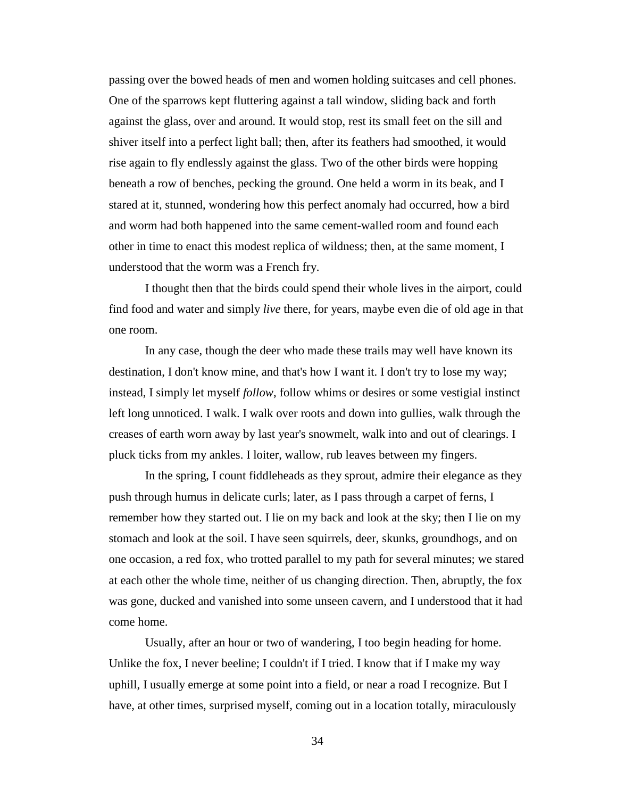passing over the bowed heads of men and women holding suitcases and cell phones. One of the sparrows kept fluttering against a tall window, sliding back and forth against the glass, over and around. It would stop, rest its small feet on the sill and shiver itself into a perfect light ball; then, after its feathers had smoothed, it would rise again to fly endlessly against the glass. Two of the other birds were hopping beneath a row of benches, pecking the ground. One held a worm in its beak, and I stared at it, stunned, wondering how this perfect anomaly had occurred, how a bird and worm had both happened into the same cement-walled room and found each other in time to enact this modest replica of wildness; then, at the same moment, I understood that the worm was a French fry.

I thought then that the birds could spend their whole lives in the airport, could find food and water and simply *live* there, for years, maybe even die of old age in that one room.

In any case, though the deer who made these trails may well have known its destination, I don't know mine, and that's how I want it. I don't try to lose my way; instead, I simply let myself *follow*, follow whims or desires or some vestigial instinct left long unnoticed. I walk. I walk over roots and down into gullies, walk through the creases of earth worn away by last year's snowmelt, walk into and out of clearings. I pluck ticks from my ankles. I loiter, wallow, rub leaves between my fingers.

In the spring, I count fiddleheads as they sprout, admire their elegance as they push through humus in delicate curls; later, as I pass through a carpet of ferns, I remember how they started out. I lie on my back and look at the sky; then I lie on my stomach and look at the soil. I have seen squirrels, deer, skunks, groundhogs, and on one occasion, a red fox, who trotted parallel to my path for several minutes; we stared at each other the whole time, neither of us changing direction. Then, abruptly, the fox was gone, ducked and vanished into some unseen cavern, and I understood that it had come home.

Usually, after an hour or two of wandering, I too begin heading for home. Unlike the fox, I never beeline; I couldn't if I tried. I know that if I make my way uphill, I usually emerge at some point into a field, or near a road I recognize. But I have, at other times, surprised myself, coming out in a location totally, miraculously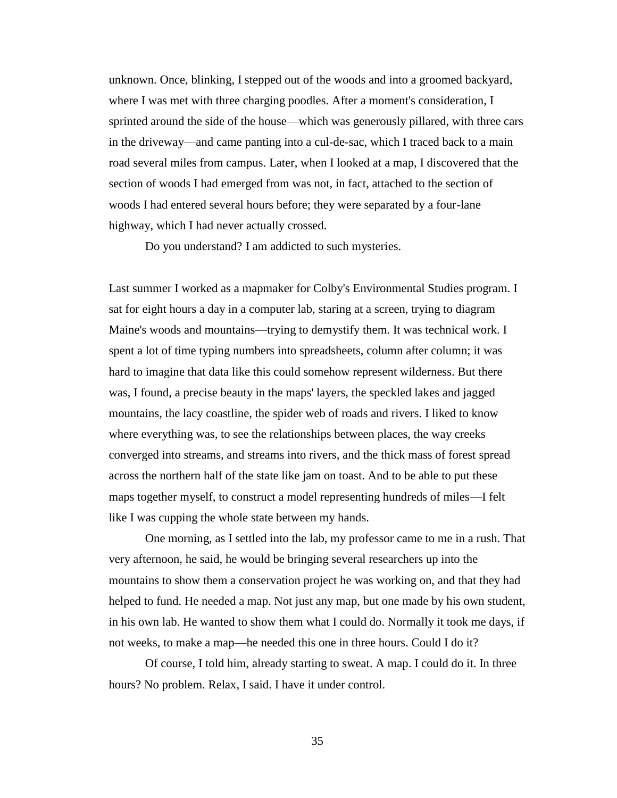unknown. Once, blinking, I stepped out of the woods and into a groomed backyard, where I was met with three charging poodles. After a moment's consideration, I sprinted around the side of the house—which was generously pillared, with three cars in the driveway—and came panting into a cul-de-sac, which I traced back to a main road several miles from campus. Later, when I looked at a map, I discovered that the section of woods I had emerged from was not, in fact, attached to the section of woods I had entered several hours before; they were separated by a four-lane highway, which I had never actually crossed.

Do you understand? I am addicted to such mysteries.

Last summer I worked as a mapmaker for Colby's Environmental Studies program. I sat for eight hours a day in a computer lab, staring at a screen, trying to diagram Maine's woods and mountains—trying to demystify them. It was technical work. I spent a lot of time typing numbers into spreadsheets, column after column; it was hard to imagine that data like this could somehow represent wilderness. But there was, I found, a precise beauty in the maps' layers, the speckled lakes and jagged mountains, the lacy coastline, the spider web of roads and rivers. I liked to know where everything was, to see the relationships between places, the way creeks converged into streams, and streams into rivers, and the thick mass of forest spread across the northern half of the state like jam on toast. And to be able to put these maps together myself, to construct a model representing hundreds of miles—I felt like I was cupping the whole state between my hands.

One morning, as I settled into the lab, my professor came to me in a rush. That very afternoon, he said, he would be bringing several researchers up into the mountains to show them a conservation project he was working on, and that they had helped to fund. He needed a map. Not just any map, but one made by his own student, in his own lab. He wanted to show them what I could do. Normally it took me days, if not weeks, to make a map—he needed this one in three hours. Could I do it?

Of course, I told him, already starting to sweat. A map. I could do it. In three hours? No problem. Relax, I said. I have it under control.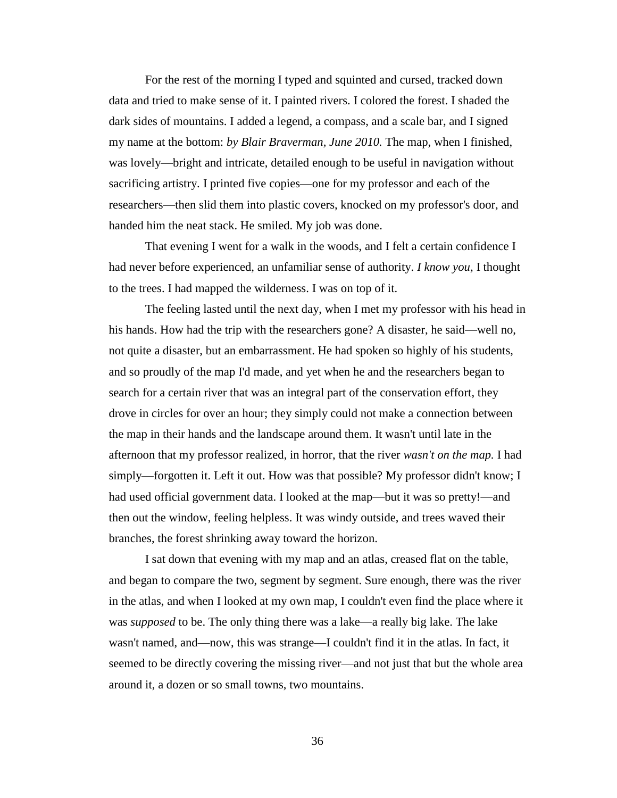For the rest of the morning I typed and squinted and cursed, tracked down data and tried to make sense of it. I painted rivers. I colored the forest. I shaded the dark sides of mountains. I added a legend, a compass, and a scale bar, and I signed my name at the bottom: *by Blair Braverman, June 2010.* The map, when I finished, was lovely—bright and intricate, detailed enough to be useful in navigation without sacrificing artistry. I printed five copies—one for my professor and each of the researchers—then slid them into plastic covers, knocked on my professor's door, and handed him the neat stack. He smiled. My job was done.

That evening I went for a walk in the woods, and I felt a certain confidence I had never before experienced, an unfamiliar sense of authority. *I know you,* I thought to the trees. I had mapped the wilderness. I was on top of it.

The feeling lasted until the next day, when I met my professor with his head in his hands. How had the trip with the researchers gone? A disaster, he said—well no, not quite a disaster, but an embarrassment. He had spoken so highly of his students, and so proudly of the map I'd made, and yet when he and the researchers began to search for a certain river that was an integral part of the conservation effort, they drove in circles for over an hour; they simply could not make a connection between the map in their hands and the landscape around them. It wasn't until late in the afternoon that my professor realized, in horror, that the river *wasn't on the map.* I had simply—forgotten it. Left it out. How was that possible? My professor didn't know; I had used official government data. I looked at the map—but it was so pretty!—and then out the window, feeling helpless. It was windy outside, and trees waved their branches, the forest shrinking away toward the horizon.

I sat down that evening with my map and an atlas, creased flat on the table, and began to compare the two, segment by segment. Sure enough, there was the river in the atlas, and when I looked at my own map, I couldn't even find the place where it was *supposed* to be. The only thing there was a lake—a really big lake. The lake wasn't named, and—now, this was strange—I couldn't find it in the atlas. In fact, it seemed to be directly covering the missing river—and not just that but the whole area around it, a dozen or so small towns, two mountains.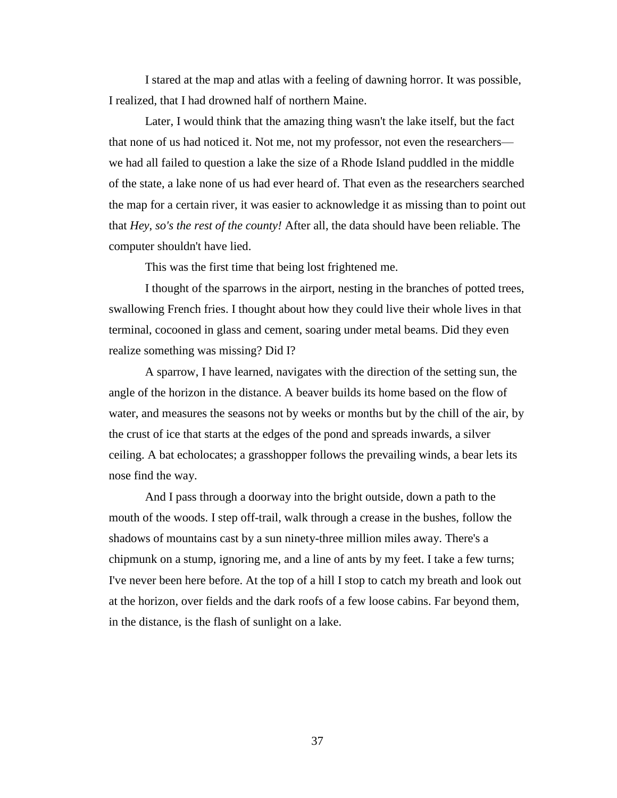I stared at the map and atlas with a feeling of dawning horror. It was possible, I realized, that I had drowned half of northern Maine.

Later, I would think that the amazing thing wasn't the lake itself, but the fact that none of us had noticed it. Not me, not my professor, not even the researchers we had all failed to question a lake the size of a Rhode Island puddled in the middle of the state, a lake none of us had ever heard of. That even as the researchers searched the map for a certain river, it was easier to acknowledge it as missing than to point out that *Hey*, *so's the rest of the county!* After all, the data should have been reliable. The computer shouldn't have lied.

This was the first time that being lost frightened me.

I thought of the sparrows in the airport, nesting in the branches of potted trees, swallowing French fries. I thought about how they could live their whole lives in that terminal, cocooned in glass and cement, soaring under metal beams. Did they even realize something was missing? Did I?

A sparrow, I have learned, navigates with the direction of the setting sun, the angle of the horizon in the distance. A beaver builds its home based on the flow of water, and measures the seasons not by weeks or months but by the chill of the air, by the crust of ice that starts at the edges of the pond and spreads inwards, a silver ceiling. A bat echolocates; a grasshopper follows the prevailing winds, a bear lets its nose find the way.

And I pass through a doorway into the bright outside, down a path to the mouth of the woods. I step off-trail, walk through a crease in the bushes, follow the shadows of mountains cast by a sun ninety-three million miles away. There's a chipmunk on a stump, ignoring me, and a line of ants by my feet. I take a few turns; I've never been here before. At the top of a hill I stop to catch my breath and look out at the horizon, over fields and the dark roofs of a few loose cabins. Far beyond them, in the distance, is the flash of sunlight on a lake.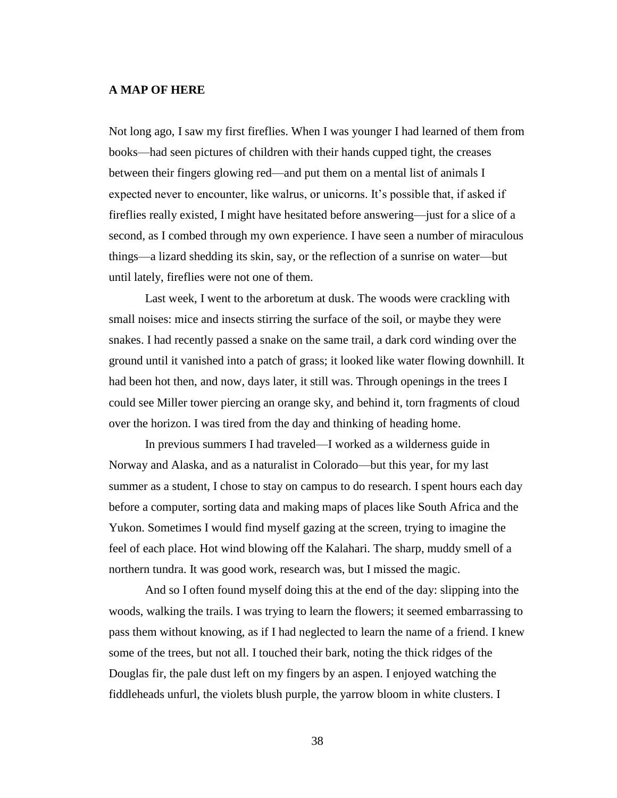# **A MAP OF HERE**

Not long ago, I saw my first fireflies. When I was younger I had learned of them from books—had seen pictures of children with their hands cupped tight, the creases between their fingers glowing red—and put them on a mental list of animals I expected never to encounter, like walrus, or unicorns. It's possible that, if asked if fireflies really existed, I might have hesitated before answering—just for a slice of a second, as I combed through my own experience. I have seen a number of miraculous things—a lizard shedding its skin, say, or the reflection of a sunrise on water—but until lately, fireflies were not one of them.

Last week, I went to the arboretum at dusk. The woods were crackling with small noises: mice and insects stirring the surface of the soil, or maybe they were snakes. I had recently passed a snake on the same trail, a dark cord winding over the ground until it vanished into a patch of grass; it looked like water flowing downhill. It had been hot then, and now, days later, it still was. Through openings in the trees I could see Miller tower piercing an orange sky, and behind it, torn fragments of cloud over the horizon. I was tired from the day and thinking of heading home.

In previous summers I had traveled—I worked as a wilderness guide in Norway and Alaska, and as a naturalist in Colorado—but this year, for my last summer as a student, I chose to stay on campus to do research. I spent hours each day before a computer, sorting data and making maps of places like South Africa and the Yukon. Sometimes I would find myself gazing at the screen, trying to imagine the feel of each place. Hot wind blowing off the Kalahari. The sharp, muddy smell of a northern tundra. It was good work, research was, but I missed the magic.

And so I often found myself doing this at the end of the day: slipping into the woods, walking the trails. I was trying to learn the flowers; it seemed embarrassing to pass them without knowing, as if I had neglected to learn the name of a friend. I knew some of the trees, but not all. I touched their bark, noting the thick ridges of the Douglas fir, the pale dust left on my fingers by an aspen. I enjoyed watching the fiddleheads unfurl, the violets blush purple, the yarrow bloom in white clusters. I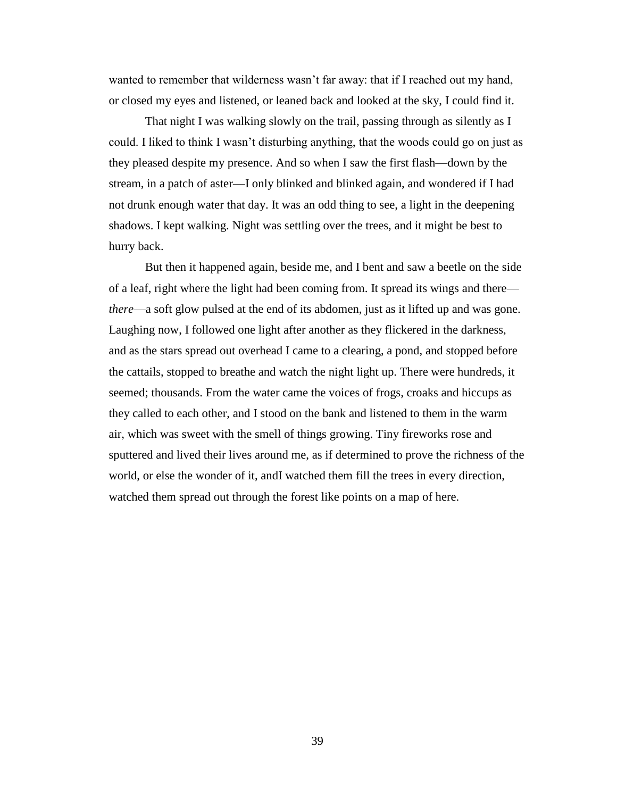wanted to remember that wilderness wasn't far away: that if I reached out my hand, or closed my eyes and listened, or leaned back and looked at the sky, I could find it.

That night I was walking slowly on the trail, passing through as silently as I could. I liked to think I wasn"t disturbing anything, that the woods could go on just as they pleased despite my presence. And so when I saw the first flash—down by the stream, in a patch of aster—I only blinked and blinked again, and wondered if I had not drunk enough water that day. It was an odd thing to see, a light in the deepening shadows. I kept walking. Night was settling over the trees, and it might be best to hurry back.

But then it happened again, beside me, and I bent and saw a beetle on the side of a leaf, right where the light had been coming from. It spread its wings and there *there*—a soft glow pulsed at the end of its abdomen, just as it lifted up and was gone. Laughing now, I followed one light after another as they flickered in the darkness, and as the stars spread out overhead I came to a clearing, a pond, and stopped before the cattails, stopped to breathe and watch the night light up. There were hundreds, it seemed; thousands. From the water came the voices of frogs, croaks and hiccups as they called to each other, and I stood on the bank and listened to them in the warm air, which was sweet with the smell of things growing. Tiny fireworks rose and sputtered and lived their lives around me, as if determined to prove the richness of the world, or else the wonder of it, andI watched them fill the trees in every direction, watched them spread out through the forest like points on a map of here.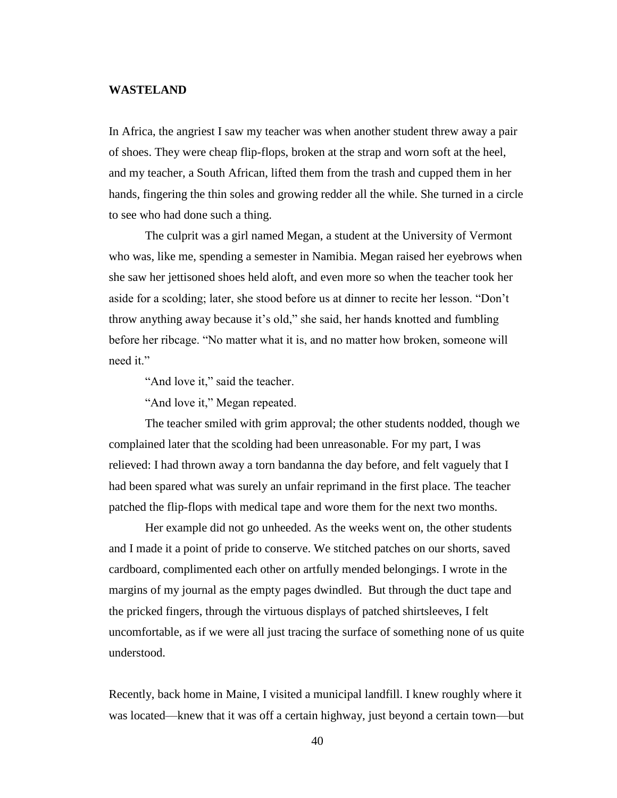### **WASTELAND**

In Africa, the angriest I saw my teacher was when another student threw away a pair of shoes. They were cheap flip-flops, broken at the strap and worn soft at the heel, and my teacher, a South African, lifted them from the trash and cupped them in her hands, fingering the thin soles and growing redder all the while. She turned in a circle to see who had done such a thing.

The culprit was a girl named Megan, a student at the University of Vermont who was, like me, spending a semester in Namibia. Megan raised her eyebrows when she saw her jettisoned shoes held aloft, and even more so when the teacher took her aside for a scolding; later, she stood before us at dinner to recite her lesson. "Don"t throw anything away because it's old," she said, her hands knotted and fumbling before her ribcage. "No matter what it is, and no matter how broken, someone will need it."

"And love it," said the teacher.

"And love it," Megan repeated.

The teacher smiled with grim approval; the other students nodded, though we complained later that the scolding had been unreasonable. For my part, I was relieved: I had thrown away a torn bandanna the day before, and felt vaguely that I had been spared what was surely an unfair reprimand in the first place. The teacher patched the flip-flops with medical tape and wore them for the next two months.

Her example did not go unheeded. As the weeks went on, the other students and I made it a point of pride to conserve. We stitched patches on our shorts, saved cardboard, complimented each other on artfully mended belongings. I wrote in the margins of my journal as the empty pages dwindled. But through the duct tape and the pricked fingers, through the virtuous displays of patched shirtsleeves, I felt uncomfortable, as if we were all just tracing the surface of something none of us quite understood.

Recently, back home in Maine, I visited a municipal landfill. I knew roughly where it was located—knew that it was off a certain highway, just beyond a certain town—but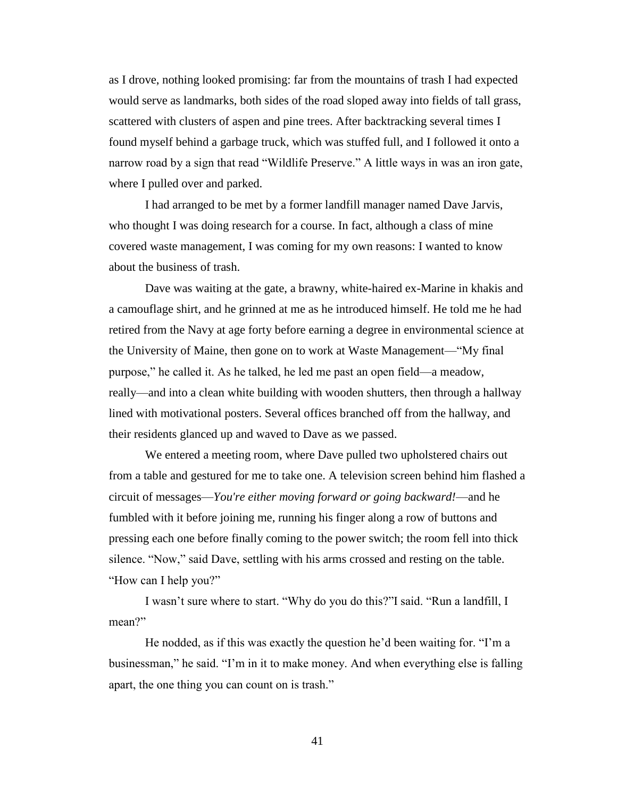as I drove, nothing looked promising: far from the mountains of trash I had expected would serve as landmarks, both sides of the road sloped away into fields of tall grass, scattered with clusters of aspen and pine trees. After backtracking several times I found myself behind a garbage truck, which was stuffed full, and I followed it onto a narrow road by a sign that read "Wildlife Preserve." A little ways in was an iron gate, where I pulled over and parked.

I had arranged to be met by a former landfill manager named Dave Jarvis, who thought I was doing research for a course. In fact, although a class of mine covered waste management, I was coming for my own reasons: I wanted to know about the business of trash.

Dave was waiting at the gate, a brawny, white-haired ex-Marine in khakis and a camouflage shirt, and he grinned at me as he introduced himself. He told me he had retired from the Navy at age forty before earning a degree in environmental science at the University of Maine, then gone on to work at Waste Management—"My final purpose," he called it. As he talked, he led me past an open field—a meadow, really—and into a clean white building with wooden shutters, then through a hallway lined with motivational posters. Several offices branched off from the hallway, and their residents glanced up and waved to Dave as we passed.

We entered a meeting room, where Dave pulled two upholstered chairs out from a table and gestured for me to take one. A television screen behind him flashed a circuit of messages—*You're either moving forward or going backward!*—and he fumbled with it before joining me, running his finger along a row of buttons and pressing each one before finally coming to the power switch; the room fell into thick silence. "Now," said Dave, settling with his arms crossed and resting on the table. "How can I help you?"

I wasn"t sure where to start. "Why do you do this?"I said. "Run a landfill, I mean?"

He nodded, as if this was exactly the question he'd been waiting for. "I'm a businessman," he said. "I"m in it to make money. And when everything else is falling apart, the one thing you can count on is trash."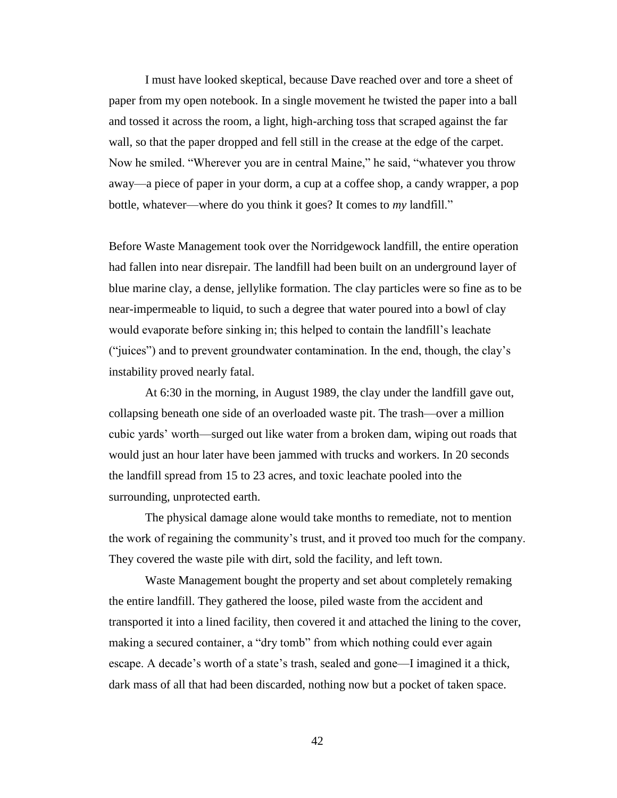I must have looked skeptical, because Dave reached over and tore a sheet of paper from my open notebook. In a single movement he twisted the paper into a ball and tossed it across the room, a light, high-arching toss that scraped against the far wall, so that the paper dropped and fell still in the crease at the edge of the carpet. Now he smiled. "Wherever you are in central Maine," he said, "whatever you throw away—a piece of paper in your dorm, a cup at a coffee shop, a candy wrapper, a pop bottle, whatever—where do you think it goes? It comes to *my* landfill."

Before Waste Management took over the Norridgewock landfill, the entire operation had fallen into near disrepair. The landfill had been built on an underground layer of blue marine clay, a dense, jellylike formation. The clay particles were so fine as to be near-impermeable to liquid, to such a degree that water poured into a bowl of clay would evaporate before sinking in; this helped to contain the landfill's leachate ("juices") and to prevent groundwater contamination. In the end, though, the clay"s instability proved nearly fatal.

At 6:30 in the morning, in August 1989, the clay under the landfill gave out, collapsing beneath one side of an overloaded waste pit. The trash—over a million cubic yards" worth—surged out like water from a broken dam, wiping out roads that would just an hour later have been jammed with trucks and workers. In 20 seconds the landfill spread from 15 to 23 acres, and toxic leachate pooled into the surrounding, unprotected earth.

The physical damage alone would take months to remediate, not to mention the work of regaining the community"s trust, and it proved too much for the company. They covered the waste pile with dirt, sold the facility, and left town.

Waste Management bought the property and set about completely remaking the entire landfill. They gathered the loose, piled waste from the accident and transported it into a lined facility, then covered it and attached the lining to the cover, making a secured container, a "dry tomb" from which nothing could ever again escape. A decade"s worth of a state"s trash, sealed and gone—I imagined it a thick, dark mass of all that had been discarded, nothing now but a pocket of taken space.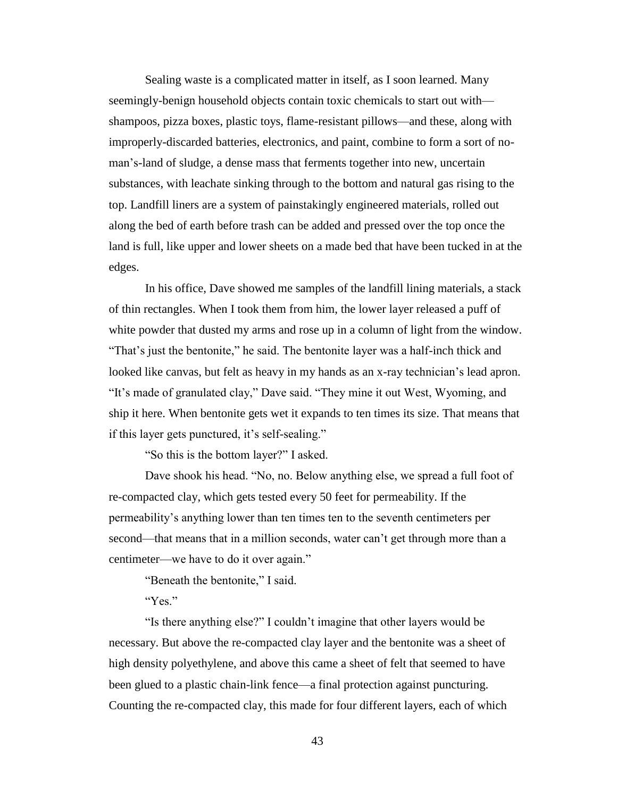Sealing waste is a complicated matter in itself, as I soon learned. Many seemingly-benign household objects contain toxic chemicals to start out with shampoos, pizza boxes, plastic toys, flame-resistant pillows—and these, along with improperly-discarded batteries, electronics, and paint, combine to form a sort of noman"s-land of sludge, a dense mass that ferments together into new, uncertain substances, with leachate sinking through to the bottom and natural gas rising to the top. Landfill liners are a system of painstakingly engineered materials, rolled out along the bed of earth before trash can be added and pressed over the top once the land is full, like upper and lower sheets on a made bed that have been tucked in at the edges.

In his office, Dave showed me samples of the landfill lining materials, a stack of thin rectangles. When I took them from him, the lower layer released a puff of white powder that dusted my arms and rose up in a column of light from the window. "That"s just the bentonite," he said. The bentonite layer was a half-inch thick and looked like canvas, but felt as heavy in my hands as an x-ray technician's lead apron. "It"s made of granulated clay," Dave said. "They mine it out West, Wyoming, and ship it here. When bentonite gets wet it expands to ten times its size. That means that if this layer gets punctured, it's self-sealing."

"So this is the bottom layer?" I asked.

Dave shook his head. "No, no. Below anything else, we spread a full foot of re-compacted clay, which gets tested every 50 feet for permeability. If the permeability"s anything lower than ten times ten to the seventh centimeters per second—that means that in a million seconds, water can"t get through more than a centimeter—we have to do it over again."

"Beneath the bentonite," I said.

"Yes."

"Is there anything else?" I couldn"t imagine that other layers would be necessary. But above the re-compacted clay layer and the bentonite was a sheet of high density polyethylene, and above this came a sheet of felt that seemed to have been glued to a plastic chain-link fence—a final protection against puncturing. Counting the re-compacted clay, this made for four different layers, each of which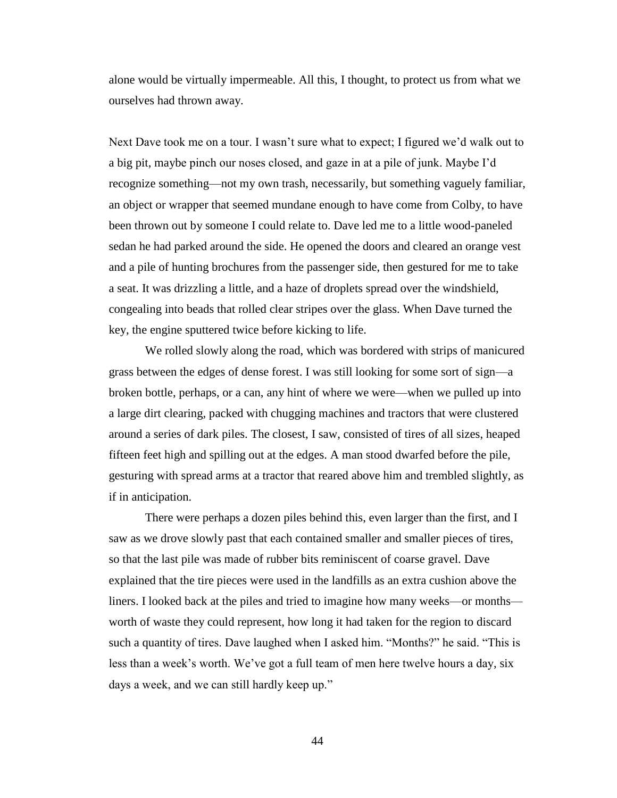alone would be virtually impermeable. All this, I thought, to protect us from what we ourselves had thrown away.

Next Dave took me on a tour. I wasn't sure what to expect; I figured we'd walk out to a big pit, maybe pinch our noses closed, and gaze in at a pile of junk. Maybe I"d recognize something—not my own trash, necessarily, but something vaguely familiar, an object or wrapper that seemed mundane enough to have come from Colby, to have been thrown out by someone I could relate to. Dave led me to a little wood-paneled sedan he had parked around the side. He opened the doors and cleared an orange vest and a pile of hunting brochures from the passenger side, then gestured for me to take a seat. It was drizzling a little, and a haze of droplets spread over the windshield, congealing into beads that rolled clear stripes over the glass. When Dave turned the key, the engine sputtered twice before kicking to life.

We rolled slowly along the road, which was bordered with strips of manicured grass between the edges of dense forest. I was still looking for some sort of sign—a broken bottle, perhaps, or a can, any hint of where we were—when we pulled up into a large dirt clearing, packed with chugging machines and tractors that were clustered around a series of dark piles. The closest, I saw, consisted of tires of all sizes, heaped fifteen feet high and spilling out at the edges. A man stood dwarfed before the pile, gesturing with spread arms at a tractor that reared above him and trembled slightly, as if in anticipation.

There were perhaps a dozen piles behind this, even larger than the first, and I saw as we drove slowly past that each contained smaller and smaller pieces of tires, so that the last pile was made of rubber bits reminiscent of coarse gravel. Dave explained that the tire pieces were used in the landfills as an extra cushion above the liners. I looked back at the piles and tried to imagine how many weeks—or months worth of waste they could represent, how long it had taken for the region to discard such a quantity of tires. Dave laughed when I asked him. "Months?" he said. "This is less than a week's worth. We've got a full team of men here twelve hours a day, six days a week, and we can still hardly keep up."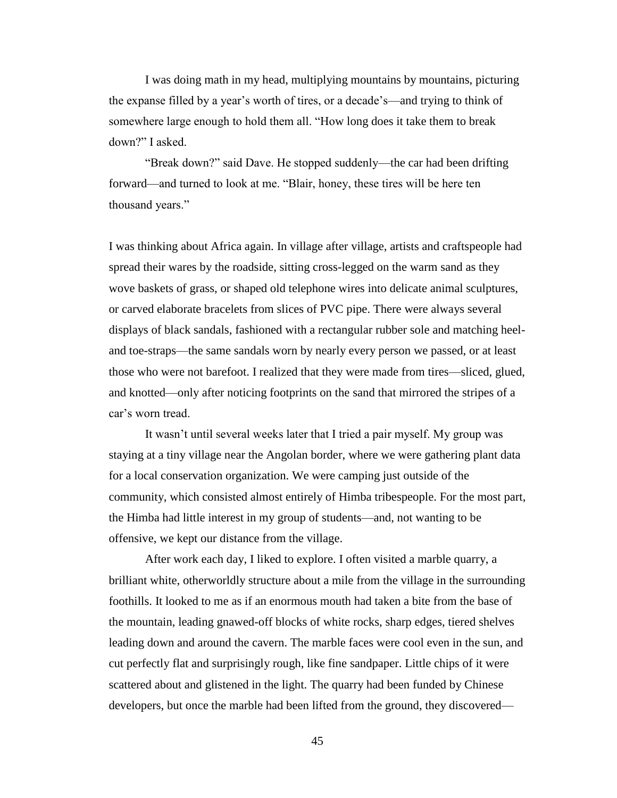I was doing math in my head, multiplying mountains by mountains, picturing the expanse filled by a year"s worth of tires, or a decade"s—and trying to think of somewhere large enough to hold them all. "How long does it take them to break down?" I asked.

"Break down?" said Dave. He stopped suddenly—the car had been drifting forward—and turned to look at me. "Blair, honey, these tires will be here ten thousand years."

I was thinking about Africa again. In village after village, artists and craftspeople had spread their wares by the roadside, sitting cross-legged on the warm sand as they wove baskets of grass, or shaped old telephone wires into delicate animal sculptures, or carved elaborate bracelets from slices of PVC pipe. There were always several displays of black sandals, fashioned with a rectangular rubber sole and matching heeland toe-straps—the same sandals worn by nearly every person we passed, or at least those who were not barefoot. I realized that they were made from tires—sliced, glued, and knotted—only after noticing footprints on the sand that mirrored the stripes of a car"s worn tread.

It wasn"t until several weeks later that I tried a pair myself. My group was staying at a tiny village near the Angolan border, where we were gathering plant data for a local conservation organization. We were camping just outside of the community, which consisted almost entirely of Himba tribespeople. For the most part, the Himba had little interest in my group of students—and, not wanting to be offensive, we kept our distance from the village.

After work each day, I liked to explore. I often visited a marble quarry, a brilliant white, otherworldly structure about a mile from the village in the surrounding foothills. It looked to me as if an enormous mouth had taken a bite from the base of the mountain, leading gnawed-off blocks of white rocks, sharp edges, tiered shelves leading down and around the cavern. The marble faces were cool even in the sun, and cut perfectly flat and surprisingly rough, like fine sandpaper. Little chips of it were scattered about and glistened in the light. The quarry had been funded by Chinese developers, but once the marble had been lifted from the ground, they discovered—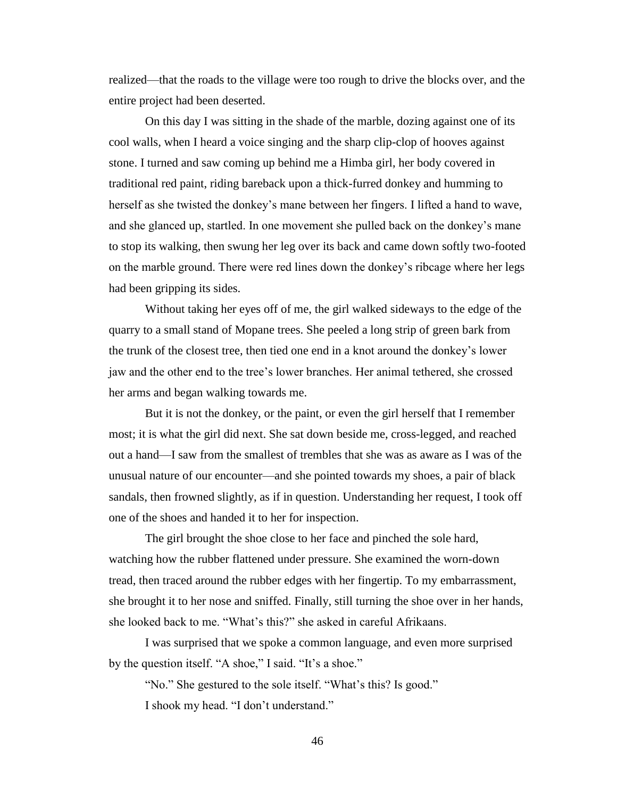realized—that the roads to the village were too rough to drive the blocks over, and the entire project had been deserted.

On this day I was sitting in the shade of the marble, dozing against one of its cool walls, when I heard a voice singing and the sharp clip-clop of hooves against stone. I turned and saw coming up behind me a Himba girl, her body covered in traditional red paint, riding bareback upon a thick-furred donkey and humming to herself as she twisted the donkey's mane between her fingers. I lifted a hand to wave, and she glanced up, startled. In one movement she pulled back on the donkey"s mane to stop its walking, then swung her leg over its back and came down softly two-footed on the marble ground. There were red lines down the donkey"s ribcage where her legs had been gripping its sides.

Without taking her eyes off of me, the girl walked sideways to the edge of the quarry to a small stand of Mopane trees. She peeled a long strip of green bark from the trunk of the closest tree, then tied one end in a knot around the donkey"s lower jaw and the other end to the tree"s lower branches. Her animal tethered, she crossed her arms and began walking towards me.

But it is not the donkey, or the paint, or even the girl herself that I remember most; it is what the girl did next. She sat down beside me, cross-legged, and reached out a hand—I saw from the smallest of trembles that she was as aware as I was of the unusual nature of our encounter—and she pointed towards my shoes, a pair of black sandals, then frowned slightly, as if in question. Understanding her request, I took off one of the shoes and handed it to her for inspection.

The girl brought the shoe close to her face and pinched the sole hard, watching how the rubber flattened under pressure. She examined the worn-down tread, then traced around the rubber edges with her fingertip. To my embarrassment, she brought it to her nose and sniffed. Finally, still turning the shoe over in her hands, she looked back to me. "What"s this?" she asked in careful Afrikaans.

I was surprised that we spoke a common language, and even more surprised by the question itself. "A shoe," I said. "It's a shoe."

"No." She gestured to the sole itself. "What's this? Is good." I shook my head. "I don"t understand."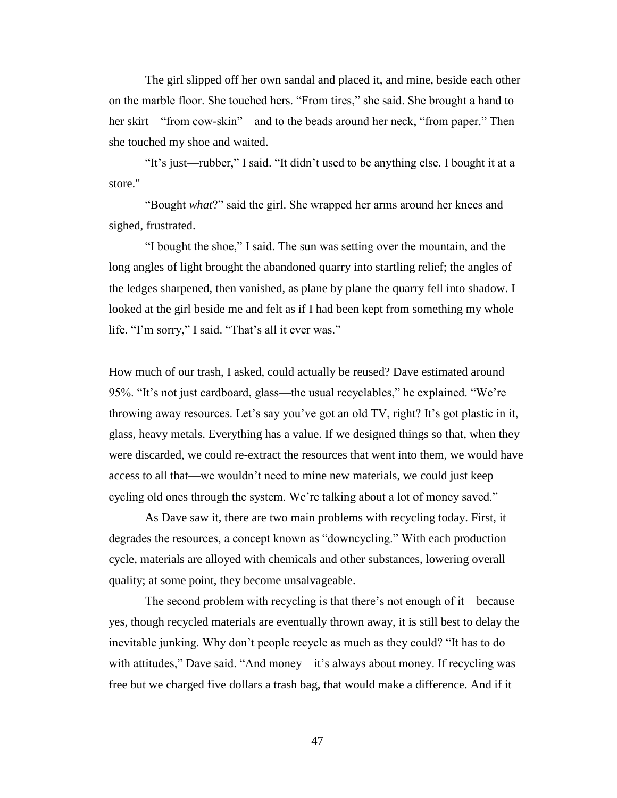The girl slipped off her own sandal and placed it, and mine, beside each other on the marble floor. She touched hers. "From tires," she said. She brought a hand to her skirt—"from cow-skin"—and to the beads around her neck, "from paper." Then she touched my shoe and waited.

"It"s just—rubber," I said. "It didn"t used to be anything else. I bought it at a store."

"Bought *what*?" said the girl. She wrapped her arms around her knees and sighed, frustrated.

"I bought the shoe," I said. The sun was setting over the mountain, and the long angles of light brought the abandoned quarry into startling relief; the angles of the ledges sharpened, then vanished, as plane by plane the quarry fell into shadow. I looked at the girl beside me and felt as if I had been kept from something my whole life. "I'm sorry," I said. "That's all it ever was."

How much of our trash, I asked, could actually be reused? Dave estimated around 95%. "It"s not just cardboard, glass—the usual recyclables," he explained. "We"re throwing away resources. Let's say you've got an old TV, right? It's got plastic in it, glass, heavy metals. Everything has a value. If we designed things so that, when they were discarded, we could re-extract the resources that went into them, we would have access to all that—we wouldn"t need to mine new materials, we could just keep cycling old ones through the system. We"re talking about a lot of money saved."

As Dave saw it, there are two main problems with recycling today. First, it degrades the resources, a concept known as "downcycling." With each production cycle, materials are alloyed with chemicals and other substances, lowering overall quality; at some point, they become unsalvageable.

The second problem with recycling is that there's not enough of it—because yes, though recycled materials are eventually thrown away, it is still best to delay the inevitable junking. Why don"t people recycle as much as they could? "It has to do with attitudes," Dave said. "And money—it's always about money. If recycling was free but we charged five dollars a trash bag, that would make a difference. And if it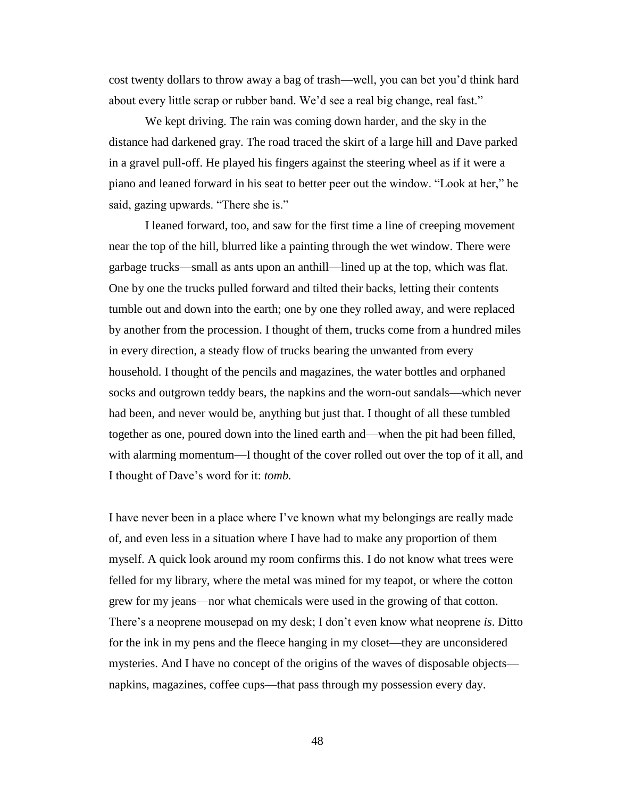cost twenty dollars to throw away a bag of trash—well, you can bet you"d think hard about every little scrap or rubber band. We"d see a real big change, real fast."

We kept driving. The rain was coming down harder, and the sky in the distance had darkened gray. The road traced the skirt of a large hill and Dave parked in a gravel pull-off. He played his fingers against the steering wheel as if it were a piano and leaned forward in his seat to better peer out the window. "Look at her," he said, gazing upwards. "There she is."

I leaned forward, too, and saw for the first time a line of creeping movement near the top of the hill, blurred like a painting through the wet window. There were garbage trucks—small as ants upon an anthill—lined up at the top, which was flat. One by one the trucks pulled forward and tilted their backs, letting their contents tumble out and down into the earth; one by one they rolled away, and were replaced by another from the procession. I thought of them, trucks come from a hundred miles in every direction, a steady flow of trucks bearing the unwanted from every household. I thought of the pencils and magazines, the water bottles and orphaned socks and outgrown teddy bears, the napkins and the worn-out sandals—which never had been, and never would be, anything but just that. I thought of all these tumbled together as one, poured down into the lined earth and—when the pit had been filled, with alarming momentum—I thought of the cover rolled out over the top of it all, and I thought of Dave"s word for it: *tomb.*

I have never been in a place where I"ve known what my belongings are really made of, and even less in a situation where I have had to make any proportion of them myself. A quick look around my room confirms this. I do not know what trees were felled for my library, where the metal was mined for my teapot, or where the cotton grew for my jeans—nor what chemicals were used in the growing of that cotton. There"s a neoprene mousepad on my desk; I don"t even know what neoprene *is*. Ditto for the ink in my pens and the fleece hanging in my closet—they are unconsidered mysteries. And I have no concept of the origins of the waves of disposable objects napkins, magazines, coffee cups—that pass through my possession every day.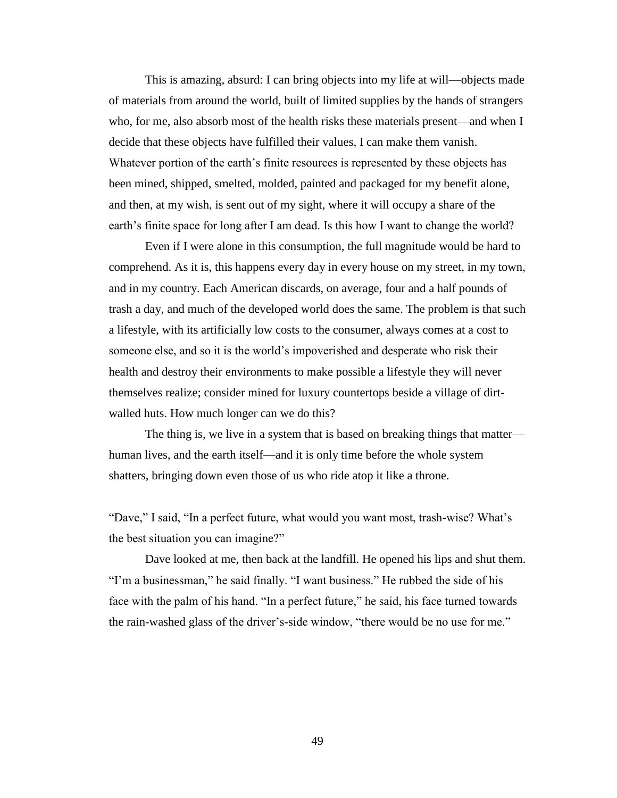This is amazing, absurd: I can bring objects into my life at will—objects made of materials from around the world, built of limited supplies by the hands of strangers who, for me, also absorb most of the health risks these materials present—and when I decide that these objects have fulfilled their values, I can make them vanish. Whatever portion of the earth's finite resources is represented by these objects has been mined, shipped, smelted, molded, painted and packaged for my benefit alone, and then, at my wish, is sent out of my sight, where it will occupy a share of the earth's finite space for long after I am dead. Is this how I want to change the world?

Even if I were alone in this consumption, the full magnitude would be hard to comprehend. As it is, this happens every day in every house on my street, in my town, and in my country. Each American discards, on average, four and a half pounds of trash a day, and much of the developed world does the same. The problem is that such a lifestyle, with its artificially low costs to the consumer, always comes at a cost to someone else, and so it is the world"s impoverished and desperate who risk their health and destroy their environments to make possible a lifestyle they will never themselves realize; consider mined for luxury countertops beside a village of dirtwalled huts. How much longer can we do this?

The thing is, we live in a system that is based on breaking things that matter human lives, and the earth itself—and it is only time before the whole system shatters, bringing down even those of us who ride atop it like a throne.

"Dave," I said, "In a perfect future, what would you want most, trash-wise? What"s the best situation you can imagine?"

Dave looked at me, then back at the landfill. He opened his lips and shut them. "I"m a businessman," he said finally. "I want business." He rubbed the side of his face with the palm of his hand. "In a perfect future," he said, his face turned towards the rain-washed glass of the driver's-side window, "there would be no use for me."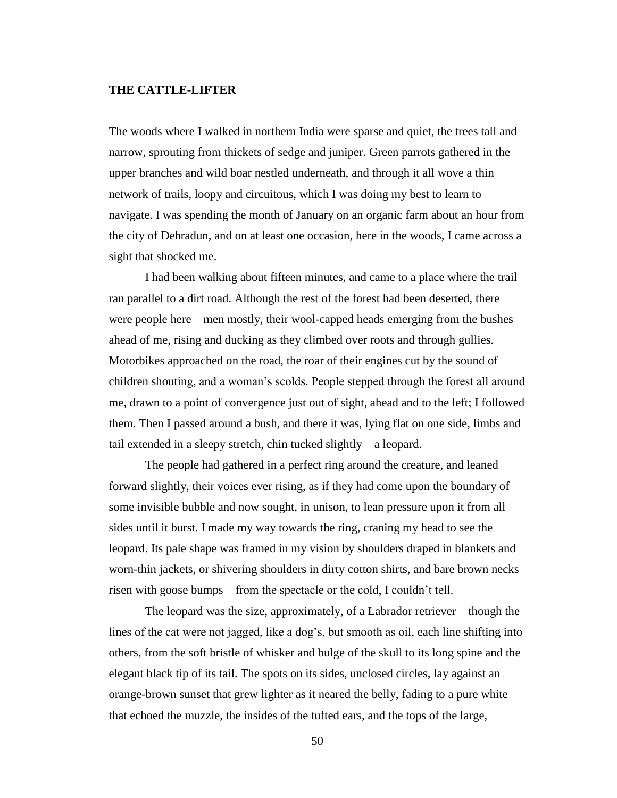## **THE CATTLE-LIFTER**

The woods where I walked in northern India were sparse and quiet, the trees tall and narrow, sprouting from thickets of sedge and juniper. Green parrots gathered in the upper branches and wild boar nestled underneath, and through it all wove a thin network of trails, loopy and circuitous, which I was doing my best to learn to navigate. I was spending the month of January on an organic farm about an hour from the city of Dehradun, and on at least one occasion, here in the woods, I came across a sight that shocked me.

I had been walking about fifteen minutes, and came to a place where the trail ran parallel to a dirt road. Although the rest of the forest had been deserted, there were people here—men mostly, their wool-capped heads emerging from the bushes ahead of me, rising and ducking as they climbed over roots and through gullies. Motorbikes approached on the road, the roar of their engines cut by the sound of children shouting, and a woman"s scolds. People stepped through the forest all around me, drawn to a point of convergence just out of sight, ahead and to the left; I followed them. Then I passed around a bush, and there it was, lying flat on one side, limbs and tail extended in a sleepy stretch, chin tucked slightly—a leopard.

The people had gathered in a perfect ring around the creature, and leaned forward slightly, their voices ever rising, as if they had come upon the boundary of some invisible bubble and now sought, in unison, to lean pressure upon it from all sides until it burst. I made my way towards the ring, craning my head to see the leopard. Its pale shape was framed in my vision by shoulders draped in blankets and worn-thin jackets, or shivering shoulders in dirty cotton shirts, and bare brown necks risen with goose bumps—from the spectacle or the cold, I couldn"t tell.

The leopard was the size, approximately, of a Labrador retriever—though the lines of the cat were not jagged, like a dog"s, but smooth as oil, each line shifting into others, from the soft bristle of whisker and bulge of the skull to its long spine and the elegant black tip of its tail. The spots on its sides, unclosed circles, lay against an orange-brown sunset that grew lighter as it neared the belly, fading to a pure white that echoed the muzzle, the insides of the tufted ears, and the tops of the large,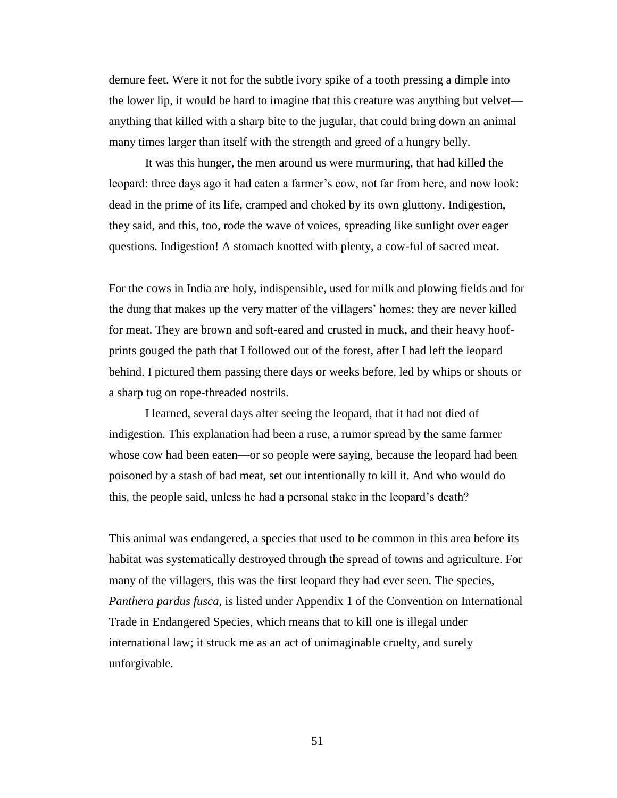demure feet. Were it not for the subtle ivory spike of a tooth pressing a dimple into the lower lip, it would be hard to imagine that this creature was anything but velvet anything that killed with a sharp bite to the jugular, that could bring down an animal many times larger than itself with the strength and greed of a hungry belly.

It was this hunger, the men around us were murmuring, that had killed the leopard: three days ago it had eaten a farmer"s cow, not far from here, and now look: dead in the prime of its life, cramped and choked by its own gluttony. Indigestion, they said, and this, too, rode the wave of voices, spreading like sunlight over eager questions. Indigestion! A stomach knotted with plenty, a cow-ful of sacred meat.

For the cows in India are holy, indispensible, used for milk and plowing fields and for the dung that makes up the very matter of the villagers" homes; they are never killed for meat. They are brown and soft-eared and crusted in muck, and their heavy hoofprints gouged the path that I followed out of the forest, after I had left the leopard behind. I pictured them passing there days or weeks before, led by whips or shouts or a sharp tug on rope-threaded nostrils.

I learned, several days after seeing the leopard, that it had not died of indigestion. This explanation had been a ruse, a rumor spread by the same farmer whose cow had been eaten—or so people were saying, because the leopard had been poisoned by a stash of bad meat, set out intentionally to kill it. And who would do this, the people said, unless he had a personal stake in the leopard"s death?

This animal was endangered, a species that used to be common in this area before its habitat was systematically destroyed through the spread of towns and agriculture. For many of the villagers, this was the first leopard they had ever seen. The species, *Panthera pardus fusca,* is listed under Appendix 1 of the Convention on International Trade in Endangered Species, which means that to kill one is illegal under international law; it struck me as an act of unimaginable cruelty, and surely unforgivable.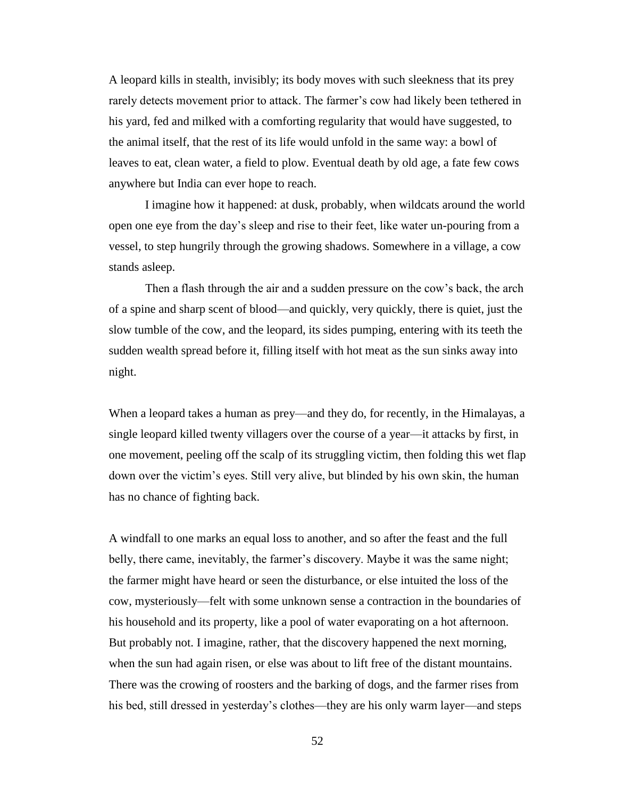A leopard kills in stealth, invisibly; its body moves with such sleekness that its prey rarely detects movement prior to attack. The farmer"s cow had likely been tethered in his yard, fed and milked with a comforting regularity that would have suggested, to the animal itself, that the rest of its life would unfold in the same way: a bowl of leaves to eat, clean water, a field to plow. Eventual death by old age, a fate few cows anywhere but India can ever hope to reach.

I imagine how it happened: at dusk, probably, when wildcats around the world open one eye from the day"s sleep and rise to their feet, like water un-pouring from a vessel, to step hungrily through the growing shadows. Somewhere in a village, a cow stands asleep.

Then a flash through the air and a sudden pressure on the cow"s back, the arch of a spine and sharp scent of blood—and quickly, very quickly, there is quiet, just the slow tumble of the cow, and the leopard, its sides pumping, entering with its teeth the sudden wealth spread before it, filling itself with hot meat as the sun sinks away into night.

When a leopard takes a human as prey—and they do, for recently, in the Himalayas, a single leopard killed twenty villagers over the course of a year—it attacks by first, in one movement, peeling off the scalp of its struggling victim, then folding this wet flap down over the victim"s eyes. Still very alive, but blinded by his own skin, the human has no chance of fighting back.

A windfall to one marks an equal loss to another, and so after the feast and the full belly, there came, inevitably, the farmer's discovery. Maybe it was the same night; the farmer might have heard or seen the disturbance, or else intuited the loss of the cow, mysteriously—felt with some unknown sense a contraction in the boundaries of his household and its property, like a pool of water evaporating on a hot afternoon. But probably not. I imagine, rather, that the discovery happened the next morning, when the sun had again risen, or else was about to lift free of the distant mountains. There was the crowing of roosters and the barking of dogs, and the farmer rises from his bed, still dressed in yesterday"s clothes—they are his only warm layer—and steps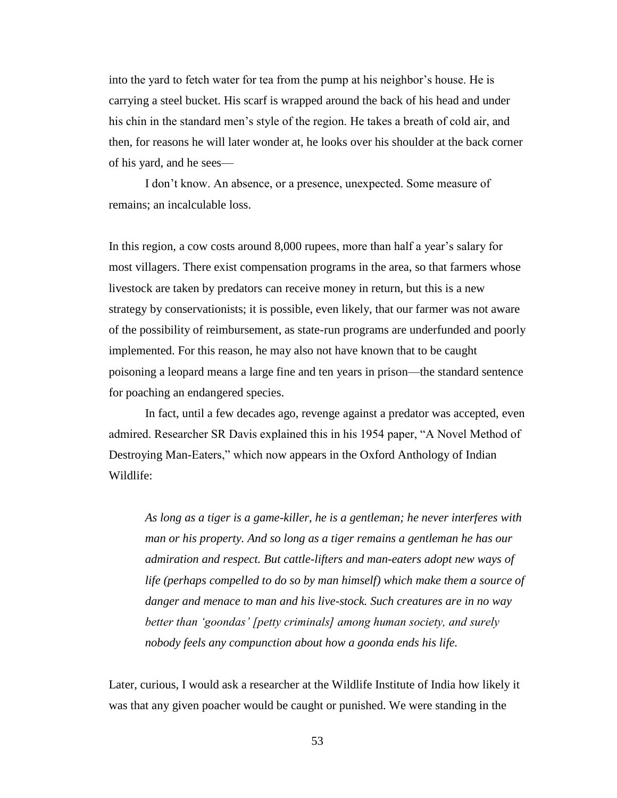into the yard to fetch water for tea from the pump at his neighbor"s house. He is carrying a steel bucket. His scarf is wrapped around the back of his head and under his chin in the standard men's style of the region. He takes a breath of cold air, and then, for reasons he will later wonder at, he looks over his shoulder at the back corner of his yard, and he sees—

I don"t know. An absence, or a presence, unexpected. Some measure of remains; an incalculable loss.

In this region, a cow costs around 8,000 rupees, more than half a year's salary for most villagers. There exist compensation programs in the area, so that farmers whose livestock are taken by predators can receive money in return, but this is a new strategy by conservationists; it is possible, even likely, that our farmer was not aware of the possibility of reimbursement, as state-run programs are underfunded and poorly implemented. For this reason, he may also not have known that to be caught poisoning a leopard means a large fine and ten years in prison—the standard sentence for poaching an endangered species.

In fact, until a few decades ago, revenge against a predator was accepted, even admired. Researcher SR Davis explained this in his 1954 paper, "A Novel Method of Destroying Man-Eaters," which now appears in the Oxford Anthology of Indian Wildlife:

*As long as a tiger is a game-killer, he is a gentleman; he never interferes with man or his property. And so long as a tiger remains a gentleman he has our admiration and respect. But cattle-lifters and man-eaters adopt new ways of life (perhaps compelled to do so by man himself) which make them a source of danger and menace to man and his live-stock. Such creatures are in no way better than 'goondas' [petty criminals] among human society, and surely nobody feels any compunction about how a goonda ends his life.*

Later, curious, I would ask a researcher at the Wildlife Institute of India how likely it was that any given poacher would be caught or punished. We were standing in the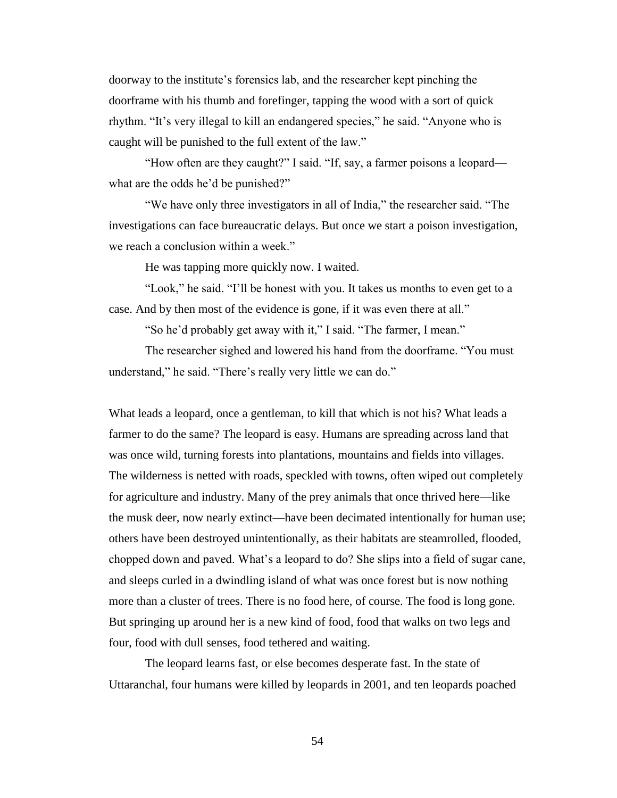doorway to the institute"s forensics lab, and the researcher kept pinching the doorframe with his thumb and forefinger, tapping the wood with a sort of quick rhythm. "It's very illegal to kill an endangered species," he said. "Anyone who is caught will be punished to the full extent of the law."

"How often are they caught?" I said. "If, say, a farmer poisons a leopard what are the odds he'd be punished?"

"We have only three investigators in all of India," the researcher said. "The investigations can face bureaucratic delays. But once we start a poison investigation, we reach a conclusion within a week."

He was tapping more quickly now. I waited.

"Look," he said. "I"ll be honest with you. It takes us months to even get to a case. And by then most of the evidence is gone, if it was even there at all."

"So he"d probably get away with it," I said. "The farmer, I mean."

The researcher sighed and lowered his hand from the doorframe. "You must understand," he said. "There's really very little we can do."

What leads a leopard, once a gentleman, to kill that which is not his? What leads a farmer to do the same? The leopard is easy. Humans are spreading across land that was once wild, turning forests into plantations, mountains and fields into villages. The wilderness is netted with roads, speckled with towns, often wiped out completely for agriculture and industry. Many of the prey animals that once thrived here—like the musk deer, now nearly extinct—have been decimated intentionally for human use; others have been destroyed unintentionally, as their habitats are steamrolled, flooded, chopped down and paved. What"s a leopard to do? She slips into a field of sugar cane, and sleeps curled in a dwindling island of what was once forest but is now nothing more than a cluster of trees. There is no food here, of course. The food is long gone. But springing up around her is a new kind of food, food that walks on two legs and four, food with dull senses, food tethered and waiting.

The leopard learns fast, or else becomes desperate fast. In the state of Uttaranchal, four humans were killed by leopards in 2001, and ten leopards poached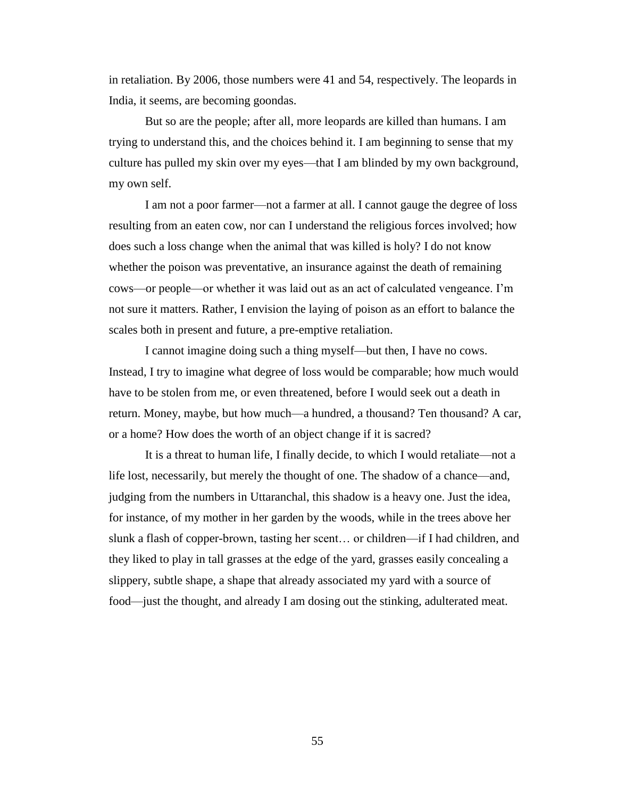in retaliation. By 2006, those numbers were 41 and 54, respectively. The leopards in India, it seems, are becoming goondas.

But so are the people; after all, more leopards are killed than humans. I am trying to understand this, and the choices behind it. I am beginning to sense that my culture has pulled my skin over my eyes—that I am blinded by my own background, my own self.

I am not a poor farmer—not a farmer at all. I cannot gauge the degree of loss resulting from an eaten cow, nor can I understand the religious forces involved; how does such a loss change when the animal that was killed is holy? I do not know whether the poison was preventative, an insurance against the death of remaining cows—or people—or whether it was laid out as an act of calculated vengeance. I"m not sure it matters. Rather, I envision the laying of poison as an effort to balance the scales both in present and future, a pre-emptive retaliation.

I cannot imagine doing such a thing myself—but then, I have no cows. Instead, I try to imagine what degree of loss would be comparable; how much would have to be stolen from me, or even threatened, before I would seek out a death in return. Money, maybe, but how much—a hundred, a thousand? Ten thousand? A car, or a home? How does the worth of an object change if it is sacred?

It is a threat to human life, I finally decide, to which I would retaliate—not a life lost, necessarily, but merely the thought of one. The shadow of a chance—and, judging from the numbers in Uttaranchal, this shadow is a heavy one. Just the idea, for instance, of my mother in her garden by the woods, while in the trees above her slunk a flash of copper-brown, tasting her scent… or children—if I had children, and they liked to play in tall grasses at the edge of the yard, grasses easily concealing a slippery, subtle shape, a shape that already associated my yard with a source of food—just the thought, and already I am dosing out the stinking, adulterated meat.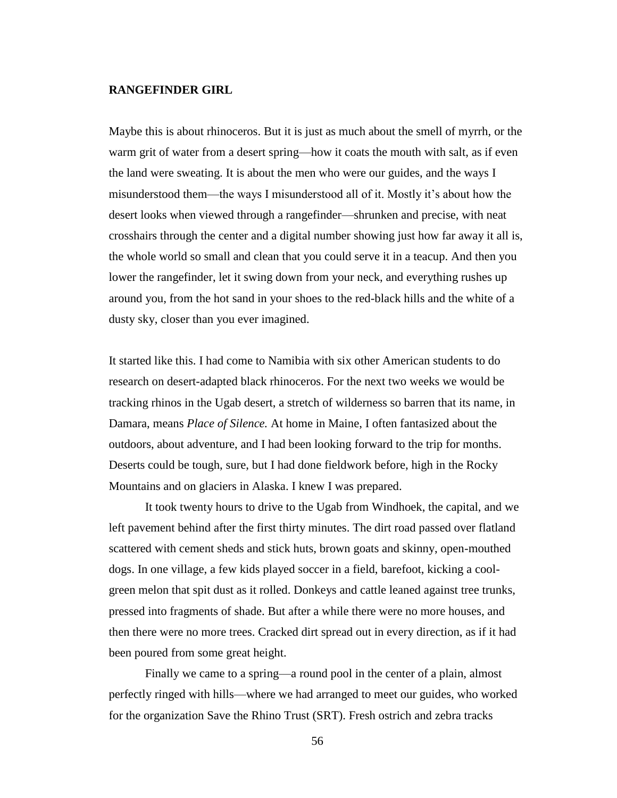### **RANGEFINDER GIRL**

Maybe this is about rhinoceros. But it is just as much about the smell of myrrh, or the warm grit of water from a desert spring—how it coats the mouth with salt, as if even the land were sweating. It is about the men who were our guides, and the ways I misunderstood them—the ways I misunderstood all of it. Mostly it"s about how the desert looks when viewed through a rangefinder—shrunken and precise, with neat crosshairs through the center and a digital number showing just how far away it all is, the whole world so small and clean that you could serve it in a teacup. And then you lower the rangefinder, let it swing down from your neck, and everything rushes up around you, from the hot sand in your shoes to the red-black hills and the white of a dusty sky, closer than you ever imagined.

It started like this. I had come to Namibia with six other American students to do research on desert-adapted black rhinoceros. For the next two weeks we would be tracking rhinos in the Ugab desert, a stretch of wilderness so barren that its name, in Damara, means *Place of Silence.* At home in Maine, I often fantasized about the outdoors, about adventure, and I had been looking forward to the trip for months. Deserts could be tough, sure, but I had done fieldwork before, high in the Rocky Mountains and on glaciers in Alaska. I knew I was prepared.

It took twenty hours to drive to the Ugab from Windhoek, the capital, and we left pavement behind after the first thirty minutes. The dirt road passed over flatland scattered with cement sheds and stick huts, brown goats and skinny, open-mouthed dogs. In one village, a few kids played soccer in a field, barefoot, kicking a coolgreen melon that spit dust as it rolled. Donkeys and cattle leaned against tree trunks, pressed into fragments of shade. But after a while there were no more houses, and then there were no more trees. Cracked dirt spread out in every direction, as if it had been poured from some great height.

Finally we came to a spring—a round pool in the center of a plain, almost perfectly ringed with hills—where we had arranged to meet our guides, who worked for the organization Save the Rhino Trust (SRT). Fresh ostrich and zebra tracks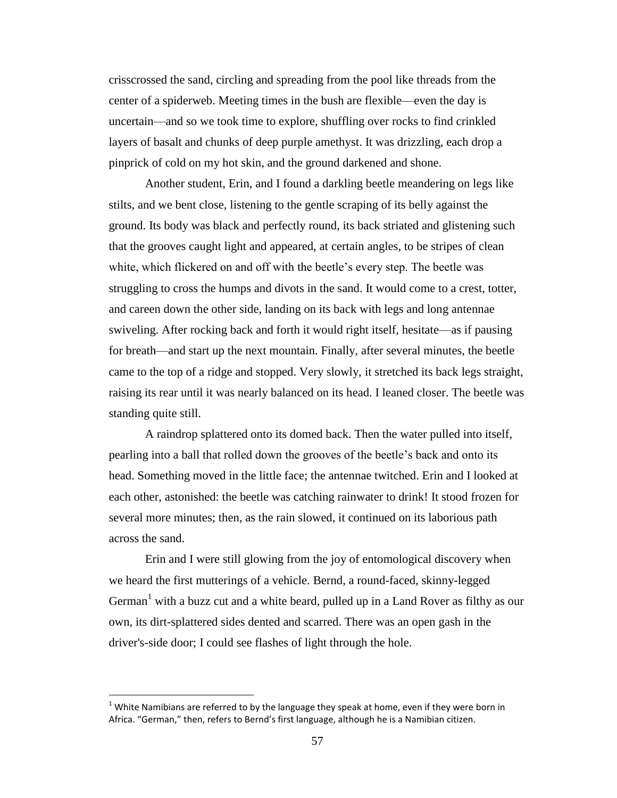crisscrossed the sand, circling and spreading from the pool like threads from the center of a spiderweb. Meeting times in the bush are flexible—even the day is uncertain—and so we took time to explore, shuffling over rocks to find crinkled layers of basalt and chunks of deep purple amethyst. It was drizzling, each drop a pinprick of cold on my hot skin, and the ground darkened and shone.

Another student, Erin, and I found a darkling beetle meandering on legs like stilts, and we bent close, listening to the gentle scraping of its belly against the ground. Its body was black and perfectly round, its back striated and glistening such that the grooves caught light and appeared, at certain angles, to be stripes of clean white, which flickered on and off with the beetle's every step. The beetle was struggling to cross the humps and divots in the sand. It would come to a crest, totter, and careen down the other side, landing on its back with legs and long antennae swiveling. After rocking back and forth it would right itself, hesitate—as if pausing for breath—and start up the next mountain. Finally, after several minutes, the beetle came to the top of a ridge and stopped. Very slowly, it stretched its back legs straight, raising its rear until it was nearly balanced on its head. I leaned closer. The beetle was standing quite still.

A raindrop splattered onto its domed back. Then the water pulled into itself, pearling into a ball that rolled down the grooves of the beetle"s back and onto its head. Something moved in the little face; the antennae twitched. Erin and I looked at each other, astonished: the beetle was catching rainwater to drink! It stood frozen for several more minutes; then, as the rain slowed, it continued on its laborious path across the sand.

Erin and I were still glowing from the joy of entomological discovery when we heard the first mutterings of a vehicle. Bernd, a round-faced, skinny-legged German<sup>1</sup> with a buzz cut and a white beard, pulled up in a Land Rover as filthy as our own, its dirt-splattered sides dented and scarred. There was an open gash in the driver's-side door; I could see flashes of light through the hole.

 $\overline{a}$ 

 $1$  White Namibians are referred to by the language they speak at home, even if they were born in Africa. "German," then, refers to Bernd's first language, although he is a Namibian citizen.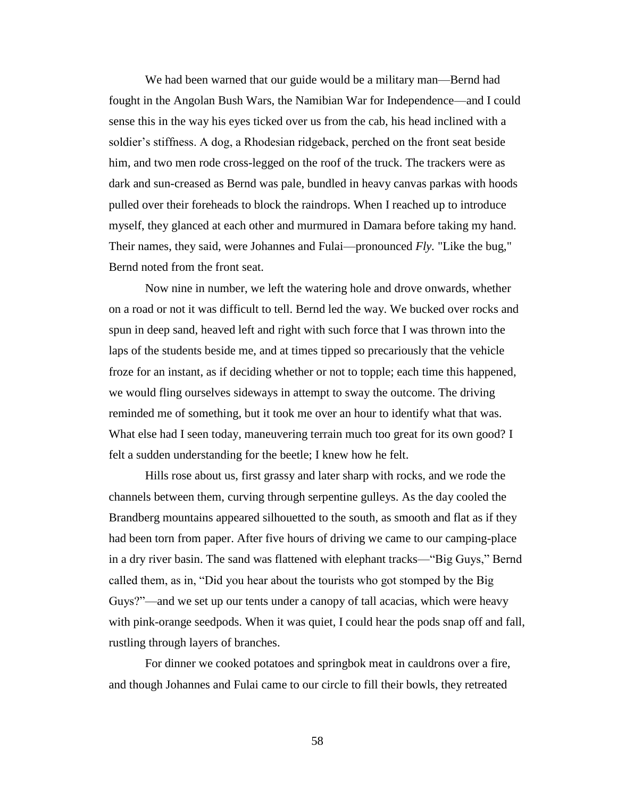We had been warned that our guide would be a military man—Bernd had fought in the Angolan Bush Wars, the Namibian War for Independence—and I could sense this in the way his eyes ticked over us from the cab, his head inclined with a soldier"s stiffness. A dog, a Rhodesian ridgeback, perched on the front seat beside him, and two men rode cross-legged on the roof of the truck. The trackers were as dark and sun-creased as Bernd was pale, bundled in heavy canvas parkas with hoods pulled over their foreheads to block the raindrops. When I reached up to introduce myself, they glanced at each other and murmured in Damara before taking my hand. Their names, they said, were Johannes and Fulai—pronounced *Fly.* "Like the bug," Bernd noted from the front seat.

Now nine in number, we left the watering hole and drove onwards, whether on a road or not it was difficult to tell. Bernd led the way. We bucked over rocks and spun in deep sand, heaved left and right with such force that I was thrown into the laps of the students beside me, and at times tipped so precariously that the vehicle froze for an instant, as if deciding whether or not to topple; each time this happened, we would fling ourselves sideways in attempt to sway the outcome. The driving reminded me of something, but it took me over an hour to identify what that was. What else had I seen today, maneuvering terrain much too great for its own good? I felt a sudden understanding for the beetle; I knew how he felt.

Hills rose about us, first grassy and later sharp with rocks, and we rode the channels between them, curving through serpentine gulleys. As the day cooled the Brandberg mountains appeared silhouetted to the south, as smooth and flat as if they had been torn from paper. After five hours of driving we came to our camping-place in a dry river basin. The sand was flattened with elephant tracks—"Big Guys," Bernd called them, as in, "Did you hear about the tourists who got stomped by the Big Guys?"—and we set up our tents under a canopy of tall acacias, which were heavy with pink-orange seedpods. When it was quiet, I could hear the pods snap off and fall, rustling through layers of branches.

For dinner we cooked potatoes and springbok meat in cauldrons over a fire, and though Johannes and Fulai came to our circle to fill their bowls, they retreated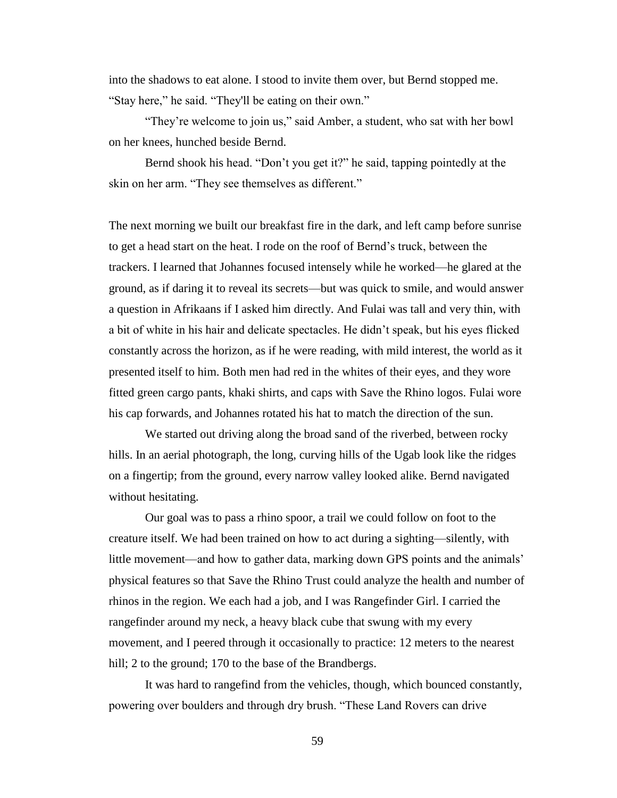into the shadows to eat alone. I stood to invite them over, but Bernd stopped me. "Stay here," he said. "They'll be eating on their own."

"They"re welcome to join us," said Amber, a student, who sat with her bowl on her knees, hunched beside Bernd.

Bernd shook his head. "Don"t you get it?" he said, tapping pointedly at the skin on her arm. "They see themselves as different."

The next morning we built our breakfast fire in the dark, and left camp before sunrise to get a head start on the heat. I rode on the roof of Bernd"s truck, between the trackers. I learned that Johannes focused intensely while he worked—he glared at the ground, as if daring it to reveal its secrets—but was quick to smile, and would answer a question in Afrikaans if I asked him directly. And Fulai was tall and very thin, with a bit of white in his hair and delicate spectacles. He didn"t speak, but his eyes flicked constantly across the horizon, as if he were reading, with mild interest, the world as it presented itself to him. Both men had red in the whites of their eyes, and they wore fitted green cargo pants, khaki shirts, and caps with Save the Rhino logos. Fulai wore his cap forwards, and Johannes rotated his hat to match the direction of the sun.

We started out driving along the broad sand of the riverbed, between rocky hills. In an aerial photograph, the long, curving hills of the Ugab look like the ridges on a fingertip; from the ground, every narrow valley looked alike. Bernd navigated without hesitating.

Our goal was to pass a rhino spoor, a trail we could follow on foot to the creature itself. We had been trained on how to act during a sighting—silently, with little movement—and how to gather data, marking down GPS points and the animals' physical features so that Save the Rhino Trust could analyze the health and number of rhinos in the region. We each had a job, and I was Rangefinder Girl. I carried the rangefinder around my neck, a heavy black cube that swung with my every movement, and I peered through it occasionally to practice: 12 meters to the nearest hill; 2 to the ground; 170 to the base of the Brandbergs.

It was hard to rangefind from the vehicles, though, which bounced constantly, powering over boulders and through dry brush. "These Land Rovers can drive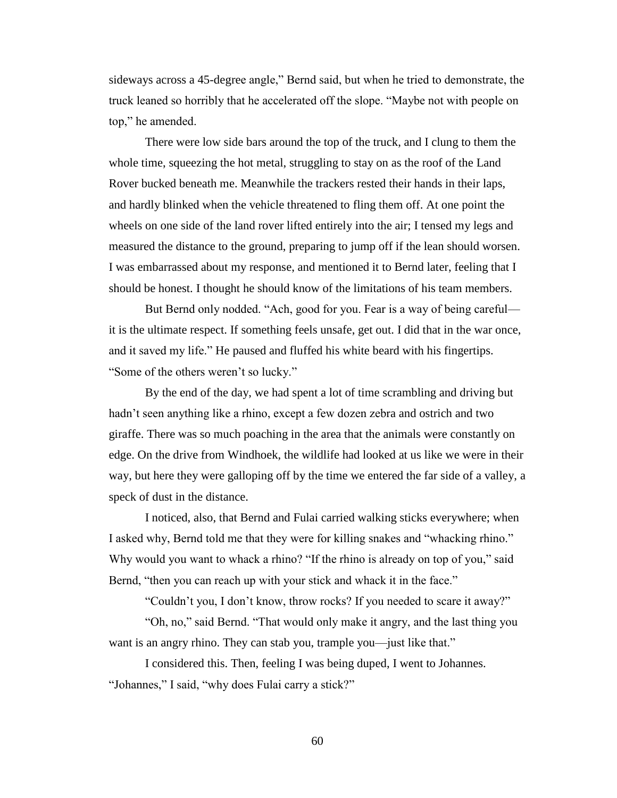sideways across a 45-degree angle," Bernd said, but when he tried to demonstrate, the truck leaned so horribly that he accelerated off the slope. "Maybe not with people on top," he amended.

There were low side bars around the top of the truck, and I clung to them the whole time, squeezing the hot metal, struggling to stay on as the roof of the Land Rover bucked beneath me. Meanwhile the trackers rested their hands in their laps, and hardly blinked when the vehicle threatened to fling them off. At one point the wheels on one side of the land rover lifted entirely into the air; I tensed my legs and measured the distance to the ground, preparing to jump off if the lean should worsen. I was embarrassed about my response, and mentioned it to Bernd later, feeling that I should be honest. I thought he should know of the limitations of his team members.

But Bernd only nodded. "Ach, good for you. Fear is a way of being careful it is the ultimate respect. If something feels unsafe, get out. I did that in the war once, and it saved my life." He paused and fluffed his white beard with his fingertips. "Some of the others weren"t so lucky."

By the end of the day, we had spent a lot of time scrambling and driving but hadn't seen anything like a rhino, except a few dozen zebra and ostrich and two giraffe. There was so much poaching in the area that the animals were constantly on edge. On the drive from Windhoek, the wildlife had looked at us like we were in their way, but here they were galloping off by the time we entered the far side of a valley, a speck of dust in the distance.

I noticed, also, that Bernd and Fulai carried walking sticks everywhere; when I asked why, Bernd told me that they were for killing snakes and "whacking rhino." Why would you want to whack a rhino? "If the rhino is already on top of you," said Bernd, "then you can reach up with your stick and whack it in the face."

"Couldn"t you, I don"t know, throw rocks? If you needed to scare it away?"

"Oh, no," said Bernd. "That would only make it angry, and the last thing you want is an angry rhino. They can stab you, trample you—just like that."

I considered this. Then, feeling I was being duped, I went to Johannes. "Johannes," I said, "why does Fulai carry a stick?"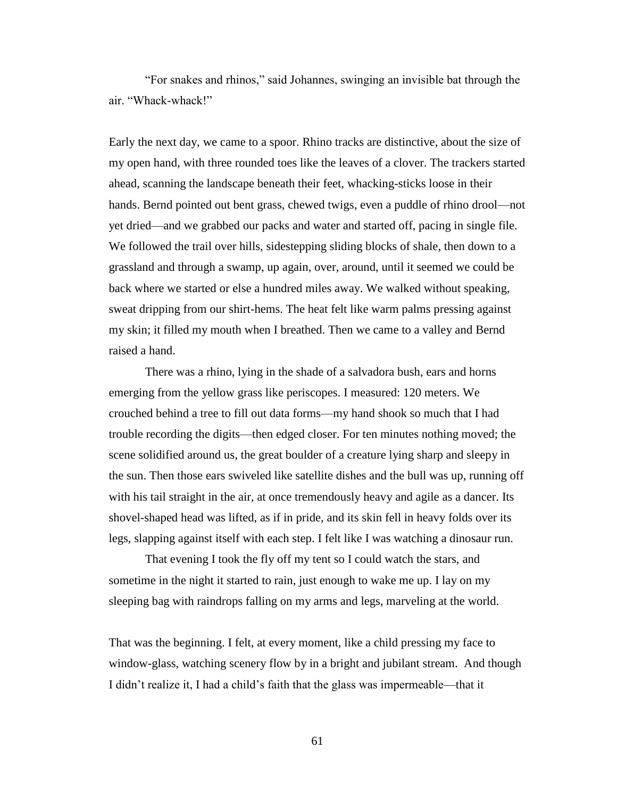"For snakes and rhinos," said Johannes, swinging an invisible bat through the air. "Whack-whack!"

Early the next day, we came to a spoor. Rhino tracks are distinctive, about the size of my open hand, with three rounded toes like the leaves of a clover. The trackers started ahead, scanning the landscape beneath their feet, whacking-sticks loose in their hands. Bernd pointed out bent grass, chewed twigs, even a puddle of rhino drool—not yet dried—and we grabbed our packs and water and started off, pacing in single file. We followed the trail over hills, sidestepping sliding blocks of shale, then down to a grassland and through a swamp, up again, over, around, until it seemed we could be back where we started or else a hundred miles away. We walked without speaking, sweat dripping from our shirt-hems. The heat felt like warm palms pressing against my skin; it filled my mouth when I breathed. Then we came to a valley and Bernd raised a hand.

There was a rhino, lying in the shade of a salvadora bush, ears and horns emerging from the yellow grass like periscopes. I measured: 120 meters. We crouched behind a tree to fill out data forms—my hand shook so much that I had trouble recording the digits—then edged closer. For ten minutes nothing moved; the scene solidified around us, the great boulder of a creature lying sharp and sleepy in the sun. Then those ears swiveled like satellite dishes and the bull was up, running off with his tail straight in the air, at once tremendously heavy and agile as a dancer. Its shovel-shaped head was lifted, as if in pride, and its skin fell in heavy folds over its legs, slapping against itself with each step. I felt like I was watching a dinosaur run.

That evening I took the fly off my tent so I could watch the stars, and sometime in the night it started to rain, just enough to wake me up. I lay on my sleeping bag with raindrops falling on my arms and legs, marveling at the world.

That was the beginning. I felt, at every moment, like a child pressing my face to window-glass, watching scenery flow by in a bright and jubilant stream. And though I didn"t realize it, I had a child"s faith that the glass was impermeable—that it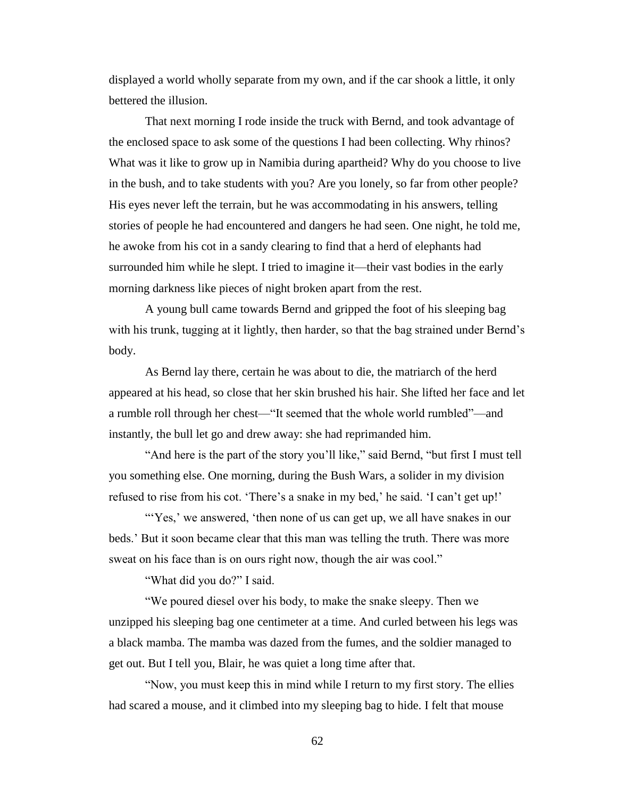displayed a world wholly separate from my own, and if the car shook a little, it only bettered the illusion.

That next morning I rode inside the truck with Bernd, and took advantage of the enclosed space to ask some of the questions I had been collecting. Why rhinos? What was it like to grow up in Namibia during apartheid? Why do you choose to live in the bush, and to take students with you? Are you lonely, so far from other people? His eyes never left the terrain, but he was accommodating in his answers, telling stories of people he had encountered and dangers he had seen. One night, he told me, he awoke from his cot in a sandy clearing to find that a herd of elephants had surrounded him while he slept. I tried to imagine it—their vast bodies in the early morning darkness like pieces of night broken apart from the rest.

A young bull came towards Bernd and gripped the foot of his sleeping bag with his trunk, tugging at it lightly, then harder, so that the bag strained under Bernd's body.

As Bernd lay there, certain he was about to die, the matriarch of the herd appeared at his head, so close that her skin brushed his hair. She lifted her face and let a rumble roll through her chest—"It seemed that the whole world rumbled"—and instantly, the bull let go and drew away: she had reprimanded him.

"And here is the part of the story you"ll like," said Bernd, "but first I must tell you something else. One morning, during the Bush Wars, a solider in my division refused to rise from his cot. 'There's a snake in my bed,' he said. 'I can't get up!'

"Yes,' we answered, 'then none of us can get up, we all have snakes in our beds." But it soon became clear that this man was telling the truth. There was more sweat on his face than is on ours right now, though the air was cool."

"What did you do?" I said.

"We poured diesel over his body, to make the snake sleepy. Then we unzipped his sleeping bag one centimeter at a time. And curled between his legs was a black mamba. The mamba was dazed from the fumes, and the soldier managed to get out. But I tell you, Blair, he was quiet a long time after that.

"Now, you must keep this in mind while I return to my first story. The ellies had scared a mouse, and it climbed into my sleeping bag to hide. I felt that mouse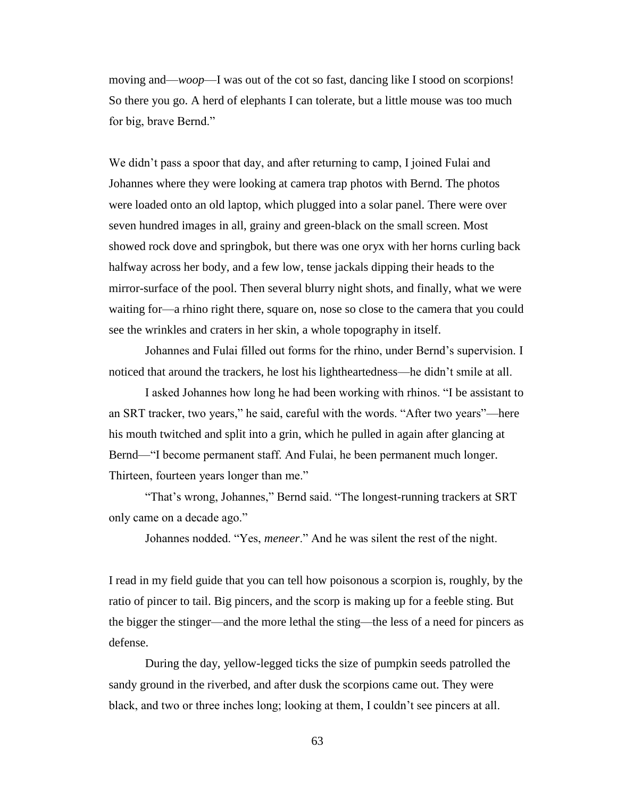moving and—*woop*—I was out of the cot so fast, dancing like I stood on scorpions! So there you go. A herd of elephants I can tolerate, but a little mouse was too much for big, brave Bernd."

We didn't pass a spoor that day, and after returning to camp, I joined Fulai and Johannes where they were looking at camera trap photos with Bernd. The photos were loaded onto an old laptop, which plugged into a solar panel. There were over seven hundred images in all, grainy and green-black on the small screen. Most showed rock dove and springbok, but there was one oryx with her horns curling back halfway across her body, and a few low, tense jackals dipping their heads to the mirror-surface of the pool. Then several blurry night shots, and finally, what we were waiting for—a rhino right there, square on, nose so close to the camera that you could see the wrinkles and craters in her skin, a whole topography in itself.

Johannes and Fulai filled out forms for the rhino, under Bernd"s supervision. I noticed that around the trackers, he lost his lightheartedness—he didn"t smile at all.

I asked Johannes how long he had been working with rhinos. "I be assistant to an SRT tracker, two years," he said, careful with the words. "After two years"—here his mouth twitched and split into a grin, which he pulled in again after glancing at Bernd—"I become permanent staff. And Fulai, he been permanent much longer. Thirteen, fourteen years longer than me."

"That's wrong, Johannes," Bernd said. "The longest-running trackers at SRT only came on a decade ago."

Johannes nodded. "Yes, *meneer*." And he was silent the rest of the night.

I read in my field guide that you can tell how poisonous a scorpion is, roughly, by the ratio of pincer to tail. Big pincers, and the scorp is making up for a feeble sting. But the bigger the stinger—and the more lethal the sting—the less of a need for pincers as defense.

During the day, yellow-legged ticks the size of pumpkin seeds patrolled the sandy ground in the riverbed, and after dusk the scorpions came out. They were black, and two or three inches long; looking at them, I couldn"t see pincers at all.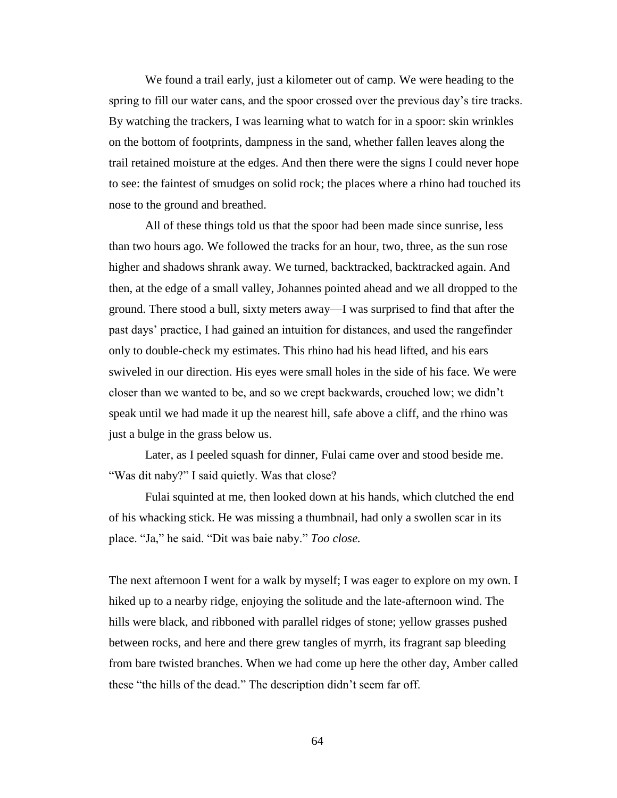We found a trail early, just a kilometer out of camp. We were heading to the spring to fill our water cans, and the spoor crossed over the previous day"s tire tracks. By watching the trackers, I was learning what to watch for in a spoor: skin wrinkles on the bottom of footprints, dampness in the sand, whether fallen leaves along the trail retained moisture at the edges. And then there were the signs I could never hope to see: the faintest of smudges on solid rock; the places where a rhino had touched its nose to the ground and breathed.

All of these things told us that the spoor had been made since sunrise, less than two hours ago. We followed the tracks for an hour, two, three, as the sun rose higher and shadows shrank away. We turned, backtracked, backtracked again. And then, at the edge of a small valley, Johannes pointed ahead and we all dropped to the ground. There stood a bull, sixty meters away—I was surprised to find that after the past days" practice, I had gained an intuition for distances, and used the rangefinder only to double-check my estimates. This rhino had his head lifted, and his ears swiveled in our direction. His eyes were small holes in the side of his face. We were closer than we wanted to be, and so we crept backwards, crouched low; we didn"t speak until we had made it up the nearest hill, safe above a cliff, and the rhino was just a bulge in the grass below us.

Later, as I peeled squash for dinner, Fulai came over and stood beside me. "Was dit naby?" I said quietly. Was that close?

Fulai squinted at me, then looked down at his hands, which clutched the end of his whacking stick. He was missing a thumbnail, had only a swollen scar in its place. "Ja," he said. "Dit was baie naby." *Too close.*

The next afternoon I went for a walk by myself; I was eager to explore on my own. I hiked up to a nearby ridge, enjoying the solitude and the late-afternoon wind. The hills were black, and ribboned with parallel ridges of stone; yellow grasses pushed between rocks, and here and there grew tangles of myrrh, its fragrant sap bleeding from bare twisted branches. When we had come up here the other day, Amber called these "the hills of the dead." The description didn"t seem far off.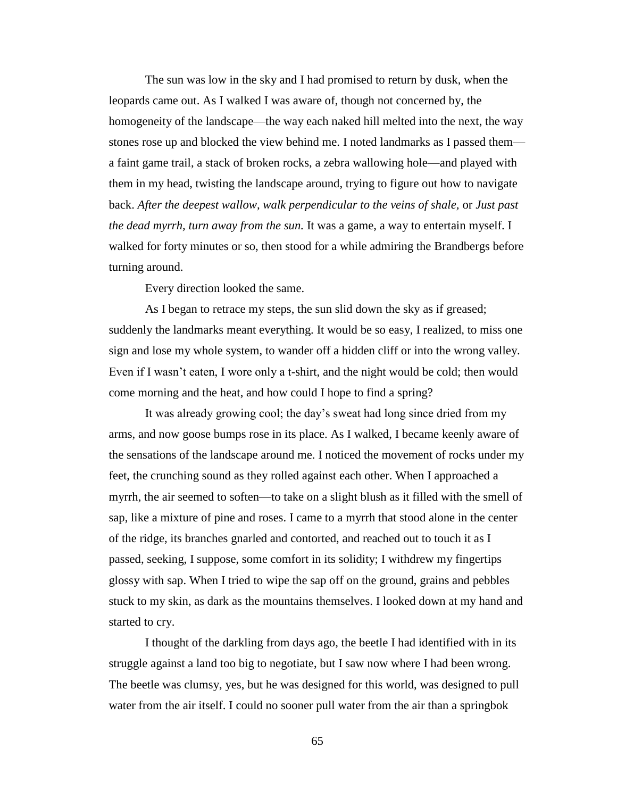The sun was low in the sky and I had promised to return by dusk, when the leopards came out. As I walked I was aware of, though not concerned by, the homogeneity of the landscape—the way each naked hill melted into the next, the way stones rose up and blocked the view behind me. I noted landmarks as I passed them a faint game trail, a stack of broken rocks, a zebra wallowing hole—and played with them in my head, twisting the landscape around, trying to figure out how to navigate back. *After the deepest wallow, walk perpendicular to the veins of shale,* or *Just past the dead myrrh, turn away from the sun.* It was a game, a way to entertain myself. I walked for forty minutes or so, then stood for a while admiring the Brandbergs before turning around.

Every direction looked the same.

As I began to retrace my steps, the sun slid down the sky as if greased; suddenly the landmarks meant everything. It would be so easy, I realized, to miss one sign and lose my whole system, to wander off a hidden cliff or into the wrong valley. Even if I wasn"t eaten, I wore only a t-shirt, and the night would be cold; then would come morning and the heat, and how could I hope to find a spring?

It was already growing cool; the day"s sweat had long since dried from my arms, and now goose bumps rose in its place. As I walked, I became keenly aware of the sensations of the landscape around me. I noticed the movement of rocks under my feet, the crunching sound as they rolled against each other. When I approached a myrrh, the air seemed to soften—to take on a slight blush as it filled with the smell of sap, like a mixture of pine and roses. I came to a myrrh that stood alone in the center of the ridge, its branches gnarled and contorted, and reached out to touch it as I passed, seeking, I suppose, some comfort in its solidity; I withdrew my fingertips glossy with sap. When I tried to wipe the sap off on the ground, grains and pebbles stuck to my skin, as dark as the mountains themselves. I looked down at my hand and started to cry.

I thought of the darkling from days ago, the beetle I had identified with in its struggle against a land too big to negotiate, but I saw now where I had been wrong. The beetle was clumsy, yes, but he was designed for this world, was designed to pull water from the air itself. I could no sooner pull water from the air than a springbok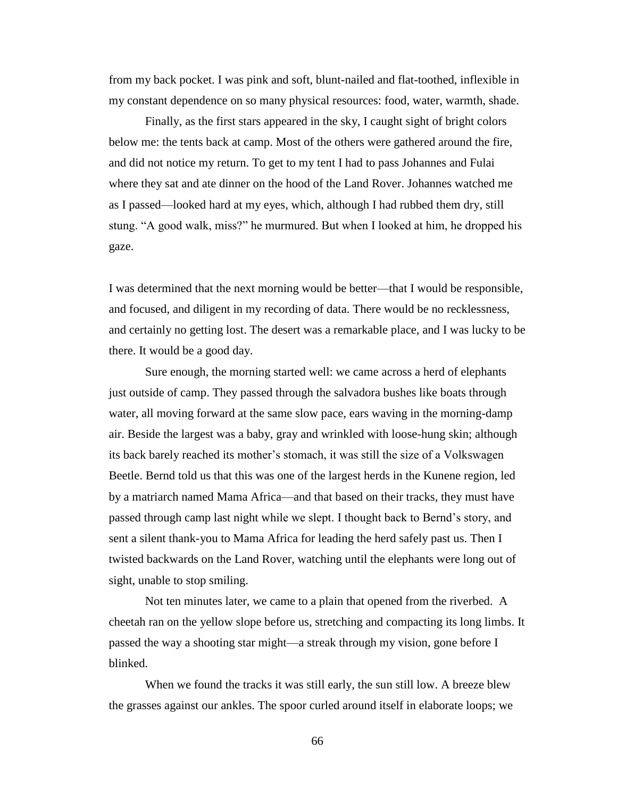from my back pocket. I was pink and soft, blunt-nailed and flat-toothed, inflexible in my constant dependence on so many physical resources: food, water, warmth, shade.

Finally, as the first stars appeared in the sky, I caught sight of bright colors below me: the tents back at camp. Most of the others were gathered around the fire, and did not notice my return. To get to my tent I had to pass Johannes and Fulai where they sat and ate dinner on the hood of the Land Rover. Johannes watched me as I passed—looked hard at my eyes, which, although I had rubbed them dry, still stung. "A good walk, miss?" he murmured. But when I looked at him, he dropped his gaze.

I was determined that the next morning would be better—that I would be responsible, and focused, and diligent in my recording of data. There would be no recklessness, and certainly no getting lost. The desert was a remarkable place, and I was lucky to be there. It would be a good day.

Sure enough, the morning started well: we came across a herd of elephants just outside of camp. They passed through the salvadora bushes like boats through water, all moving forward at the same slow pace, ears waving in the morning-damp air. Beside the largest was a baby, gray and wrinkled with loose-hung skin; although its back barely reached its mother"s stomach, it was still the size of a Volkswagen Beetle. Bernd told us that this was one of the largest herds in the Kunene region, led by a matriarch named Mama Africa—and that based on their tracks, they must have passed through camp last night while we slept. I thought back to Bernd"s story, and sent a silent thank-you to Mama Africa for leading the herd safely past us. Then I twisted backwards on the Land Rover, watching until the elephants were long out of sight, unable to stop smiling.

Not ten minutes later, we came to a plain that opened from the riverbed. A cheetah ran on the yellow slope before us, stretching and compacting its long limbs. It passed the way a shooting star might—a streak through my vision, gone before I blinked.

When we found the tracks it was still early, the sun still low. A breeze blew the grasses against our ankles. The spoor curled around itself in elaborate loops; we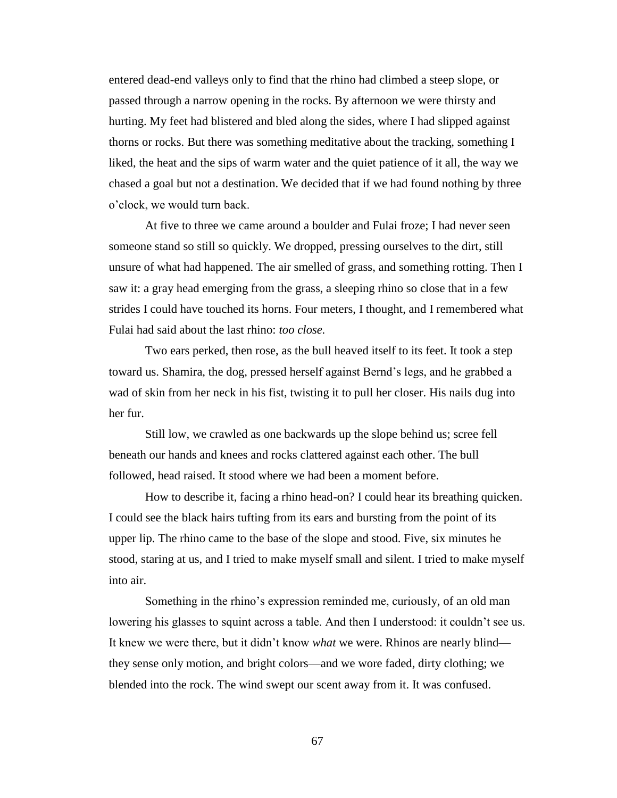entered dead-end valleys only to find that the rhino had climbed a steep slope, or passed through a narrow opening in the rocks. By afternoon we were thirsty and hurting. My feet had blistered and bled along the sides, where I had slipped against thorns or rocks. But there was something meditative about the tracking, something I liked, the heat and the sips of warm water and the quiet patience of it all, the way we chased a goal but not a destination. We decided that if we had found nothing by three o"clock, we would turn back.

At five to three we came around a boulder and Fulai froze; I had never seen someone stand so still so quickly. We dropped, pressing ourselves to the dirt, still unsure of what had happened. The air smelled of grass, and something rotting. Then I saw it: a gray head emerging from the grass, a sleeping rhino so close that in a few strides I could have touched its horns. Four meters, I thought, and I remembered what Fulai had said about the last rhino: *too close.* 

Two ears perked, then rose, as the bull heaved itself to its feet. It took a step toward us. Shamira, the dog, pressed herself against Bernd"s legs, and he grabbed a wad of skin from her neck in his fist, twisting it to pull her closer. His nails dug into her fur.

Still low, we crawled as one backwards up the slope behind us; scree fell beneath our hands and knees and rocks clattered against each other. The bull followed, head raised. It stood where we had been a moment before.

How to describe it, facing a rhino head-on? I could hear its breathing quicken. I could see the black hairs tufting from its ears and bursting from the point of its upper lip. The rhino came to the base of the slope and stood. Five, six minutes he stood, staring at us, and I tried to make myself small and silent. I tried to make myself into air.

Something in the rhino"s expression reminded me, curiously, of an old man lowering his glasses to squint across a table. And then I understood: it couldn"t see us. It knew we were there, but it didn"t know *what* we were. Rhinos are nearly blind they sense only motion, and bright colors—and we wore faded, dirty clothing; we blended into the rock. The wind swept our scent away from it. It was confused.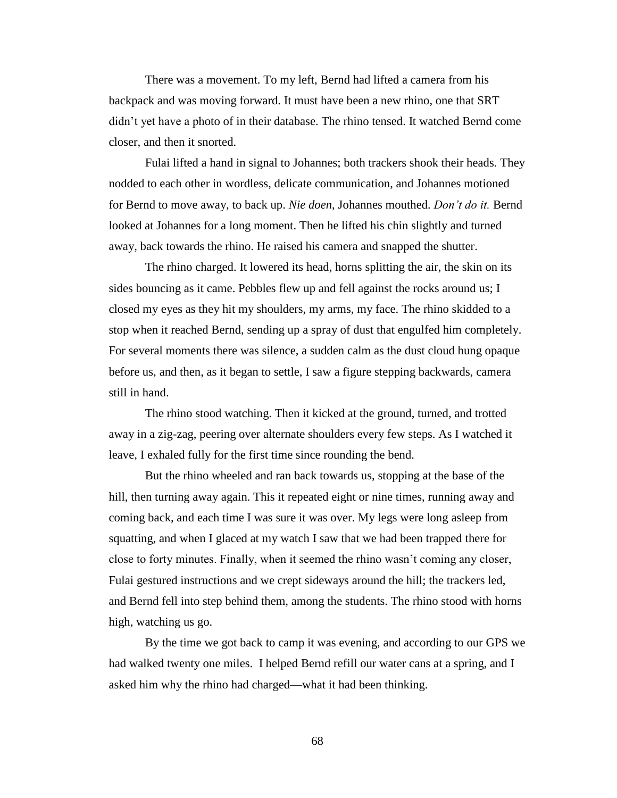There was a movement. To my left, Bernd had lifted a camera from his backpack and was moving forward. It must have been a new rhino, one that SRT didn"t yet have a photo of in their database. The rhino tensed. It watched Bernd come closer, and then it snorted.

Fulai lifted a hand in signal to Johannes; both trackers shook their heads. They nodded to each other in wordless, delicate communication, and Johannes motioned for Bernd to move away, to back up. *Nie doen*, Johannes mouthed. *Don't do it.* Bernd looked at Johannes for a long moment. Then he lifted his chin slightly and turned away, back towards the rhino. He raised his camera and snapped the shutter.

The rhino charged. It lowered its head, horns splitting the air, the skin on its sides bouncing as it came. Pebbles flew up and fell against the rocks around us; I closed my eyes as they hit my shoulders, my arms, my face. The rhino skidded to a stop when it reached Bernd, sending up a spray of dust that engulfed him completely. For several moments there was silence, a sudden calm as the dust cloud hung opaque before us, and then, as it began to settle, I saw a figure stepping backwards, camera still in hand.

The rhino stood watching. Then it kicked at the ground, turned, and trotted away in a zig-zag, peering over alternate shoulders every few steps. As I watched it leave, I exhaled fully for the first time since rounding the bend.

But the rhino wheeled and ran back towards us, stopping at the base of the hill, then turning away again. This it repeated eight or nine times, running away and coming back, and each time I was sure it was over. My legs were long asleep from squatting, and when I glaced at my watch I saw that we had been trapped there for close to forty minutes. Finally, when it seemed the rhino wasn"t coming any closer, Fulai gestured instructions and we crept sideways around the hill; the trackers led, and Bernd fell into step behind them, among the students. The rhino stood with horns high, watching us go.

By the time we got back to camp it was evening, and according to our GPS we had walked twenty one miles. I helped Bernd refill our water cans at a spring, and I asked him why the rhino had charged—what it had been thinking.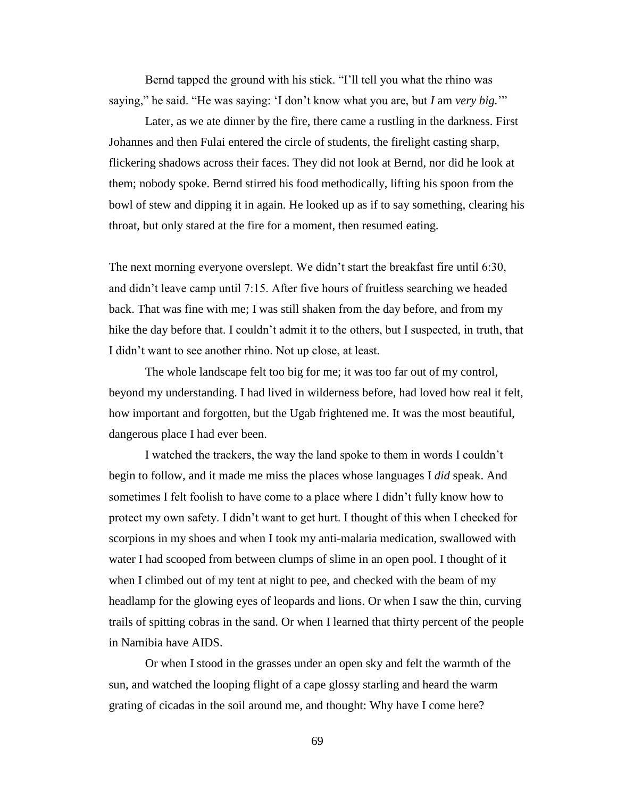Bernd tapped the ground with his stick. "I"ll tell you what the rhino was saying," he said. "He was saying: "I don"t know what you are, but *I* am *very big.*""

Later, as we ate dinner by the fire, there came a rustling in the darkness. First Johannes and then Fulai entered the circle of students, the firelight casting sharp, flickering shadows across their faces. They did not look at Bernd, nor did he look at them; nobody spoke. Bernd stirred his food methodically, lifting his spoon from the bowl of stew and dipping it in again. He looked up as if to say something, clearing his throat, but only stared at the fire for a moment, then resumed eating.

The next morning everyone overslept. We didn't start the breakfast fire until 6:30, and didn"t leave camp until 7:15. After five hours of fruitless searching we headed back. That was fine with me; I was still shaken from the day before, and from my hike the day before that. I couldn't admit it to the others, but I suspected, in truth, that I didn"t want to see another rhino. Not up close, at least.

The whole landscape felt too big for me; it was too far out of my control, beyond my understanding. I had lived in wilderness before, had loved how real it felt, how important and forgotten, but the Ugab frightened me. It was the most beautiful, dangerous place I had ever been.

I watched the trackers, the way the land spoke to them in words I couldn"t begin to follow, and it made me miss the places whose languages I *did* speak. And sometimes I felt foolish to have come to a place where I didn"t fully know how to protect my own safety. I didn"t want to get hurt. I thought of this when I checked for scorpions in my shoes and when I took my anti-malaria medication, swallowed with water I had scooped from between clumps of slime in an open pool. I thought of it when I climbed out of my tent at night to pee, and checked with the beam of my headlamp for the glowing eyes of leopards and lions. Or when I saw the thin, curving trails of spitting cobras in the sand. Or when I learned that thirty percent of the people in Namibia have AIDS.

Or when I stood in the grasses under an open sky and felt the warmth of the sun, and watched the looping flight of a cape glossy starling and heard the warm grating of cicadas in the soil around me, and thought: Why have I come here?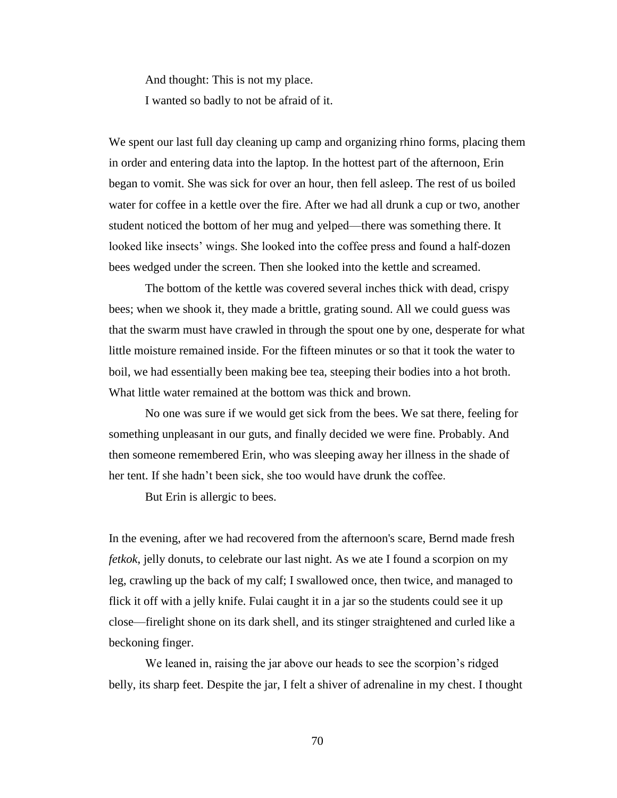And thought: This is not my place. I wanted so badly to not be afraid of it.

We spent our last full day cleaning up camp and organizing rhino forms, placing them in order and entering data into the laptop. In the hottest part of the afternoon, Erin began to vomit. She was sick for over an hour, then fell asleep. The rest of us boiled water for coffee in a kettle over the fire. After we had all drunk a cup or two, another student noticed the bottom of her mug and yelped—there was something there. It looked like insects' wings. She looked into the coffee press and found a half-dozen bees wedged under the screen. Then she looked into the kettle and screamed.

The bottom of the kettle was covered several inches thick with dead, crispy bees; when we shook it, they made a brittle, grating sound. All we could guess was that the swarm must have crawled in through the spout one by one, desperate for what little moisture remained inside. For the fifteen minutes or so that it took the water to boil, we had essentially been making bee tea, steeping their bodies into a hot broth. What little water remained at the bottom was thick and brown.

No one was sure if we would get sick from the bees. We sat there, feeling for something unpleasant in our guts, and finally decided we were fine. Probably. And then someone remembered Erin, who was sleeping away her illness in the shade of her tent. If she hadn"t been sick, she too would have drunk the coffee.

But Erin is allergic to bees.

In the evening, after we had recovered from the afternoon's scare, Bernd made fresh *fetkok*, jelly donuts, to celebrate our last night. As we ate I found a scorpion on my leg, crawling up the back of my calf; I swallowed once, then twice, and managed to flick it off with a jelly knife. Fulai caught it in a jar so the students could see it up close—firelight shone on its dark shell, and its stinger straightened and curled like a beckoning finger.

We leaned in, raising the jar above our heads to see the scorpion"s ridged belly, its sharp feet. Despite the jar, I felt a shiver of adrenaline in my chest. I thought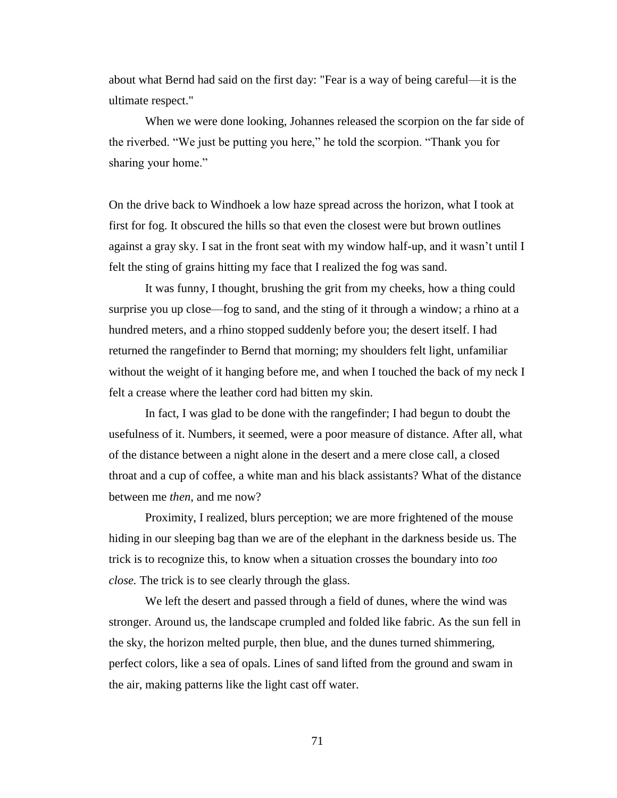about what Bernd had said on the first day: "Fear is a way of being careful—it is the ultimate respect."

When we were done looking, Johannes released the scorpion on the far side of the riverbed. "We just be putting you here," he told the scorpion. "Thank you for sharing your home."

On the drive back to Windhoek a low haze spread across the horizon, what I took at first for fog. It obscured the hills so that even the closest were but brown outlines against a gray sky. I sat in the front seat with my window half-up, and it wasn"t until I felt the sting of grains hitting my face that I realized the fog was sand.

It was funny, I thought, brushing the grit from my cheeks, how a thing could surprise you up close—fog to sand, and the sting of it through a window; a rhino at a hundred meters, and a rhino stopped suddenly before you; the desert itself. I had returned the rangefinder to Bernd that morning; my shoulders felt light, unfamiliar without the weight of it hanging before me, and when I touched the back of my neck I felt a crease where the leather cord had bitten my skin.

In fact, I was glad to be done with the rangefinder; I had begun to doubt the usefulness of it. Numbers, it seemed, were a poor measure of distance. After all, what of the distance between a night alone in the desert and a mere close call, a closed throat and a cup of coffee, a white man and his black assistants? What of the distance between me *then*, and me now?

Proximity, I realized, blurs perception; we are more frightened of the mouse hiding in our sleeping bag than we are of the elephant in the darkness beside us. The trick is to recognize this, to know when a situation crosses the boundary into *too close.* The trick is to see clearly through the glass.

We left the desert and passed through a field of dunes, where the wind was stronger. Around us, the landscape crumpled and folded like fabric. As the sun fell in the sky, the horizon melted purple, then blue, and the dunes turned shimmering, perfect colors, like a sea of opals. Lines of sand lifted from the ground and swam in the air, making patterns like the light cast off water.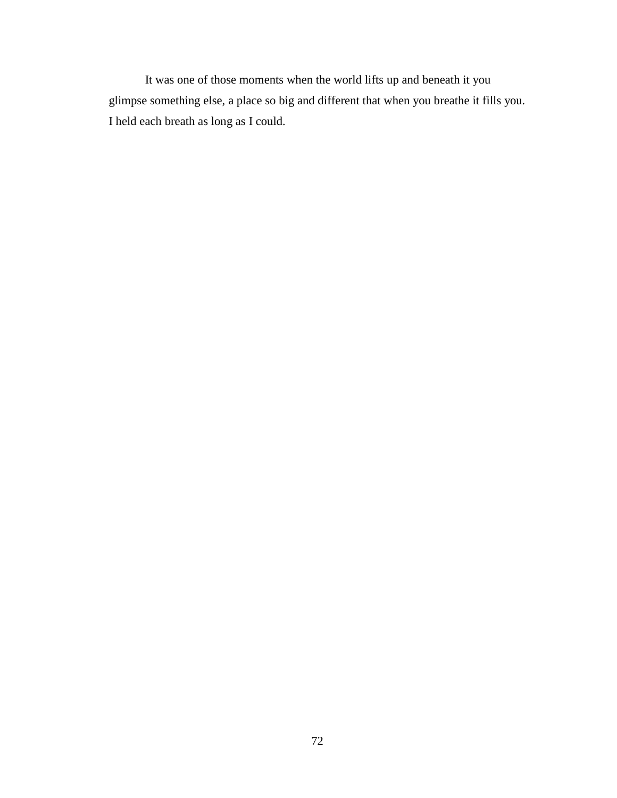It was one of those moments when the world lifts up and beneath it you glimpse something else, a place so big and different that when you breathe it fills you. I held each breath as long as I could.